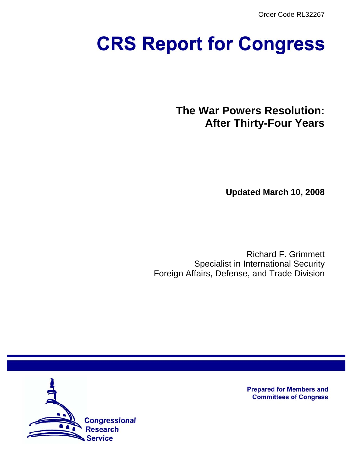Order Code RL32267

# **CRS Report for Congress**

**The War Powers Resolution: After Thirty-Four Years**

**Updated March 10, 2008**

Richard F. Grimmett Specialist in International Security Foreign Affairs, Defense, and Trade Division



**Prepared for Members and Committees of Congress**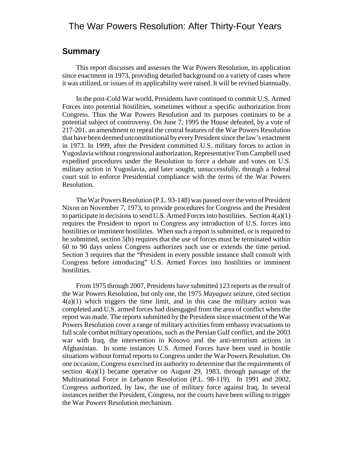# The War Powers Resolution: After Thirty-Four Years

#### **Summary**

This report discusses and assesses the War Powers Resolution, its application since enactment in 1973, providing detailed background on a variety of cases where it was utilized, or issues of its applicability were raised. It will be revised biannually.

In the post-Cold War world, Presidents have continued to commit U.S. Armed Forces into potential hostilities, sometimes without a specific authorization from Congress. Thus the War Powers Resolution and its purposes continues to be a potential subject of controversy. On June 7, 1995 the House defeated, by a vote of 217-201, an amendment to repeal the central features of the War Powers Resolution that have been deemed unconstitutional by every President since the law's enactment in 1973. In 1999, after the President committed U.S. military forces to action in Yugoslavia without congressional authorization, Representative Tom Campbell used expedited procedures under the Resolution to force a debate and votes on U.S. military action in Yugoslavia, and later sought, unsuccessfully, through a federal court suit to enforce Presidential compliance with the terms of the War Powers Resolution.

The War Powers Resolution (P.L. 93-148) was passed over the veto of President Nixon on November 7, 1973, to provide procedures for Congress and the President to participate in decisions to send U.S. Armed Forces into hostilities. Section  $4(a)(1)$ requires the President to report to Congress any introduction of U.S. forces into hostilities or imminent hostilities. When such a report is submitted, or is required to be submitted, section 5(b) requires that the use of forces must be terminated within 60 to 90 days unless Congress authorizes such use or extends the time period. Section 3 requires that the "President in every possible instance shall consult with Congress before introducing" U.S. Armed Forces into hostilities or imminent hostilities.

From 1975 through 2007, Presidents have submitted 123 reports as the result of the War Powers Resolution, but only one, the 1975 *Mayaguez* seizure, cited section 4(a)(1) which triggers the time limit, and in this case the military action was completed and U.S. armed forces had disengaged from the area of conflict when the report was made. The reports submitted by the President since enactment of the War Powers Resolution cover a range of military activities from embassy evacuations to full scale combat military operations, such as the Persian Gulf conflict, and the 2003 war with Iraq, the intervention in Kosovo and the anti-terrorism actions in Afghanistan. In some instances U.S. Armed Forces have been used in hostile situations without formal reports to Congress under the War Powers Resolution. On one occasion, Congress exercised its authority to determine that the requirements of section  $4(a)(1)$  became operative on August 29, 1983, through passage of the Multinational Force in Lebanon Resolution (P.L. 98-119). In 1991 and 2002, Congress authorized, by law, the use of military force against Iraq. In several instances neither the President, Congress, nor the courts have been willing to trigger the War Powers Resolution mechanism.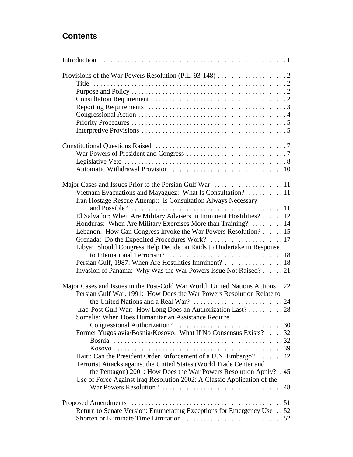# **Contents**

| Iran Hostage Rescue Attempt: Is Consultation Always Necessary                  |
|--------------------------------------------------------------------------------|
|                                                                                |
| El Salvador: When Are Military Advisers in Imminent Hostilities?  12           |
| Honduras: When Are Military Exercises More than Training?  14                  |
| Lebanon: How Can Congress Invoke the War Powers Resolution? 15                 |
|                                                                                |
| Libya: Should Congress Help Decide on Raids to Undertake in Response           |
|                                                                                |
|                                                                                |
| Invasion of Panama: Why Was the War Powers Issue Not Raised? 21                |
| Major Cases and Issues in the Post-Cold War World: United Nations Actions . 22 |
| Persian Gulf War, 1991: How Does the War Powers Resolution Relate to           |
|                                                                                |
| Iraq-Post Gulf War: How Long Does an Authorization Last? 28                    |
| Somalia: When Does Humanitarian Assistance Require                             |
|                                                                                |
| Former Yugoslavia/Bosnia/Kosovo: What If No Consensus Exists? 32               |
|                                                                                |
|                                                                                |
| Haiti: Can the President Order Enforcement of a U.N. Embargo?  42              |
| Terrorist Attacks against the United States (World Trade Center and            |
| the Pentagon) 2001: How Does the War Powers Resolution Apply? . 45             |
| Use of Force Against Iraq Resolution 2002: A Classic Application of the        |
| 48                                                                             |
|                                                                                |
| Return to Senate Version: Enumerating Exceptions for Emergency Use 52          |
|                                                                                |
|                                                                                |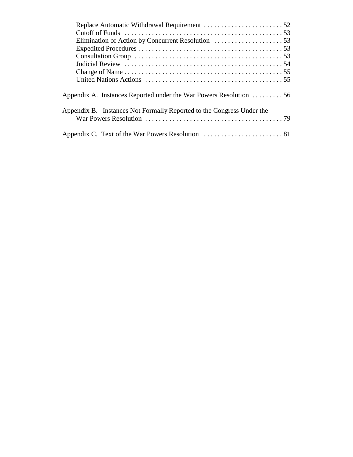| Appendix A. Instances Reported under the War Powers Resolution 56                                                                                                             |  |
|-------------------------------------------------------------------------------------------------------------------------------------------------------------------------------|--|
| Appendix B. Instances Not Formally Reported to the Congress Under the<br>War Powers Resolution $\ldots \ldots \ldots \ldots \ldots \ldots \ldots \ldots \ldots \ldots \ldots$ |  |
|                                                                                                                                                                               |  |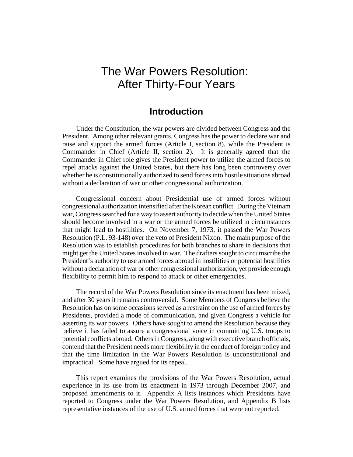# The War Powers Resolution: After Thirty-Four Years

## **Introduction**

Under the Constitution, the war powers are divided between Congress and the President. Among other relevant grants, Congress has the power to declare war and raise and support the armed forces (Article I, section 8), while the President is Commander in Chief (Article II, section 2). It is generally agreed that the Commander in Chief role gives the President power to utilize the armed forces to repel attacks against the United States, but there has long been controversy over whether he is constitutionally authorized to send forces into hostile situations abroad without a declaration of war or other congressional authorization.

Congressional concern about Presidential use of armed forces without congressional authorization intensified after the Korean conflict. During the Vietnam war, Congress searched for a way to assert authority to decide when the United States should become involved in a war or the armed forces be utilized in circumstances that might lead to hostilities. On November 7, 1973, it passed the War Powers Resolution (P.L. 93-148) over the veto of President Nixon. The main purpose of the Resolution was to establish procedures for both branches to share in decisions that might get the United States involved in war. The drafters sought to circumscribe the President's authority to use armed forces abroad in hostilities or potential hostilities without a declaration of war or other congressional authorization, yet provide enough flexibility to permit him to respond to attack or other emergencies.

The record of the War Powers Resolution since its enactment has been mixed, and after 30 years it remains controversial. Some Members of Congress believe the Resolution has on some occasions served as a restraint on the use of armed forces by Presidents, provided a mode of communication, and given Congress a vehicle for asserting its war powers. Others have sought to amend the Resolution because they believe it has failed to assure a congressional voice in committing U.S. troops to potential conflicts abroad. Others in Congress, along with executive branch officials, contend that the President needs more flexibility in the conduct of foreign policy and that the time limitation in the War Powers Resolution is unconstitutional and impractical. Some have argued for its repeal.

This report examines the provisions of the War Powers Resolution, actual experience in its use from its enactment in 1973 through December 2007, and proposed amendments to it. Appendix A lists instances which Presidents have reported to Congress under the War Powers Resolution, and Appendix B lists representative instances of the use of U.S. armed forces that were not reported.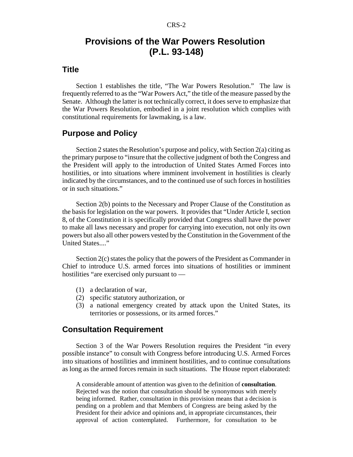# **Provisions of the War Powers Resolution (P.L. 93-148)**

#### **Title**

Section 1 establishes the title, "The War Powers Resolution." The law is frequently referred to as the "War Powers Act," the title of the measure passed by the Senate. Although the latter is not technically correct, it does serve to emphasize that the War Powers Resolution, embodied in a joint resolution which complies with constitutional requirements for lawmaking, is a law.

#### **Purpose and Policy**

Section 2 states the Resolution's purpose and policy, with Section 2(a) citing as the primary purpose to "insure that the collective judgment of both the Congress and the President will apply to the introduction of United States Armed Forces into hostilities, or into situations where imminent involvement in hostilities is clearly indicated by the circumstances, and to the continued use of such forces in hostilities or in such situations."

Section 2(b) points to the Necessary and Proper Clause of the Constitution as the basis for legislation on the war powers. It provides that "Under Article I, section 8, of the Constitution it is specifically provided that Congress shall have the power to make all laws necessary and proper for carrying into execution, not only its own powers but also all other powers vested by the Constitution in the Government of the United States...."

Section 2(c) states the policy that the powers of the President as Commander in Chief to introduce U.S. armed forces into situations of hostilities or imminent hostilities "are exercised only pursuant to —

- (1) a declaration of war,
- (2) specific statutory authorization, or
- (3) a national emergency created by attack upon the United States, its territories or possessions, or its armed forces."

#### **Consultation Requirement**

Section 3 of the War Powers Resolution requires the President "in every possible instance" to consult with Congress before introducing U.S. Armed Forces into situations of hostilities and imminent hostilities, and to continue consultations as long as the armed forces remain in such situations. The House report elaborated:

A considerable amount of attention was given to the definition of **consultation**. Rejected was the notion that consultation should be synonymous with merely being informed. Rather, consultation in this provision means that a decision is pending on a problem and that Members of Congress are being asked by the President for their advice and opinions and, in appropriate circumstances, their approval of action contemplated. Furthermore, for consultation to be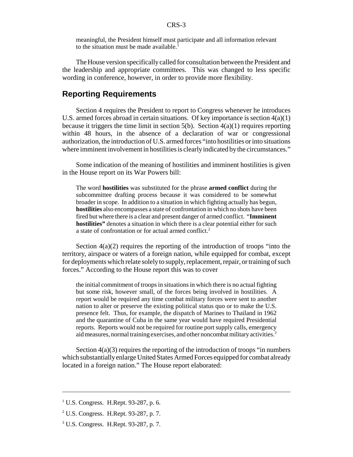meaningful, the President himself must participate and all information relevant to the situation must be made available.<sup>1</sup>

The House version specifically called for consultation between the President and the leadership and appropriate committees. This was changed to less specific wording in conference, however, in order to provide more flexibility.

#### **Reporting Requirements**

Section 4 requires the President to report to Congress whenever he introduces U.S. armed forces abroad in certain situations. Of key importance is section  $4(a)(1)$ because it triggers the time limit in section  $5(b)$ . Section  $4(a)(1)$  requires reporting within 48 hours, in the absence of a declaration of war or congressional authorization, the introduction of U.S. armed forces "into hostilities or into situations where imminent involvement in hostilities is clearly indicated by the circumstances."

Some indication of the meaning of hostilities and imminent hostilities is given in the House report on its War Powers bill:

The word **hostilities** was substituted for the phrase **armed conflict** during the subcommittee drafting process because it was considered to be somewhat broader in scope. In addition to a situation in which fighting actually has begun, **hostilities** also encompasses a state of confrontation in which no shots have been fired but where there is a clear and present danger of armed conflict. "**Imminent hostilities"** denotes a situation in which there is a clear potential either for such a state of confrontation or for actual armed conflict.2

Section  $4(a)(2)$  requires the reporting of the introduction of troops "into the territory, airspace or waters of a foreign nation, while equipped for combat, except for deployments which relate solely to supply, replacement, repair, or training of such forces." According to the House report this was to cover

the initial commitment of troops in situations in which there is no actual fighting but some risk, however small, of the forces being involved in hostilities. A report would be required any time combat military forces were sent to another nation to alter or preserve the existing political status quo or to make the U.S. presence felt. Thus, for example, the dispatch of Marines to Thailand in 1962 and the quarantine of Cuba in the same year would have required Presidential reports. Reports would not be required for routine port supply calls, emergency aid measures, normal training exercises, and other noncombat military activities.<sup>3</sup>

Section  $4(a)(3)$  requires the reporting of the introduction of troops "in numbers" which substantially enlarge United States Armed Forces equipped for combat already located in a foreign nation." The House report elaborated:

<sup>&</sup>lt;sup>1</sup> U.S. Congress. H.Rept. 93-287, p. 6.

<sup>&</sup>lt;sup>2</sup> U.S. Congress. H.Rept. 93-287, p. 7.

<sup>3</sup> U.S. Congress. H.Rept. 93-287, p. 7.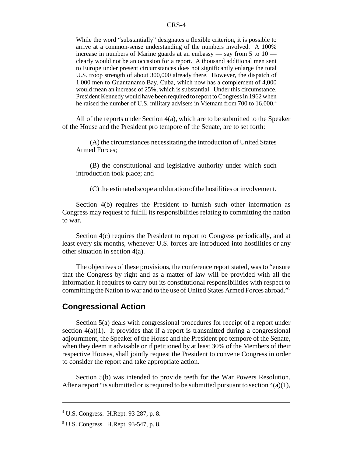While the word "substantially" designates a flexible criterion, it is possible to arrive at a common-sense understanding of the numbers involved. A 100% increase in numbers of Marine guards at an embassy  $-$  say from 5 to 10  $$ clearly would not be an occasion for a report. A thousand additional men sent to Europe under present circumstances does not significantly enlarge the total U.S. troop strength of about 300,000 already there. However, the dispatch of 1,000 men to Guantanamo Bay, Cuba, which now has a complement of 4,000 would mean an increase of 25%, which is substantial. Under this circumstance, President Kennedy would have been required to report to Congress in 1962 when he raised the number of U.S. military advisers in Vietnam from 700 to 16,000.<sup>4</sup>

All of the reports under Section 4(a), which are to be submitted to the Speaker of the House and the President pro tempore of the Senate, are to set forth:

(A) the circumstances necessitating the introduction of United States Armed Forces;

(B) the constitutional and legislative authority under which such introduction took place; and

(C) the estimated scope and duration of the hostilities or involvement.

Section 4(b) requires the President to furnish such other information as Congress may request to fulfill its responsibilities relating to committing the nation to war.

Section 4(c) requires the President to report to Congress periodically, and at least every six months, whenever U.S. forces are introduced into hostilities or any other situation in section 4(a).

The objectives of these provisions, the conference report stated, was to "ensure that the Congress by right and as a matter of law will be provided with all the information it requires to carry out its constitutional responsibilities with respect to committing the Nation to war and to the use of United States Armed Forces abroad."5

#### **Congressional Action**

Section 5(a) deals with congressional procedures for receipt of a report under section  $4(a)(1)$ . It provides that if a report is transmitted during a congressional adjournment, the Speaker of the House and the President pro tempore of the Senate, when they deem it advisable or if petitioned by at least 30% of the Members of their respective Houses, shall jointly request the President to convene Congress in order to consider the report and take appropriate action.

Section 5(b) was intended to provide teeth for the War Powers Resolution. After a report "is submitted or is required to be submitted pursuant to section  $4(a)(1)$ ,

<sup>4</sup> U.S. Congress. H.Rept. 93-287, p. 8.

<sup>5</sup> U.S. Congress. H.Rept. 93-547, p. 8.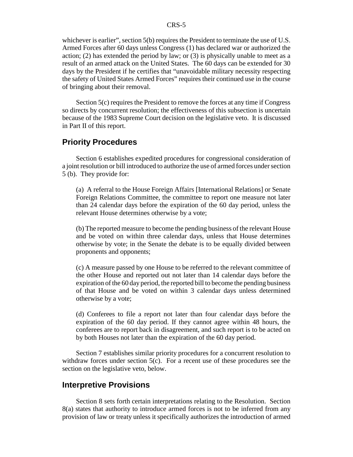whichever is earlier", section 5(b) requires the President to terminate the use of U.S. Armed Forces after 60 days unless Congress (1) has declared war or authorized the action; (2) has extended the period by law; or (3) is physically unable to meet as a result of an armed attack on the United States. The 60 days can be extended for 30 days by the President if he certifies that "unavoidable military necessity respecting the safety of United States Armed Forces" requires their continued use in the course of bringing about their removal.

Section 5(c) requires the President to remove the forces at any time if Congress so directs by concurrent resolution; the effectiveness of this subsection is uncertain because of the 1983 Supreme Court decision on the legislative veto. It is discussed in Part II of this report.

#### **Priority Procedures**

Section 6 establishes expedited procedures for congressional consideration of a joint resolution or bill introduced to authorize the use of armed forces under section 5 (b). They provide for:

(a) A referral to the House Foreign Affairs [International Relations] or Senate Foreign Relations Committee, the committee to report one measure not later than 24 calendar days before the expiration of the 60 day period, unless the relevant House determines otherwise by a vote;

(b) The reported measure to become the pending business of the relevant House and be voted on within three calendar days, unless that House determines otherwise by vote; in the Senate the debate is to be equally divided between proponents and opponents;

(c) A measure passed by one House to be referred to the relevant committee of the other House and reported out not later than 14 calendar days before the expiration of the 60 day period, the reported bill to become the pending business of that House and be voted on within 3 calendar days unless determined otherwise by a vote;

(d) Conferees to file a report not later than four calendar days before the expiration of the 60 day period. If they cannot agree within 48 hours, the conferees are to report back in disagreement, and such report is to be acted on by both Houses not later than the expiration of the 60 day period.

Section 7 establishes similar priority procedures for a concurrent resolution to withdraw forces under section 5(c). For a recent use of these procedures see the section on the legislative veto, below.

## **Interpretive Provisions**

Section 8 sets forth certain interpretations relating to the Resolution. Section 8(a) states that authority to introduce armed forces is not to be inferred from any provision of law or treaty unless it specifically authorizes the introduction of armed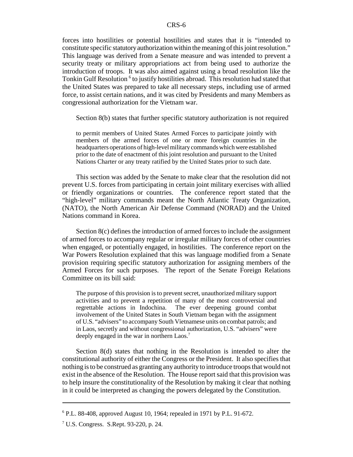forces into hostilities or potential hostilities and states that it is "intended to constitute specific statutory authorization within the meaning of this joint resolution." This language was derived from a Senate measure and was intended to prevent a security treaty or military appropriations act from being used to authorize the introduction of troops. It was also aimed against using a broad resolution like the Tonkin Gulf Resolution <sup>6</sup> to justify hostilities abroad. This resolution had stated that the United States was prepared to take all necessary steps, including use of armed force, to assist certain nations, and it was cited by Presidents and many Members as congressional authorization for the Vietnam war.

Section 8(b) states that further specific statutory authorization is not required

to permit members of United States Armed Forces to participate jointly with members of the armed forces of one or more foreign countries in the headquarters operations of high-level military commands which were established prior to the date of enactment of this joint resolution and pursuant to the United Nations Charter or any treaty ratified by the United States prior to such date.

This section was added by the Senate to make clear that the resolution did not prevent U.S. forces from participating in certain joint military exercises with allied or friendly organizations or countries. The conference report stated that the "high-level" military commands meant the North Atlantic Treaty Organization, (NATO), the North American Air Defense Command (NORAD) and the United Nations command in Korea.

Section 8(c) defines the introduction of armed forces to include the assignment of armed forces to accompany regular or irregular military forces of other countries when engaged, or potentially engaged, in hostilities. The conference report on the War Powers Resolution explained that this was language modified from a Senate provision requiring specific statutory authorization for assigning members of the Armed Forces for such purposes. The report of the Senate Foreign Relations Committee on its bill said:

The purpose of this provision is to prevent secret, unauthorized military support activities and to prevent a repetition of many of the most controversial and regrettable actions in Indochina. The ever deepening ground combat involvement of the United States in South Vietnam began with the assignment of U.S. "advisers" to accompany South Vietnamese units on combat patrols; and in Laos, secretly and without congressional authorization, U.S. "advisers" were deeply engaged in the war in northern Laos.<sup>7</sup>

Section 8(d) states that nothing in the Resolution is intended to alter the constitutional authority of either the Congress or the President. It also specifies that nothing is to be construed as granting any authority to introduce troops that would not exist in the absence of the Resolution. The House report said that this provision was to help insure the constitutionality of the Resolution by making it clear that nothing in it could be interpreted as changing the powers delegated by the Constitution.

<sup>6</sup> P.L. 88-408, approved August 10, 1964; repealed in 1971 by P.L. 91-672.

<sup>7</sup> U.S. Congress. S.Rept. 93-220, p. 24.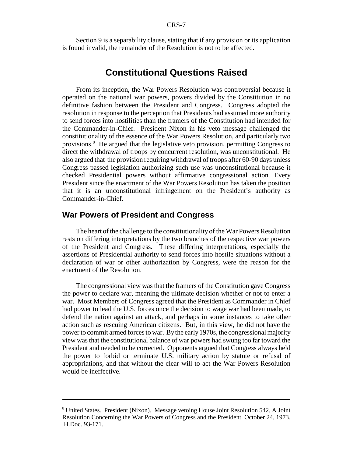Section 9 is a separability clause, stating that if any provision or its application is found invalid, the remainder of the Resolution is not to be affected.

## **Constitutional Questions Raised**

From its inception, the War Powers Resolution was controversial because it operated on the national war powers, powers divided by the Constitution in no definitive fashion between the President and Congress. Congress adopted the resolution in response to the perception that Presidents had assumed more authority to send forces into hostilities than the framers of the Constitution had intended for the Commander-in-Chief. President Nixon in his veto message challenged the constitutionality of the essence of the War Powers Resolution, and particularly two provisions.<sup>8</sup> He argued that the legislative veto provision, permitting Congress to direct the withdrawal of troops by concurrent resolution, was unconstitutional. He also argued that the provision requiring withdrawal of troops after 60-90 days unless Congress passed legislation authorizing such use was unconstitutional because it checked Presidential powers without affirmative congressional action. Every President since the enactment of the War Powers Resolution has taken the position that it is an unconstitutional infringement on the President's authority as Commander-in-Chief.

## **War Powers of President and Congress**

The heart of the challenge to the constitutionality of the War Powers Resolution rests on differing interpretations by the two branches of the respective war powers of the President and Congress. These differing interpretations, especially the assertions of Presidential authority to send forces into hostile situations without a declaration of war or other authorization by Congress, were the reason for the enactment of the Resolution.

The congressional view was that the framers of the Constitution gave Congress the power to declare war, meaning the ultimate decision whether or not to enter a war. Most Members of Congress agreed that the President as Commander in Chief had power to lead the U.S. forces once the decision to wage war had been made, to defend the nation against an attack, and perhaps in some instances to take other action such as rescuing American citizens. But, in this view, he did not have the power to commit armed forces to war. By the early 1970s, the congressional majority view was that the constitutional balance of war powers had swung too far toward the President and needed to be corrected. Opponents argued that Congress always held the power to forbid or terminate U.S. military action by statute or refusal of appropriations, and that without the clear will to act the War Powers Resolution would be ineffective.

<sup>8</sup> United States. President (Nixon). Message vetoing House Joint Resolution 542, A Joint Resolution Concerning the War Powers of Congress and the President. October 24, 1973. H.Doc. 93-171.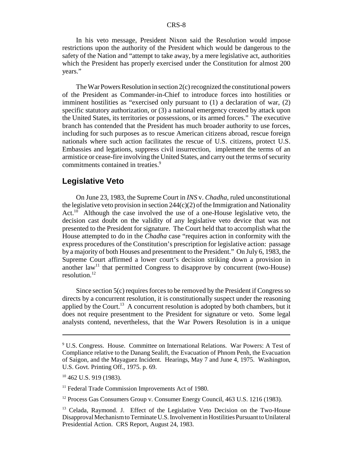In his veto message, President Nixon said the Resolution would impose restrictions upon the authority of the President which would be dangerous to the safety of the Nation and "attempt to take away, by a mere legislative act, authorities which the President has properly exercised under the Constitution for almost 200 years."

The War Powers Resolution in section 2(c) recognized the constitutional powers of the President as Commander-in-Chief to introduce forces into hostilities or imminent hostilities as "exercised only pursuant to (1) a declaration of war, (2) specific statutory authorization, or (3) a national emergency created by attack upon the United States, its territories or possessions, or its armed forces." The executive branch has contended that the President has much broader authority to use forces, including for such purposes as to rescue American citizens abroad, rescue foreign nationals where such action facilitates the rescue of U.S. citizens, protect U.S. Embassies and legations, suppress civil insurrection, implement the terms of an armistice or cease-fire involving the United States, and carry out the terms of security commitments contained in treaties.<sup>9</sup>

#### **Legislative Veto**

On June 23, 1983, the Supreme Court in *INS* v. *Chadha*, ruled unconstitutional the legislative veto provision in section  $244(c)(2)$  of the Immigration and Nationality Act. $10$  Although the case involved the use of a one-House legislative veto, the decision cast doubt on the validity of any legislative veto device that was not presented to the President for signature. The Court held that to accomplish what the House attempted to do in the *Chadha* case "requires action in conformity with the express procedures of the Constitution's prescription for legislative action: passage by a majority of both Houses and presentment to the President." On July 6, 1983, the Supreme Court affirmed a lower court's decision striking down a provision in another  $law<sup>11</sup>$  that permitted Congress to disapprove by concurrent (two-House) resolution. $12$ 

Since section 5(c) requires forces to be removed by the President if Congress so directs by a concurrent resolution, it is constitutionally suspect under the reasoning applied by the Court.<sup>13</sup> A concurrent resolution is adopted by both chambers, but it does not require presentment to the President for signature or veto. Some legal analysts contend, nevertheless, that the War Powers Resolution is in a unique

<sup>&</sup>lt;sup>9</sup> U.S. Congress. House. Committee on International Relations. War Powers: A Test of Compliance relative to the Danang Sealift, the Evacuation of Phnom Penh, the Evacuation of Saigon, and the Mayaguez Incident. Hearings, May 7 and June 4, 1975. Washington, U.S. Govt. Printing Off., 1975. p. 69.

<sup>&</sup>lt;sup>10</sup> 462 U.S. 919 (1983).

<sup>&</sup>lt;sup>11</sup> Federal Trade Commission Improvements Act of 1980.

<sup>&</sup>lt;sup>12</sup> Process Gas Consumers Group v. Consumer Energy Council, 463 U.S. 1216 (1983).

<sup>&</sup>lt;sup>13</sup> Celada, Raymond. J. Effect of the Legislative Veto Decision on the Two-House Disapproval Mechanism to Terminate U.S. Involvement in Hostilities Pursuant to Unilateral Presidential Action. CRS Report, August 24, 1983.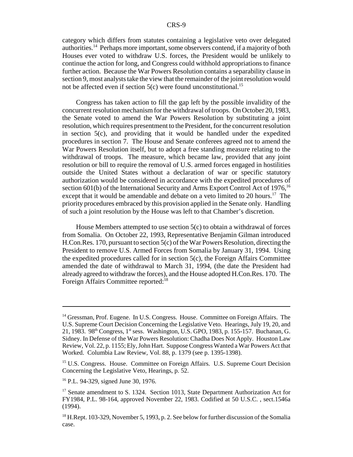category which differs from statutes containing a legislative veto over delegated authorities.14 Perhaps more important, some observers contend, if a majority of both Houses ever voted to withdraw U.S. forces, the President would be unlikely to continue the action for long, and Congress could withhold appropriations to finance further action. Because the War Powers Resolution contains a separability clause in section 9, most analysts take the view that the remainder of the joint resolution would not be affected even if section  $5(c)$  were found unconstitutional.<sup>15</sup>

Congress has taken action to fill the gap left by the possible invalidity of the concurrent resolution mechanism for the withdrawal of troops. On October 20, 1983, the Senate voted to amend the War Powers Resolution by substituting a joint resolution, which requires presentment to the President, for the concurrent resolution in section  $5(c)$ , and providing that it would be handled under the expedited procedures in section 7. The House and Senate conferees agreed not to amend the War Powers Resolution itself, but to adopt a free standing measure relating to the withdrawal of troops. The measure, which became law, provided that any joint resolution or bill to require the removal of U.S. armed forces engaged in hostilities outside the United States without a declaration of war or specific statutory authorization would be considered in accordance with the expedited procedures of section  $601(b)$  of the International Security and Arms Export Control Act of 1976,  $16$ except that it would be amendable and debate on a veto limited to 20 hours.<sup>17</sup> The priority procedures embraced by this provision applied in the Senate only. Handling of such a joint resolution by the House was left to that Chamber's discretion.

House Members attempted to use section 5(c) to obtain a withdrawal of forces from Somalia. On October 22, 1993, Representative Benjamin Gilman introduced H.Con.Res. 170, pursuant to section 5(c) of the War Powers Resolution, directing the President to remove U.S. Armed Forces from Somalia by January 31, 1994. Using the expedited procedures called for in section 5(c), the Foreign Affairs Committee amended the date of withdrawal to March 31, 1994, (the date the President had already agreed to withdraw the forces), and the House adopted H.Con.Res. 170. The Foreign Affairs Committee reported:<sup>18</sup>

<sup>&</sup>lt;sup>14</sup> Gressman, Prof. Eugene. In U.S. Congress. House. Committee on Foreign Affairs. The U.S. Supreme Court Decision Concerning the Legislative Veto. Hearings, July 19, 20, and 21, 1983. 98<sup>th</sup> Congress, 1<sup>st</sup> sess. Washington, U.S. GPO, 1983, p. 155-157. Buchanan, G. Sidney. In Defense of the War Powers Resolution: Chadha Does Not Apply. Houston Law Review, Vol. 22, p. 1155; Ely, John Hart. Suppose Congress Wanted a War Powers Act that Worked. Columbia Law Review, Vol. 88, p. 1379 (see p. 1395-1398).

<sup>&</sup>lt;sup>15</sup> U.S. Congress. House. Committee on Foreign Affairs. U.S. Supreme Court Decision Concerning the Legislative Veto, Hearings, p. 52.

<sup>16</sup> P.L. 94-329, signed June 30, 1976.

<sup>&</sup>lt;sup>17</sup> Senate amendment to S. 1324. Section 1013, State Department Authorization Act for FY1984, P.L. 98-164, approved November 22, 1983. Codified at 50 U.S.C. , sect.1546a (1994).

<sup>&</sup>lt;sup>18</sup> H.Rept. 103-329, November 5, 1993, p. 2. See below for further discussion of the Somalia case.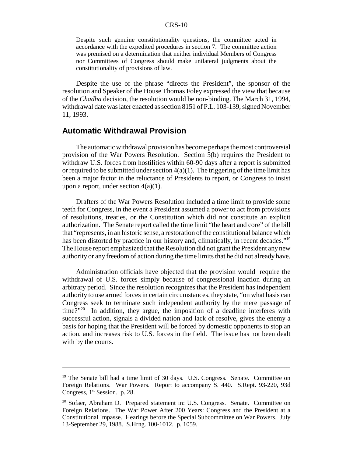Despite such genuine constitutionality questions, the committee acted in accordance with the expedited procedures in section 7. The committee action was premised on a determination that neither individual Members of Congress nor Committees of Congress should make unilateral judgments about the constitutionality of provisions of law.

Despite the use of the phrase "directs the President", the sponsor of the resolution and Speaker of the House Thomas Foley expressed the view that because of the *Chadha* decision, the resolution would be non-binding. The March 31, 1994, withdrawal date was later enacted as section 8151 of P.L. 103-139, signed November 11, 1993.

#### **Automatic Withdrawal Provision**

The automatic withdrawal provision has become perhaps the most controversial provision of the War Powers Resolution. Section 5(b) requires the President to withdraw U.S. forces from hostilities within 60-90 days after a report is submitted or required to be submitted under section  $4(a)(1)$ . The triggering of the time limit has been a major factor in the reluctance of Presidents to report, or Congress to insist upon a report, under section  $4(a)(1)$ .

Drafters of the War Powers Resolution included a time limit to provide some teeth for Congress, in the event a President assumed a power to act from provisions of resolutions, treaties, or the Constitution which did not constitute an explicit authorization. The Senate report called the time limit "the heart and core" of the bill that "represents, in an historic sense, a restoration of the constitutional balance which has been distorted by practice in our history and, climatically, in recent decades."<sup>19</sup> The House report emphasized that the Resolution did not grant the President any new authority or any freedom of action during the time limits that he did not already have.

Administration officials have objected that the provision would require the withdrawal of U.S. forces simply because of congressional inaction during an arbitrary period. Since the resolution recognizes that the President has independent authority to use armed forces in certain circumstances, they state, "on what basis can Congress seek to terminate such independent authority by the mere passage of time?"<sup>20</sup> In addition, they argue, the imposition of a deadline interferes with successful action, signals a divided nation and lack of resolve, gives the enemy a basis for hoping that the President will be forced by domestic opponents to stop an action, and increases risk to U.S. forces in the field. The issue has not been dealt with by the courts.

<sup>&</sup>lt;sup>19</sup> The Senate bill had a time limit of 30 days. U.S. Congress. Senate. Committee on Foreign Relations. War Powers. Report to accompany S. 440. S.Rept. 93-220, 93d Congress, 1<sup>st</sup> Session. p. 28.

<sup>&</sup>lt;sup>20</sup> Sofaer, Abraham D. Prepared statement in: U.S. Congress. Senate. Committee on Foreign Relations. The War Power After 200 Years: Congress and the President at a Constitutional Impasse. Hearings before the Special Subcommittee on War Powers. July 13-September 29, 1988. S.Hrng. 100-1012. p. 1059.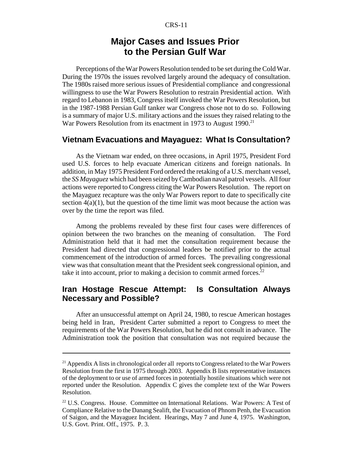# **Major Cases and Issues Prior to the Persian Gulf War**

Perceptions of the War Powers Resolution tended to be set during the Cold War. During the 1970s the issues revolved largely around the adequacy of consultation. The 1980s raised more serious issues of Presidential compliance and congressional willingness to use the War Powers Resolution to restrain Presidential action. With regard to Lebanon in 1983, Congress itself invoked the War Powers Resolution, but in the 1987-1988 Persian Gulf tanker war Congress chose not to do so. Following is a summary of major U.S. military actions and the issues they raised relating to the War Powers Resolution from its enactment in 1973 to August 1990.<sup>21</sup>

#### **Vietnam Evacuations and Mayaguez: What Is Consultation?**

As the Vietnam war ended, on three occasions, in April 1975, President Ford used U.S. forces to help evacuate American citizens and foreign nationals. In addition, in May 1975 President Ford ordered the retaking of a U.S. merchant vessel, the *SS Mayaguez* which had been seized by Cambodian naval patrol vessels. All four actions were reported to Congress citing the War Powers Resolution. The report on the Mayaguez recapture was the only War Powers report to date to specifically cite section  $4(a)(1)$ , but the question of the time limit was moot because the action was over by the time the report was filed.

Among the problems revealed by these first four cases were differences of opinion between the two branches on the meaning of consultation. The Ford Administration held that it had met the consultation requirement because the President had directed that congressional leaders be notified prior to the actual commencement of the introduction of armed forces. The prevailing congressional view was that consultation meant that the President seek congressional opinion, and take it into account, prior to making a decision to commit armed forces. $22$ 

## **Iran Hostage Rescue Attempt: Is Consultation Always Necessary and Possible?**

After an unsuccessful attempt on April 24, 1980, to rescue American hostages being held in Iran, President Carter submitted a report to Congress to meet the requirements of the War Powers Resolution, but he did not consult in advance. The Administration took the position that consultation was not required because the

<sup>&</sup>lt;sup>21</sup> Appendix A lists in chronological order all reports to Congress related to the War Powers Resolution from the first in 1975 through 2003. Appendix B lists representative instances of the deployment to or use of armed forces in potentially hostile situations which were not reported under the Resolution. Appendix C gives the complete text of the War Powers Resolution.

<sup>&</sup>lt;sup>22</sup> U.S. Congress. House. Committee on International Relations. War Powers: A Test of Compliance Relative to the Danang Sealift, the Evacuation of Phnom Penh, the Evacuation of Saigon, and the Mayaguez Incident. Hearings, May 7 and June 4, 1975. Washington, U.S. Govt. Print. Off., 1975. P. 3.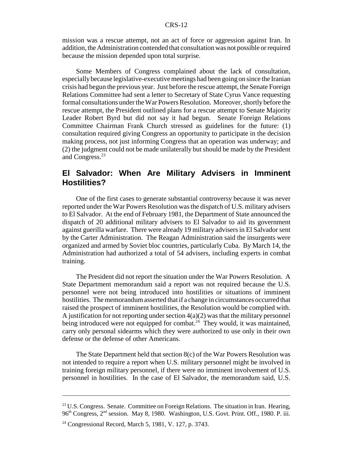mission was a rescue attempt, not an act of force or aggression against Iran. In addition, the Administration contended that consultation was not possible or required because the mission depended upon total surprise.

Some Members of Congress complained about the lack of consultation, especially because legislative-executive meetings had been going on since the Iranian crisis had begun the previous year. Just before the rescue attempt, the Senate Foreign Relations Committee had sent a letter to Secretary of State Cyrus Vance requesting formal consultations under the War Powers Resolution. Moreover, shortly before the rescue attempt, the President outlined plans for a rescue attempt to Senate Majority Leader Robert Byrd but did not say it had begun. Senate Foreign Relations Committee Chairman Frank Church stressed as guidelines for the future: (1) consultation required giving Congress an opportunity to participate in the decision making process, not just informing Congress that an operation was underway; and (2) the judgment could not be made unilaterally but should be made by the President and Congress.23

## **El Salvador: When Are Military Advisers in Imminent Hostilities?**

One of the first cases to generate substantial controversy because it was never reported under the War Powers Resolution was the dispatch of U.S. military advisers to El Salvador. At the end of February 1981, the Department of State announced the dispatch of 20 additional military advisers to El Salvador to aid its government against guerilla warfare. There were already 19 military advisers in El Salvador sent by the Carter Administration. The Reagan Administration said the insurgents were organized and armed by Soviet bloc countries, particularly Cuba. By March 14, the Administration had authorized a total of 54 advisers, including experts in combat training.

The President did not report the situation under the War Powers Resolution. A State Department memorandum said a report was not required because the U.S. personnel were not being introduced into hostilities or situations of imminent hostilities. The memorandum asserted that if a change in circumstances occurred that raised the prospect of imminent hostilities, the Resolution would be complied with. A justification for not reporting under section  $4(a)(2)$  was that the military personnel being introduced were not equipped for combat.<sup>24</sup> They would, it was maintained, carry only personal sidearms which they were authorized to use only in their own defense or the defense of other Americans.

The State Department held that section 8(c) of the War Powers Resolution was not intended to require a report when U.S. military personnel might be involved in training foreign military personnel, if there were no imminent involvement of U.S. personnel in hostilities. In the case of El Salvador, the memorandum said, U.S.

 $23$  U.S. Congress. Senate. Committee on Foreign Relations. The situation in Iran. Hearing, 96<sup>th</sup> Congress, 2<sup>nd</sup> session. May 8, 1980. Washington, U.S. Govt. Print. Off., 1980. P. iii.

 $24$  Congressional Record, March 5, 1981, V. 127, p. 3743.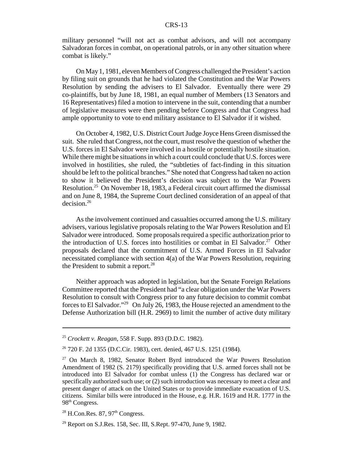military personnel "will not act as combat advisors, and will not accompany Salvadoran forces in combat, on operational patrols, or in any other situation where combat is likely."

On May 1, 1981, eleven Members of Congress challenged the President's action by filing suit on grounds that he had violated the Constitution and the War Powers Resolution by sending the advisers to El Salvador. Eventually there were 29 co-plaintiffs, but by June 18, 1981, an equal number of Members (13 Senators and 16 Representatives) filed a motion to intervene in the suit, contending that a number of legislative measures were then pending before Congress and that Congress had ample opportunity to vote to end military assistance to El Salvador if it wished.

On October 4, 1982, U.S. District Court Judge Joyce Hens Green dismissed the suit. She ruled that Congress, not the court, must resolve the question of whether the U.S. forces in El Salvador were involved in a hostile or potentially hostile situation. While there might be situations in which a court could conclude that U.S. forces were involved in hostilities, she ruled, the "subtleties of fact-finding in this situation should be left to the political branches." She noted that Congress had taken no action to show it believed the President's decision was subject to the War Powers Resolution.25 On November 18, 1983, a Federal circuit court affirmed the dismissal and on June 8, 1984, the Supreme Court declined consideration of an appeal of that decision.26

As the involvement continued and casualties occurred among the U.S. military advisers, various legislative proposals relating to the War Powers Resolution and El Salvador were introduced. Some proposals required a specific authorization prior to the introduction of U.S. forces into hostilities or combat in El Salvador.<sup>27</sup> Other proposals declared that the commitment of U.S. Armed Forces in El Salvador necessitated compliance with section 4(a) of the War Powers Resolution, requiring the President to submit a report.<sup>28</sup>

Neither approach was adopted in legislation, but the Senate Foreign Relations Committee reported that the President had "a clear obligation under the War Powers Resolution to consult with Congress prior to any future decision to commit combat forces to El Salvador."29 On July 26, 1983, the House rejected an amendment to the Defense Authorization bill (H.R. 2969) to limit the number of active duty military

<sup>25</sup> *Crockett v. Reagan*, 558 F. Supp. 893 (D.D.C. 1982).

<sup>26 720</sup> F. 2d 1355 (D.C.Cir. 1983), cert. denied, 467 U.S. 1251 (1984).

 $27$  On March 8, 1982, Senator Robert Byrd introduced the War Powers Resolution Amendment of 1982 (S. 2179) specifically providing that U.S. armed forces shall not be introduced into El Salvador for combat unless (1) the Congress has declared war or specifically authorized such use; or (2) such introduction was necessary to meet a clear and present danger of attack on the United States or to provide immediate evacuation of U.S. citizens. Similar bills were introduced in the House, e.g. H.R. 1619 and H.R. 1777 in the 98<sup>th</sup> Congress.

 $28$  H.Con.Res. 87, 97<sup>th</sup> Congress.

<sup>29</sup> Report on S.J.Res. 158, Sec. III, S.Rept. 97-470, June 9, 1982.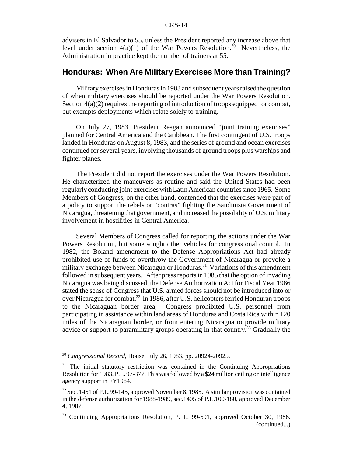advisers in El Salvador to 55, unless the President reported any increase above that level under section  $4(a)(1)$  of the War Powers Resolution.<sup>30</sup> Nevertheless, the Administration in practice kept the number of trainers at 55.

## **Honduras: When Are Military Exercises More than Training?**

Military exercises in Honduras in 1983 and subsequent years raised the question of when military exercises should be reported under the War Powers Resolution. Section  $4(a)(2)$  requires the reporting of introduction of troops equipped for combat, but exempts deployments which relate solely to training.

On July 27, 1983, President Reagan announced "joint training exercises" planned for Central America and the Caribbean. The first contingent of U.S. troops landed in Honduras on August 8, 1983, and the series of ground and ocean exercises continued for several years, involving thousands of ground troops plus warships and fighter planes.

The President did not report the exercises under the War Powers Resolution. He characterized the maneuvers as routine and said the United States had been regularly conducting joint exercises with Latin American countries since 1965. Some Members of Congress, on the other hand, contended that the exercises were part of a policy to support the rebels or "contras" fighting the Sandinista Government of Nicaragua, threatening that government, and increased the possibility of U.S. military involvement in hostilities in Central America.

Several Members of Congress called for reporting the actions under the War Powers Resolution, but some sought other vehicles for congressional control. In 1982, the Boland amendment to the Defense Appropriations Act had already prohibited use of funds to overthrow the Government of Nicaragua or provoke a military exchange between Nicaragua or Honduras.<sup>31</sup> Variations of this amendment followed in subsequent years. After press reports in 1985 that the option of invading Nicaragua was being discussed, the Defense Authorization Act for Fiscal Year 1986 stated the sense of Congress that U.S. armed forces should not be introduced into or over Nicaragua for combat.<sup>32</sup> In 1986, after U.S. helicopters ferried Honduran troops to the Nicaraguan border area, Congress prohibited U.S. personnel from participating in assistance within land areas of Honduras and Costa Rica within 120 miles of the Nicaraguan border, or from entering Nicaragua to provide military advice or support to paramilitary groups operating in that country.<sup>33</sup> Gradually the

<sup>30</sup> *Congressional Record*, House, July 26, 1983, pp. 20924-20925.

<sup>&</sup>lt;sup>31</sup> The initial statutory restriction was contained in the Continuing Appropriations Resolution for 1983, P.L. 97-377. This was followed by a \$24 million ceiling on intelligence agency support in FY1984.

 $32$  Sec. 1451 of P.L.99-145, approved November 8, 1985. A similar provision was contained in the defense authorization for 1988-1989, sec.1405 of P.L.100-180, approved December 4, 1987.

<sup>&</sup>lt;sup>33</sup> Continuing Appropriations Resolution, P. L. 99-591, approved October 30, 1986. (continued...)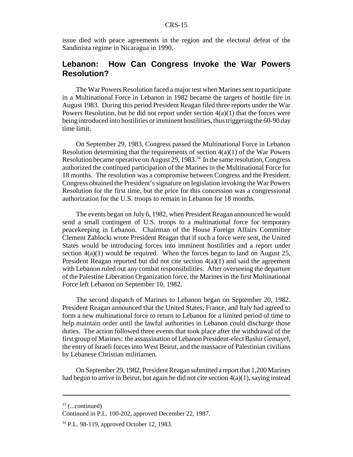issue died with peace agreements in the region and the electoral defeat of the Sandinista regime in Nicaragua in 1990.

## **Lebanon: How Can Congress Invoke the War Powers Resolution?**

The War Powers Resolution faced a major test when Marines sent to participate in a Multinational Force in Lebanon in 1982 became the targets of hostile fire in August 1983. During this period President Reagan filed three reports under the War Powers Resolution, but he did not report under section  $4(a)(1)$  that the forces were being introduced into hostilities or imminent hostilities, thus triggering the 60-90 day time limit.

On September 29, 1983, Congress passed the Multinational Force in Lebanon Resolution determining that the requirements of section  $4(a)(1)$  of the War Powers Resolution became operative on August 29, 1983.<sup>34</sup> In the same resolution, Congress authorized the continued participation of the Marines in the Multinational Force for 18 months. The resolution was a compromise between Congress and the President. Congress obtained the President's signature on legislation invoking the War Powers Resolution for the first time, but the price for this concession was a congressional authorization for the U.S. troops to remain in Lebanon for 18 months.

The events began on July 6, 1982, when President Reagan announced he would send a small contingent of U.S. troops to a multinational force for temporary peacekeeping in Lebanon. Chairman of the House Foreign Affairs Committee Clement Zablocki wrote President Reagan that if such a force were sent, the United States would be introducing forces into imminent hostilities and a report under section  $4(a)(1)$  would be required. When the forces began to land on August 25, President Reagan reported but did not cite section  $4(a)(1)$  and said the agreement with Lebanon ruled out any combat responsibilities. After overseeing the departure of the Palestine Liberation Organization force, the Marines in the first Multinational Force left Lebanon on September 10, 1982.

The second dispatch of Marines to Lebanon began on September 20, 1982. President Reagan announced that the United States, France, and Italy had agreed to form a new multinational force to return to Lebanon for a limited period of time to help maintain order until the lawful authorities in Lebanon could discharge those duties. The action followed three events that took place after the withdrawal of the first group of Marines: the assassination of Lebanon President-elect Bashir Gemayel, the entry of Israeli forces into West Beirut, and the massacre of Palestinian civilians by Lebanese Christian militiamen.

On September 29, 1982, President Reagan submitted a report that 1,200 Marines had begun to arrive in Beirut, but again he did not cite section 4(a)(1), saying instead

 $33$  (...continued)

Continued in P.L. 100-202, approved December 22, 1987.

<sup>34</sup> P.L. 98-119, approved October 12, 1983.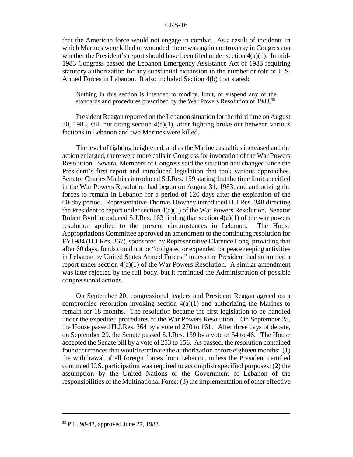that the American force would not engage in combat. As a result of incidents in which Marines were killed or wounded, there was again controversy in Congress on whether the President's report should have been filed under section  $4(a)(1)$ . In mid-1983 Congress passed the Lebanon Emergency Assistance Act of 1983 requiring statutory authorization for any substantial expansion in the number or role of U.S. Armed Forces in Lebanon. It also included Section 4(b) that stated:

Nothing in this section is intended to modify, limit, or suspend any of the standards and procedures prescribed by the War Powers Resolution of 1983.<sup>35</sup>

President Reagan reported on the Lebanon situation for the third time on August 30, 1983, still not citing section  $4(a)(1)$ , after fighting broke out between various factions in Lebanon and two Marines were killed.

The level of fighting heightened, and as the Marine casualties increased and the action enlarged, there were more calls in Congress for invocation of the War Powers Resolution. Several Members of Congress said the situation had changed since the President's first report and introduced legislation that took various approaches. Senator Charles Mathias introduced S.J.Res. 159 stating that the time limit specified in the War Powers Resolution had begun on August 31, 1983, and authorizing the forces to remain in Lebanon for a period of 120 days after the expiration of the 60-day period. Representative Thomas Downey introduced H.J.Res. 348 directing the President to report under section  $4(a)(1)$  of the War Powers Resolution. Senator Robert Byrd introduced S.J.Res. 163 finding that section  $4(a)(1)$  of the war powers resolution applied to the present circumstances in Lebanon. The House Appropriations Committee approved an amendment to the continuing resolution for FY1984 (H.J.Res. 367), sponsored by Representative Clarence Long, providing that after 60 days, funds could not be "obligated or expended for peacekeeping activities in Lebanon by United States Armed Forces," unless the President had submitted a report under section  $4(a)(1)$  of the War Powers Resolution. A similar amendment was later rejected by the full body, but it reminded the Administration of possible congressional actions.

On September 20, congressional leaders and President Reagan agreed on a compromise resolution invoking section  $4(a)(1)$  and authorizing the Marines to remain for 18 months. The resolution became the first legislation to be handled under the expedited procedures of the War Powers Resolution. On September 28, the House passed H.J.Res. 364 by a vote of 270 to 161. After three days of debate, on September 29, the Senate passed S.J.Res. 159 by a vote of 54 to 46. The House accepted the Senate bill by a vote of 253 to 156. As passed, the resolution contained four occurrences that would terminate the authorization before eighteen months: (1) the withdrawal of all foreign forces from Lebanon, unless the President certified continued U.S. participation was required to accomplish specified purposes; (2) the assumption by the United Nations or the Government of Lebanon of the responsibilities of the Multinational Force; (3) the implementation of other effective

<sup>35</sup> P.L. 98-43, approved June 27, 1983.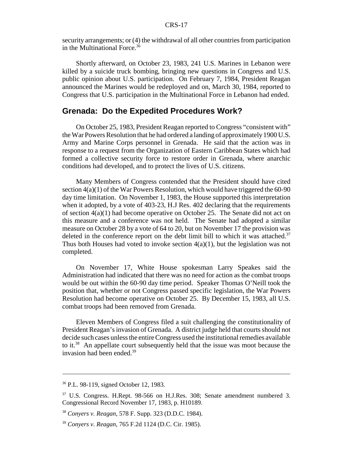security arrangements; or (4) the withdrawal of all other countries from participation in the Multinational Force.<sup>36</sup>

Shortly afterward, on October 23, 1983, 241 U.S. Marines in Lebanon were killed by a suicide truck bombing, bringing new questions in Congress and U.S. public opinion about U.S. participation. On February 7, 1984, President Reagan announced the Marines would be redeployed and on, March 30, 1984, reported to Congress that U.S. participation in the Multinational Force in Lebanon had ended.

#### **Grenada: Do the Expedited Procedures Work?**

On October 25, 1983, President Reagan reported to Congress "consistent with" the War Powers Resolution that he had ordered a landing of approximately 1900 U.S. Army and Marine Corps personnel in Grenada. He said that the action was in response to a request from the Organization of Eastern Caribbean States which had formed a collective security force to restore order in Grenada, where anarchic conditions had developed, and to protect the lives of U.S. citizens.

Many Members of Congress contended that the President should have cited section  $4(a)(1)$  of the War Powers Resolution, which would have triggered the 60-90 day time limitation. On November 1, 1983, the House supported this interpretation when it adopted, by a vote of 403-23, H.J Res. 402 declaring that the requirements of section 4(a)(1) had become operative on October 25. The Senate did not act on this measure and a conference was not held. The Senate had adopted a similar measure on October 28 by a vote of 64 to 20, but on November 17 the provision was deleted in the conference report on the debt limit bill to which it was attached.<sup>37</sup> Thus both Houses had voted to invoke section  $4(a)(1)$ , but the legislation was not completed.

On November 17, White House spokesman Larry Speakes said the Administration had indicated that there was no need for action as the combat troops would be out within the 60-90 day time period. Speaker Thomas O'Neill took the position that, whether or not Congress passed specific legislation, the War Powers Resolution had become operative on October 25. By December 15, 1983, all U.S. combat troops had been removed from Grenada.

Eleven Members of Congress filed a suit challenging the constitutionality of President Reagan's invasion of Grenada. A district judge held that courts should not decide such cases unless the entire Congress used the institutional remedies available to it.<sup>38</sup> An appellate court subsequently held that the issue was moot because the invasion had been ended.39

<sup>36</sup> P.L. 98-119, signed October 12, 1983.

<sup>37</sup> U.S. Congress. H.Rept. 98-566 on H.J.Res. 308; Senate amendment numbered 3. Congressional Record November 17, 1983, p. H10189.

<sup>38</sup> *Conyers v. Reagan*, 578 F. Supp. 323 (D.D.C. 1984).

<sup>39</sup> *Conyers v. Reagan*, 765 F.2d 1124 (D.C. Cir. 1985).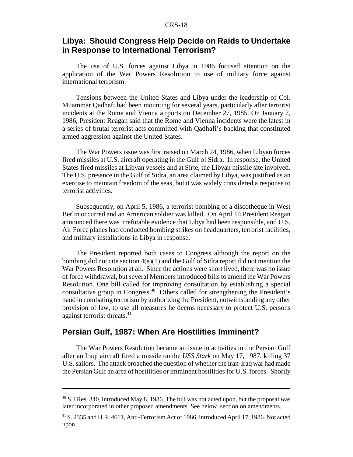## **Libya: Should Congress Help Decide on Raids to Undertake in Response to International Terrorism?**

The use of U.S. forces against Libya in 1986 focused attention on the application of the War Powers Resolution to use of military force against international terrorism.

Tensions between the United States and Libya under the leadership of Col. Muammar Qadhafi had been mounting for several years, particularly after terrorist incidents at the Rome and Vienna airports on December 27, 1985. On January 7, 1986, President Reagan said that the Rome and Vienna incidents were the latest in a series of brutal terrorist acts committed with Qadhafi's backing that constituted armed aggression against the United States.

The War Powers issue was first raised on March 24, 1986, when Libyan forces fired missiles at U.S. aircraft operating in the Gulf of Sidra. In response, the United States fired missiles at Libyan vessels and at Sirte, the Libyan missile site involved. The U.S. presence in the Gulf of Sidra, an area claimed by Libya, was justified as an exercise to maintain freedom of the seas, but it was widely considered a response to terrorist activities.

Subsequently, on April 5, 1986, a terrorist bombing of a discotheque in West Berlin occurred and an American soldier was killed. On April 14 President Reagan announced there was irrefutable evidence that Libya had been responsible, and U.S. Air Force planes had conducted bombing strikes on headquarters, terrorist facilities, and military installations in Libya in response.

The President reported both cases to Congress although the report on the bombing did not cite section  $4(a)(1)$  and the Gulf of Sidra report did not mention the War Powers Resolution at all. Since the actions were short lived, there was no issue of force withdrawal, but several Members introduced bills to amend the War Powers Resolution. One bill called for improving consultation by establishing a special consultative group in Congress.40 Others called for strengthening the President's hand in combating terrorism by authorizing the President, notwithstanding any other provision of law, to use all measures he deems necessary to protect U.S. persons against terrorist threats.<sup>41</sup>

#### **Persian Gulf, 1987: When Are Hostilities Imminent?**

The War Powers Resolution became an issue in activities in the Persian Gulf after an Iraqi aircraft fired a missile on the *USS Stark* on May 17, 1987, killing 37 U.S. sailors. The attack broached the question of whether the Iran-Iraq war had made the Persian Gulf an area of hostilities or imminent hostilities for U.S. forces. Shortly

<sup>40</sup> S.J.Res. 340, introduced May 8, 1986. The bill was not acted upon, but the proposal was later incorporated in other proposed amendments. See below, section on amendments.

<sup>41</sup> S. 2335 and H.R. 4611, Anti-Terrorism Act of 1986, introduced April 17, 1986. Not acted upon.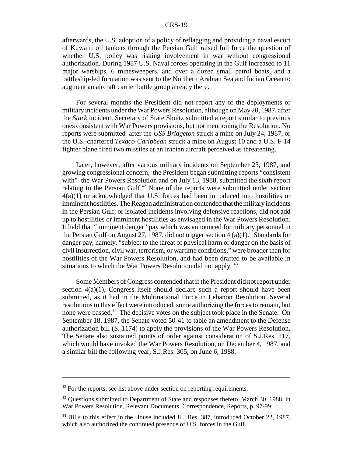afterwards, the U.S. adoption of a policy of reflagging and providing a naval escort of Kuwaiti oil tankers through the Persian Gulf raised full force the question of whether U.S. policy was risking involvement in war without congressional authorization. During 1987 U.S. Naval forces operating in the Gulf increased to 11 major warships, 6 minesweepers, and over a dozen small patrol boats, and a battleship-led formation was sent to the Northern Arabian Sea and Indian Ocean to augment an aircraft carrier battle group already there.

For several months the President did not report any of the deployments or military incidents under the War Powers Resolution, although on May 20, 1987, after the *Stark* incident, Secretary of State Shultz submitted a report similar to previous ones consistent with War Powers provisions, but not mentioning the Resolution. No reports were submitted after the *USS Bridgeton* struck a mine on July 24, 1987, or the U.S.-chartered *Texaco-Caribbean* struck a mine on August 10 and a U.S. F-14 fighter plane fired two missiles at an Iranian aircraft perceived as threatening.

Later, however, after various military incidents on September 23, 1987, and growing congressional concern, the President began submitting reports "consistent with" the War Powers Resolution and on July 13, 1988, submitted the sixth report relating to the Persian Gulf.<sup>42</sup> None of the reports were submitted under section 4(a)(1) or acknowledged that U.S. forces had been introduced into hostilities or imminent hostilities. The Reagan administration contended that the military incidents in the Persian Gulf, or isolated incidents involving defensive reactions, did not add up to hostilities or imminent hostilities as envisaged in the War Powers Resolution. It held that "imminent danger" pay which was announced for military personnel in the Persian Gulf on August 27, 1987, did not trigger section 4 (a)(1). Standards for danger pay, namely, "subject to the threat of physical harm or danger on the basis of civil insurrection, civil war, terrorism, or wartime conditions," were broader than for hostilities of the War Powers Resolution, and had been drafted to be available in situations to which the War Powers Resolution did not apply.<sup>43</sup>

Some Members of Congress contended that if the President did not report under section  $4(a)(1)$ , Congress itself should declare such a report should have been submitted, as it had in the Multinational Force in Lebanon Resolution. Several resolutions to this effect were introduced, some authorizing the forces to remain, but none were passed.<sup>44</sup> The decisive votes on the subject took place in the Senate. On September 18, 1987, the Senate voted 50-41 to table an amendment to the Defense authorization bill (S. 1174) to apply the provisions of the War Powers Resolution. The Senate also sustained points of order against consideration of S.J.Res. 217, which would have invoked the War Powers Resolution, on December 4, 1987, and a similar bill the following year, S.J.Res. 305, on June 6, 1988.

 $42$  For the reports, see list above under section on reporting requirements.

<sup>&</sup>lt;sup>43</sup> Questions submitted to Department of State and responses thereto, March 30, 1988, in War Powers Resolution, Relevant Documents, Correspondence, Reports, p. 97-99.

<sup>&</sup>lt;sup>44</sup> Bills to this effect in the House included H.J.Res. 387, introduced October 22, 1987, which also authorized the continued presence of U.S. forces in the Gulf.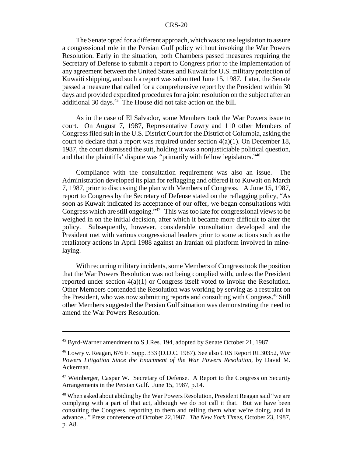The Senate opted for a different approach, which was to use legislation to assure a congressional role in the Persian Gulf policy without invoking the War Powers Resolution. Early in the situation, both Chambers passed measures requiring the Secretary of Defense to submit a report to Congress prior to the implementation of any agreement between the United States and Kuwait for U.S. military protection of Kuwaiti shipping, and such a report was submitted June 15, 1987. Later, the Senate passed a measure that called for a comprehensive report by the President within 30 days and provided expedited procedures for a joint resolution on the subject after an additional 30 days.45 The House did not take action on the bill.

As in the case of El Salvador, some Members took the War Powers issue to court. On August 7, 1987, Representative Lowry and 110 other Members of Congress filed suit in the U.S. District Court for the District of Columbia, asking the court to declare that a report was required under section  $4(a)(1)$ . On December 18, 1987, the court dismissed the suit, holding it was a nonjusticiable political question, and that the plaintiffs' dispute was "primarily with fellow legislators."<sup>46</sup>

Compliance with the consultation requirement was also an issue. The Administration developed its plan for reflagging and offered it to Kuwait on March 7, 1987, prior to discussing the plan with Members of Congress. A June 15, 1987, report to Congress by the Secretary of Defense stated on the reflagging policy, "As soon as Kuwait indicated its acceptance of our offer, we began consultations with Congress which are still ongoing.<sup> $347$ </sup> This was too late for congressional views to be weighed in on the initial decision, after which it became more difficult to alter the policy. Subsequently, however, considerable consultation developed and the President met with various congressional leaders prior to some actions such as the retaliatory actions in April 1988 against an Iranian oil platform involved in minelaying.

With recurring military incidents, some Members of Congress took the position that the War Powers Resolution was not being complied with, unless the President reported under section  $4(a)(1)$  or Congress itself voted to invoke the Resolution. Other Members contended the Resolution was working by serving as a restraint on the President, who was now submitting reports and consulting with Congress.<sup>48</sup> Still other Members suggested the Persian Gulf situation was demonstrating the need to amend the War Powers Resolution.

<sup>45</sup> Byrd-Warner amendment to S.J.Res. 194, adopted by Senate October 21, 1987.

<sup>46</sup> Lowry v. Reagan, 676 F. Supp. 333 (D.D.C. 1987). See also CRS Report RL30352, *War Powers Litigation Since the Enactment of the War Powers Resolution*, by David M. Ackerman.

<sup>&</sup>lt;sup>47</sup> Weinberger, Caspar W. Secretary of Defense. A Report to the Congress on Security Arrangements in the Persian Gulf. June 15, 1987, p.14.

<sup>&</sup>lt;sup>48</sup> When asked about abiding by the War Powers Resolution, President Reagan said "we are complying with a part of that act, although we do not call it that. But we have been consulting the Congress, reporting to them and telling them what we're doing, and in advance..." Press conference of October 22,1987. *The New York Times*, October 23, 1987, p. A8.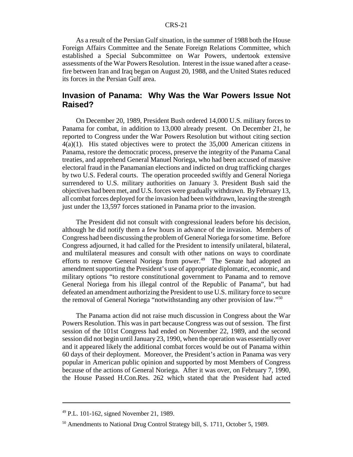As a result of the Persian Gulf situation, in the summer of 1988 both the House Foreign Affairs Committee and the Senate Foreign Relations Committee, which established a Special Subcommittee on War Powers, undertook extensive assessments of the War Powers Resolution. Interest in the issue waned after a ceasefire between Iran and Iraq began on August 20, 1988, and the United States reduced its forces in the Persian Gulf area.

## **Invasion of Panama: Why Was the War Powers Issue Not Raised?**

On December 20, 1989, President Bush ordered 14,000 U.S. military forces to Panama for combat, in addition to 13,000 already present. On December 21, he reported to Congress under the War Powers Resolution but without citing section 4(a)(1). His stated objectives were to protect the 35,000 American citizens in Panama, restore the democratic process, preserve the integrity of the Panama Canal treaties, and apprehend General Manuel Noriega, who had been accused of massive electoral fraud in the Panamanian elections and indicted on drug trafficking charges by two U.S. Federal courts. The operation proceeded swiftly and General Noriega surrendered to U.S. military authorities on January 3. President Bush said the objectives had been met, and U.S. forces were gradually withdrawn. By February 13, all combat forces deployed for the invasion had been withdrawn, leaving the strength just under the 13,597 forces stationed in Panama prior to the invasion.

The President did not consult with congressional leaders before his decision, although he did notify them a few hours in advance of the invasion. Members of Congress had been discussing the problem of General Noriega for some time. Before Congress adjourned, it had called for the President to intensify unilateral, bilateral, and multilateral measures and consult with other nations on ways to coordinate efforts to remove General Noriega from power.<sup>49</sup> The Senate had adopted an amendment supporting the President's use of appropriate diplomatic, economic, and military options "to restore constitutional government to Panama and to remove General Noriega from his illegal control of the Republic of Panama", but had defeated an amendment authorizing the President to use U.S. military force to secure the removal of General Noriega "notwithstanding any other provision of law."50

The Panama action did not raise much discussion in Congress about the War Powers Resolution. This was in part because Congress was out of session. The first session of the 101st Congress had ended on November 22, 1989, and the second session did not begin until January 23, 1990, when the operation was essentially over and it appeared likely the additional combat forces would be out of Panama within 60 days of their deployment. Moreover, the President's action in Panama was very popular in American public opinion and supported by most Members of Congress because of the actions of General Noriega. After it was over, on February 7, 1990, the House Passed H.Con.Res. 262 which stated that the President had acted

<sup>49</sup> P.L. 101-162, signed November 21, 1989.

<sup>&</sup>lt;sup>50</sup> Amendments to National Drug Control Strategy bill, S. 1711, October 5, 1989.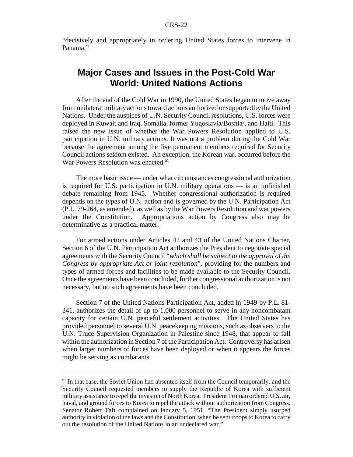"decisively and appropriately in ordering United States forces to intervene in Panama."

# **Major Cases and Issues in the Post-Cold War World: United Nations Actions**

After the end of the Cold War in 1990, the United States began to move away from unilateral military actions toward actions authorized or supported by the United Nations. Under the auspices of U.N. Security Council resolutions, U.S. forces were deployed in Kuwait and Iraq, Somalia, former Yugoslavia/Bosnia/, and Haiti. This raised the new issue of whether the War Powers Resolution applied to U.S. participation in U.N. military actions. It was not a problem during the Cold War because the agreement among the five permanent members required for Security Council actions seldom existed. An exception, the Korean war, occurred before the War Powers Resolution was enacted.<sup>51</sup>

The more basic issue — under what circumstances congressional authorization is required for U.S. participation in U.N. military operations — is an unfinished debate remaining from 1945. Whether congressional authorization is required depends on the types of U.N. action and is governed by the U.N. Participation Act (P.L. 79-264, as amended), as well as by the War Powers Resolution and war powers under the Constitution. Appropriations action by Congress also may be determinative as a practical matter.

For armed actions under Articles 42 and 43 of the United Nations Charter, Section 6 of the U.N. Participation Act authorizes the President to negotiate special agreements with the Security Council "*which shall be subject to the approval of the Congress by appropriate Act or joint resolution*", providing for the numbers and types of armed forces and facilities to be made available to the Security Council. Once the agreements have been concluded, further congressional authorization is not necessary, but no such agreements have been concluded.

 Section 7 of the United Nations Participation Act, added in 1949 by P.L. 81- 341, authorizes the detail of up to 1,000 personnel to serve in any noncombatant capacity for certain U.N. peaceful settlement activities. The United States has provided personnel to several U.N. peacekeeping missions, such as observers to the U.N. Truce Supervision Organization in Palestine since 1948, that appear to fall within the authorization in Section 7 of the Participation Act. Controversy has arisen when larger numbers of forces have been deployed or when it appears the forces might be serving as combatants.

<sup>&</sup>lt;sup>51</sup> In that case, the Soviet Union had absented itself from the Council temporarily, and the Security Council requested members to supply the Republic of Korea with sufficient military assistance to repel the invasion of North Korea. President Truman ordered U.S. air, naval, and ground forces to Korea to repel the attack without authorization from Congress. Senator Robert Taft complained on January 5, 1951, "The President simply usurped authority in violation of the laws and the Constitution, when he sent troops to Korea to carry out the resolution of the United Nations in an undeclared war."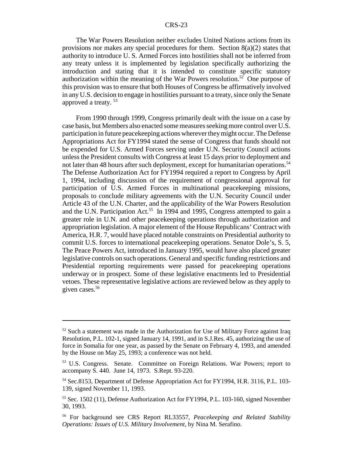The War Powers Resolution neither excludes United Nations actions from its provisions nor makes any special procedures for them. Section  $8(a)(2)$  states that authority to introduce U. S. Armed Forces into hostilities shall not be inferred from any treaty unless it is implemented by legislation specifically authorizing the introduction and stating that it is intended to constitute specific statutory authorization within the meaning of the War Powers resolution.<sup>52</sup> One purpose of this provision was to ensure that both Houses of Congress be affirmatively involved in any U.S. decision to engage in hostilities pursuant to a treaty, since only the Senate approved a treaty. 53

From 1990 through 1999, Congress primarily dealt with the issue on a case by case basis, but Members also enacted some measures seeking more control over U.S. participation in future peacekeeping actions wherever they might occur. The Defense Appropriations Act for FY1994 stated the sense of Congress that funds should not be expended for U.S. Armed Forces serving under U.N. Security Council actions unless the President consults with Congress at least 15 days prior to deployment and not later than 48 hours after such deployment, except for humanitarian operations.<sup>54</sup> The Defense Authorization Act for FY1994 required a report to Congress by April 1, 1994, including discussion of the requirement of congressional approval for participation of U.S. Armed Forces in multinational peacekeeping missions, proposals to conclude military agreements with the U.N. Security Council under Article 43 of the U.N. Charter, and the applicability of the War Powers Resolution and the U.N. Participation Act.<sup>55</sup> In 1994 and 1995, Congress attempted to gain a greater role in U.N. and other peacekeeping operations through authorization and appropriation legislation. A major element of the House Republicans' Contract with America, H.R. 7, would have placed notable constraints on Presidential authority to commit U.S. forces to international peacekeeping operations. Senator Dole's, S. 5, The Peace Powers Act, introduced in January 1995, would have also placed greater legislative controls on such operations. General and specific funding restrictions and Presidential reporting requirements were passed for peacekeeping operations underway or in prospect. Some of these legislative enactments led to Presidential vetoes. These representative legislative actions are reviewed below as they apply to given cases.<sup>56</sup>

<sup>&</sup>lt;sup>52</sup> Such a statement was made in the Authorization for Use of Military Force against Iraq Resolution, P.L. 102-1, signed January 14, 1991, and in S.J.Res. 45, authorizing the use of force in Somalia for one year, as passed by the Senate on February 4, 1993, and amended by the House on May 25, 1993; a conference was not held.

<sup>53</sup> U.S. Congress. Senate. Committee on Foreign Relations. War Powers; report to accompany S. 440. June 14, 1973. S.Rept. 93-220.

<sup>54</sup> Sec.8153, Department of Defense Appropriation Act for FY1994, H.R. 3116, P.L. 103- 139, signed November 11, 1993.

<sup>55</sup> Sec. 1502 (11), Defense Authorization Act for FY1994, P.L. 103-160, signed November 30, 1993.

<sup>56</sup> For background see CRS Report RL33557, *Peacekeeping and Related Stability Operations: Issues of U.S. Military Involvement*, by Nina M. Serafino.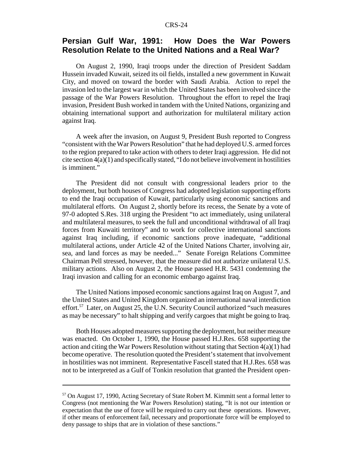#### **Persian Gulf War, 1991: How Does the War Powers Resolution Relate to the United Nations and a Real War?**

On August 2, 1990, Iraqi troops under the direction of President Saddam Hussein invaded Kuwait, seized its oil fields, installed a new government in Kuwait City, and moved on toward the border with Saudi Arabia. Action to repel the invasion led to the largest war in which the United States has been involved since the passage of the War Powers Resolution. Throughout the effort to repel the Iraqi invasion, President Bush worked in tandem with the United Nations, organizing and obtaining international support and authorization for multilateral military action against Iraq.

A week after the invasion, on August 9, President Bush reported to Congress "consistent with the War Powers Resolution" that he had deployed U.S. armed forces to the region prepared to take action with others to deter Iraqi aggression. He did not cite section 4(a)(1) and specifically stated, "I do not believe involvement in hostilities is imminent."

The President did not consult with congressional leaders prior to the deployment, but both houses of Congress had adopted legislation supporting efforts to end the Iraqi occupation of Kuwait, particularly using economic sanctions and multilateral efforts. On August 2, shortly before its recess, the Senate by a vote of 97-0 adopted S.Res. 318 urging the President "to act immediately, using unilateral and multilateral measures, to seek the full and unconditional withdrawal of all Iraqi forces from Kuwaiti territory" and to work for collective international sanctions against Iraq including, if economic sanctions prove inadequate, "additional multilateral actions, under Article 42 of the United Nations Charter, involving air, sea, and land forces as may be needed..." Senate Foreign Relations Committee Chairman Pell stressed, however, that the measure did not authorize unilateral U.S. military actions. Also on August 2, the House passed H.R. 5431 condemning the Iraqi invasion and calling for an economic embargo against Iraq.

The United Nations imposed economic sanctions against Iraq on August 7, and the United States and United Kingdom organized an international naval interdiction effort.<sup>57</sup> Later, on August 25, the U.N. Security Council authorized "such measures" as may be necessary" to halt shipping and verify cargoes that might be going to Iraq.

Both Houses adopted measures supporting the deployment, but neither measure was enacted. On October 1, 1990, the House passed H.J.Res. 658 supporting the action and citing the War Powers Resolution without stating that Section 4(a)(1) had become operative. The resolution quoted the President's statement that involvement in hostilities was not imminent. Representative Fascell stated that H.J.Res. 658 was not to be interpreted as a Gulf of Tonkin resolution that granted the President open-

<sup>&</sup>lt;sup>57</sup> On August 17, 1990, Acting Secretary of State Robert M. Kimmitt sent a formal letter to Congress (not mentioning the War Powers Resolution) stating, "It is not our intention or expectation that the use of force will be required to carry out these operations. However, if other means of enforcement fail, necessary and proportionate force will be employed to deny passage to ships that are in violation of these sanctions."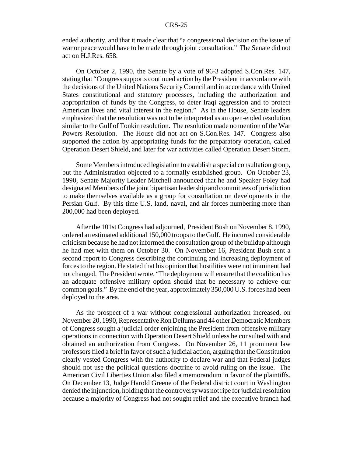ended authority, and that it made clear that "a congressional decision on the issue of war or peace would have to be made through joint consultation." The Senate did not act on H.J.Res. 658.

On October 2, 1990, the Senate by a vote of 96-3 adopted S.Con.Res. 147, stating that "Congress supports continued action by the President in accordance with the decisions of the United Nations Security Council and in accordance with United States constitutional and statutory processes, including the authorization and appropriation of funds by the Congress, to deter Iraqi aggression and to protect American lives and vital interest in the region." As in the House, Senate leaders emphasized that the resolution was not to be interpreted as an open-ended resolution similar to the Gulf of Tonkin resolution. The resolution made no mention of the War Powers Resolution. The House did not act on S.Con.Res. 147. Congress also supported the action by appropriating funds for the preparatory operation, called Operation Desert Shield, and later for war activities called Operation Desert Storm.

Some Members introduced legislation to establish a special consultation group, but the Administration objected to a formally established group. On October 23, 1990, Senate Majority Leader Mitchell announced that he and Speaker Foley had designated Members of the joint bipartisan leadership and committees of jurisdiction to make themselves available as a group for consultation on developments in the Persian Gulf. By this time U.S. land, naval, and air forces numbering more than 200,000 had been deployed.

After the 101st Congress had adjourned, President Bush on November 8, 1990, ordered an estimated additional 150,000 troops to the Gulf. He incurred considerable criticism because he had not informed the consultation group of the buildup although he had met with them on October 30. On November 16, President Bush sent a second report to Congress describing the continuing and increasing deployment of forces to the region. He stated that his opinion that hostilities were not imminent had not changed. The President wrote, "The deployment will ensure that the coalition has an adequate offensive military option should that be necessary to achieve our common goals." By the end of the year, approximately 350,000 U.S. forces had been deployed to the area.

As the prospect of a war without congressional authorization increased, on November 20, 1990, Representative Ron Dellums and 44 other Democratic Members of Congress sought a judicial order enjoining the President from offensive military operations in connection with Operation Desert Shield unless he consulted with and obtained an authorization from Congress. On November 26, 11 prominent law professors filed a brief in favor of such a judicial action, arguing that the Constitution clearly vested Congress with the authority to declare war and that Federal judges should not use the political questions doctrine to avoid ruling on the issue. The American Civil Liberties Union also filed a memorandum in favor of the plaintiffs. On December 13, Judge Harold Greene of the Federal district court in Washington denied the injunction, holding that the controversy was not ripe for judicial resolution because a majority of Congress had not sought relief and the executive branch had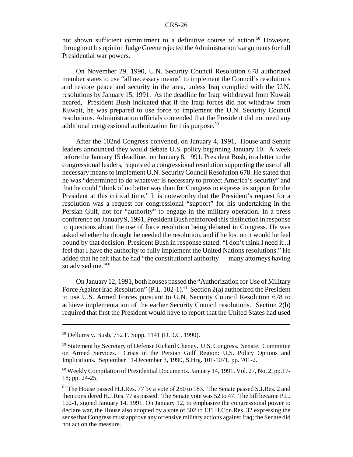not shown sufficient commitment to a definitive course of action.<sup>58</sup> However, throughout his opinion Judge Greene rejected the Administration's arguments for full Presidential war powers.

On November 29, 1990, U.N. Security Council Resolution 678 authorized member states to use "all necessary means" to implement the Council's resolutions and restore peace and security in the area, unless Iraq complied with the U.N. resolutions by January 15, 1991. As the deadline for Iraqi withdrawal from Kuwait neared, President Bush indicated that if the Iraqi forces did not withdraw from Kuwait, he was prepared to use force to implement the U.N. Security Council resolutions. Administration officials contended that the President did not need any additional congressional authorization for this purpose.<sup>59</sup>

After the 102nd Congress convened, on January 4, 1991, House and Senate leaders announced they would debate U.S. policy beginning January 10. A week before the January 15 deadline, on January 8, 1991, President Bush, in a letter to the congressional leaders, requested a congressional resolution supporting the use of all necessary means to implement U.N. Security Council Resolution 678. He stated that he was "determined to do whatever is necessary to protect America's security" and that he could "think of no better way than for Congress to express its support for the President at this critical time." It is noteworthy that the President's request for a resolution was a request for congressional "support" for his undertaking in the Persian Gulf, not for "authority" to engage in the military operation. In a press conference on January 9, 1991, President Bush reinforced this distinction in response to questions about the use of force resolution being debated in Congress. He was asked whether he thought he needed the resolution, and if he lost on it would he feel bound by that decision. President Bush in response stated: "I don't think I need it...I feel that I have the authority to fully implement the United Nations resolutions." He added that he felt that he had "the constitutional authority — many attorneys having so advised me."<sup>60</sup>

On January 12, 1991, both houses passed the "Authorization for Use of Military Force Against Iraq Resolution" (P.L. 102-1).<sup>61</sup> Section 2(a) authorized the President to use U.S. Armed Forces pursuant to U.N. Security Council Resolution 678 to achieve implementation of the earlier Security Council resolutions. Section 2(b) required that first the President would have to report that the United States had used

<sup>58</sup> Dellums v. Bush, 752 F. Supp. 1141 (D.D.C. 1990).

<sup>59</sup> Statement by Secretary of Defense Richard Cheney. U.S. Congress. Senate. Committee on Armed Services. Crisis in the Persian Gulf Region: U.S. Policy Options and Implications. September 11-December 3, 1990, S.Hrg. 101-1071, pp. 701-2.

<sup>&</sup>lt;sup>60</sup> Weekly Compilation of Presidential Documents. January 14, 1991. Vol. 27, No. 2, pp.17-18; pp. 24-25.

 $<sup>61</sup>$  The House passed H.J.Res. 77 by a vote of 250 to 183. The Senate passed S.J.Res. 2 and</sup> then considered H.J.Res. 77 as passed. The Senate vote was 52 to 47. The bill became P.L. 102-1, signed January 14, 1991. On January 12, to emphasize the congressional power to declare war, the House also adopted by a vote of 302 to 131 H.Con.Res. 32 expressing the sense that Congress must approve any offensive military actions against Iraq; the Senate did not act on the measure.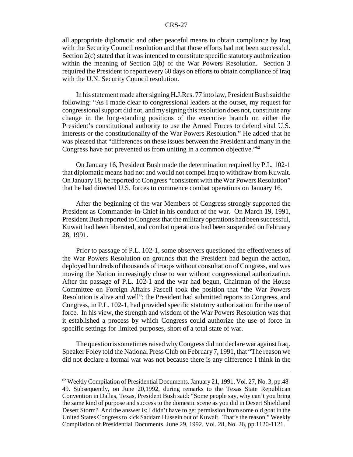all appropriate diplomatic and other peaceful means to obtain compliance by Iraq with the Security Council resolution and that those efforts had not been successful. Section 2(c) stated that it was intended to constitute specific statutory authorization within the meaning of Section 5(b) of the War Powers Resolution. Section 3 required the President to report every 60 days on efforts to obtain compliance of Iraq with the U.N. Security Council resolution.

In his statement made after signing H.J.Res. 77 into law, President Bush said the following: "As I made clear to congressional leaders at the outset, my request for congressional support did not, and my signing this resolution does not, constitute any change in the long-standing positions of the executive branch on either the President's constitutional authority to use the Armed Forces to defend vital U.S. interests or the constitutionality of the War Powers Resolution." He added that he was pleased that "differences on these issues between the President and many in the Congress have not prevented us from uniting in a common objective."<sup>62</sup>

On January 16, President Bush made the determination required by P.L. 102-1 that diplomatic means had not and would not compel Iraq to withdraw from Kuwait. On January 18, he reported to Congress "consistent with the War Powers Resolution" that he had directed U.S. forces to commence combat operations on January 16.

After the beginning of the war Members of Congress strongly supported the President as Commander-in-Chief in his conduct of the war. On March 19, 1991, President Bush reported to Congress that the military operations had been successful, Kuwait had been liberated, and combat operations had been suspended on February 28, 1991.

Prior to passage of P.L. 102-1, some observers questioned the effectiveness of the War Powers Resolution on grounds that the President had begun the action, deployed hundreds of thousands of troops without consultation of Congress, and was moving the Nation increasingly close to war without congressional authorization. After the passage of P.L. 102-1 and the war had begun, Chairman of the House Committee on Foreign Affairs Fascell took the position that "the War Powers Resolution is alive and well"; the President had submitted reports to Congress, and Congress, in P.L. 102-1, had provided specific statutory authorization for the use of force. In his view, the strength and wisdom of the War Powers Resolution was that it established a process by which Congress could authorize the use of force in specific settings for limited purposes, short of a total state of war.

The question is sometimes raised why Congress did not declare war against Iraq. Speaker Foley told the National Press Club on February 7, 1991, that "The reason we did not declare a formal war was not because there is any difference I think in the

 $62$  Weekly Compilation of Presidential Documents. January 21, 1991. Vol. 27, No. 3, pp. 48-49. Subsequently, on June 20,1992, during remarks to the Texas State Republican Convention in Dallas, Texas, President Bush said: "Some people say, why can't you bring the same kind of purpose and success to the domestic scene as you did in Desert Shield and Desert Storm? And the answer is: I didn't have to get permission from some old goat in the United States Congress to kick Saddam Hussein out of Kuwait. That's the reason." Weekly Compilation of Presidential Documents. June 29, 1992. Vol. 28, No. 26, pp.1120-1121.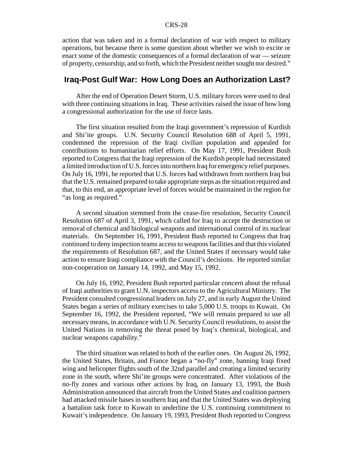action that was taken and in a formal declaration of war with respect to military operations, but because there is some question about whether we wish to excite or enact some of the domestic consequences of a formal declaration of war — seizure of property, censorship, and so forth, which the President neither sought nor desired."

#### **Iraq-Post Gulf War: How Long Does an Authorization Last?**

After the end of Operation Desert Storm, U.S. military forces were used to deal with three continuing situations in Iraq. These activities raised the issue of how long a congressional authorization for the use of force lasts.

The first situation resulted from the Iraqi government's repression of Kurdish and Shi'ite groups. U.N. Security Council Resolution 688 of April 5, 1991, condemned the repression of the Iraqi civilian population and appealed for contributions to humanitarian relief efforts. On May 17, 1991, President Bush reported to Congress that the Iraqi repression of the Kurdish people had necessitated a limited introduction of U.S. forces into northern Iraq for emergency relief purposes. On July 16, 1991, he reported that U.S. forces had withdrawn from northern Iraq but that the U.S. remained prepared to take appropriate steps as the situation required and that, to this end, an appropriate level of forces would be maintained in the region for "as long as required."

A second situation stemmed from the cease-fire resolution, Security Council Resolution 687 of April 3, 1991, which called for Iraq to accept the destruction or removal of chemical and biological weapons and international control of its nuclear materials. On September 16, 1991, President Bush reported to Congress that Iraq continued to deny inspection teams access to weapons facilities and that this violated the requirements of Resolution 687, and the United States if necessary would take action to ensure Iraqi compliance with the Council's decisions. He reported similar non-cooperation on January 14, 1992, and May 15, 1992.

On July 16, 1992, President Bush reported particular concern about the refusal of Iraqi authorities to grant U.N. inspectors access to the Agricultural Ministry. The President consulted congressional leaders on July 27, and in early August the United States began a series of military exercises to take 5,000 U.S. troops to Kuwait. On September 16, 1992, the President reported, "We will remain prepared to use all necessary means, in accordance with U.N. Security Council resolutions, to assist the United Nations in removing the threat posed by Iraq's chemical, biological, and nuclear weapons capability."

The third situation was related to both of the earlier ones. On August 26, 1992, the United States, Britain, and France began a "no-fly" zone, banning Iraqi fixed wing and helicopter flights south of the 32nd parallel and creating a limited security zone in the south, where Shi'ite groups were concentrated. After violations of the no-fly zones and various other actions by Iraq, on January 13, 1993, the Bush Administration announced that aircraft from the United States and coalition partners had attacked missile bases in southern Iraq and that the United States was deploying a battalion task force to Kuwait to underline the U.S. continuing commitment to Kuwait's independence. On January 19, 1993, President Bush reported to Congress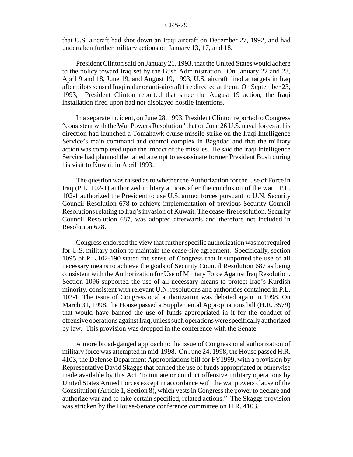that U.S. aircraft had shot down an Iraqi aircraft on December 27, 1992, and had undertaken further military actions on January 13, 17, and 18.

President Clinton said on January 21, 1993, that the United States would adhere to the policy toward Iraq set by the Bush Administration. On January 22 and 23, April 9 and 18, June 19, and August 19, 1993, U.S. aircraft fired at targets in Iraq after pilots sensed Iraqi radar or anti-aircraft fire directed at them. On September 23, 1993, President Clinton reported that since the August 19 action, the Iraqi installation fired upon had not displayed hostile intentions.

In a separate incident, on June 28, 1993, President Clinton reported to Congress "consistent with the War Powers Resolution" that on June 26 U.S. naval forces at his direction had launched a Tomahawk cruise missile strike on the Iraqi Intelligence Service's main command and control complex in Baghdad and that the military action was completed upon the impact of the missiles. He said the Iraqi Intelligence Service had planned the failed attempt to assassinate former President Bush during his visit to Kuwait in April 1993.

The question was raised as to whether the Authorization for the Use of Force in Iraq (P.L. 102-1) authorized military actions after the conclusion of the war. P.L. 102-1 authorized the President to use U.S. armed forces pursuant to U.N. Security Council Resolution 678 to achieve implementation of previous Security Council Resolutions relating to Iraq's invasion of Kuwait. The cease-fire resolution, Security Council Resolution 687, was adopted afterwards and therefore not included in Resolution 678.

Congress endorsed the view that further specific authorization was not required for U.S. military action to maintain the cease-fire agreement. Specifically, section 1095 of P.L.102-190 stated the sense of Congress that it supported the use of all necessary means to achieve the goals of Security Council Resolution 687 as being consistent with the Authorization for Use of Military Force Against Iraq Resolution. Section 1096 supported the use of all necessary means to protect Iraq's Kurdish minority, consistent with relevant U.N. resolutions and authorities contained in P.L. 102-1. The issue of Congressional authorization was debated again in 1998. On March 31, 1998, the House passed a Supplemental Appropriations bill (H.R. 3579) that would have banned the use of funds appropriated in it for the conduct of offensive operations against Iraq, unless such operations were specifically authorized by law. This provision was dropped in the conference with the Senate.

A more broad-gauged approach to the issue of Congressional authorization of military force was attempted in mid-1998. On June 24, 1998, the House passed H.R. 4103, the Defense Department Appropriations bill for FY1999, with a provision by Representative David Skaggs that banned the use of funds appropriated or otherwise made available by this Act "to initiate or conduct offensive military operations by United States Armed Forces except in accordance with the war powers clause of the Constitution (Article 1, Section 8), which vests in Congress the power to declare and authorize war and to take certain specified, related actions." The Skaggs provision was stricken by the House-Senate conference committee on H.R. 4103.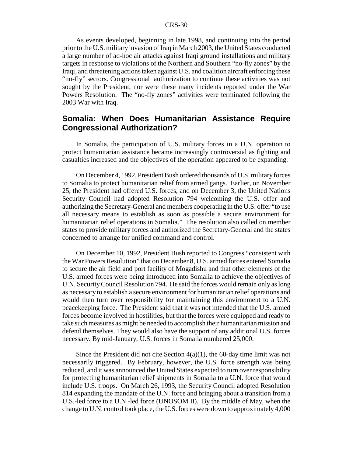As events developed, beginning in late 1998, and continuing into the period prior to the U.S. military invasion of Iraq in March 2003, the United States conducted a large number of ad-hoc air attacks against Iraqi ground installations and military targets in response to violations of the Northern and Southern "no-fly zones" by the Iraqi, and threatening actions taken against U.S. and coalition aircraft enforcing these "no-fly" sectors. Congressional authorization to continue these activities was not sought by the President, nor were these many incidents reported under the War Powers Resolution. The "no-fly zones" activities were terminated following the 2003 War with Iraq.

## **Somalia: When Does Humanitarian Assistance Require Congressional Authorization?**

In Somalia, the participation of U.S. military forces in a U.N. operation to protect humanitarian assistance became increasingly controversial as fighting and casualties increased and the objectives of the operation appeared to be expanding.

On December 4, 1992, President Bush ordered thousands of U.S. military forces to Somalia to protect humanitarian relief from armed gangs. Earlier, on November 25, the President had offered U.S. forces, and on December 3, the United Nations Security Council had adopted Resolution 794 welcoming the U.S. offer and authorizing the Secretary-General and members cooperating in the U.S. offer "to use all necessary means to establish as soon as possible a secure environment for humanitarian relief operations in Somalia." The resolution also called on member states to provide military forces and authorized the Secretary-General and the states concerned to arrange for unified command and control.

On December 10, 1992, President Bush reported to Congress "consistent with the War Powers Resolution" that on December 8, U.S. armed forces entered Somalia to secure the air field and port facility of Mogadishu and that other elements of the U.S. armed forces were being introduced into Somalia to achieve the objectives of U.N. Security Council Resolution 794. He said the forces would remain only as long as necessary to establish a secure environment for humanitarian relief operations and would then turn over responsibility for maintaining this environment to a U.N. peacekeeping force. The President said that it was not intended that the U.S. armed forces become involved in hostilities, but that the forces were equipped and ready to take such measures as might be needed to accomplish their humanitarian mission and defend themselves. They would also have the support of any additional U.S. forces necessary. By mid-January, U.S. forces in Somalia numbered 25,000.

Since the President did not cite Section 4(a)(1), the 60-day time limit was not necessarily triggered. By February, however, the U.S. force strength was being reduced, and it was announced the United States expected to turn over responsibility for protecting humanitarian relief shipments in Somalia to a U.N. force that would include U.S. troops. On March 26, 1993, the Security Council adopted Resolution 814 expanding the mandate of the U.N. force and bringing about a transition from a U.S.-led force to a U.N.-led force (UNOSOM II). By the middle of May, when the change to U.N. control took place, the U.S. forces were down to approximately 4,000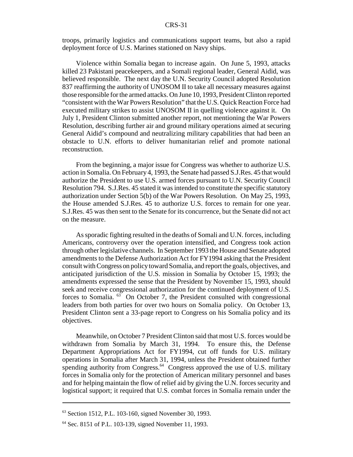troops, primarily logistics and communications support teams, but also a rapid deployment force of U.S. Marines stationed on Navy ships.

Violence within Somalia began to increase again. On June 5, 1993, attacks killed 23 Pakistani peacekeepers, and a Somali regional leader, General Aidid, was believed responsible. The next day the U.N. Security Council adopted Resolution 837 reaffirming the authority of UNOSOM II to take all necessary measures against those responsible for the armed attacks. On June 10, 1993, President Clinton reported "consistent with the War Powers Resolution" that the U.S. Quick Reaction Force had executed military strikes to assist UNOSOM II in quelling violence against it. On July 1, President Clinton submitted another report, not mentioning the War Powers Resolution, describing further air and ground military operations aimed at securing General Aidid's compound and neutralizing military capabilities that had been an obstacle to U.N. efforts to deliver humanitarian relief and promote national reconstruction.

From the beginning, a major issue for Congress was whether to authorize U.S. action in Somalia. On February 4, 1993, the Senate had passed S.J.Res. 45 that would authorize the President to use U.S. armed forces pursuant to U.N. Security Council Resolution 794. S.J.Res. 45 stated it was intended to constitute the specific statutory authorization under Section 5(b) of the War Powers Resolution. On May 25, 1993, the House amended S.J.Res. 45 to authorize U.S. forces to remain for one year. S.J.Res. 45 was then sent to the Senate for its concurrence, but the Senate did not act on the measure.

As sporadic fighting resulted in the deaths of Somali and U.N. forces, including Americans, controversy over the operation intensified, and Congress took action through other legislative channels. In September 1993 the House and Senate adopted amendments to the Defense Authorization Act for FY1994 asking that the President consult with Congress on policy toward Somalia, and report the goals, objectives, and anticipated jurisdiction of the U.S. mission in Somalia by October 15, 1993; the amendments expressed the sense that the President by November 15, 1993, should seek and receive congressional authorization for the continued deployment of U.S. forces to Somalia.  $63$  On October 7, the President consulted with congressional leaders from both parties for over two hours on Somalia policy. On October 13, President Clinton sent a 33-page report to Congress on his Somalia policy and its objectives.

Meanwhile, on October 7 President Clinton said that most U.S. forces would be withdrawn from Somalia by March 31, 1994. To ensure this, the Defense Department Appropriations Act for FY1994, cut off funds for U.S. military operations in Somalia after March 31, 1994, unless the President obtained further spending authority from Congress.<sup>64</sup> Congress approved the use of U.S. military forces in Somalia only for the protection of American military personnel and bases and for helping maintain the flow of relief aid by giving the U.N. forces security and logistical support; it required that U.S. combat forces in Somalia remain under the

<sup>63</sup> Section 1512, P.L. 103-160, signed November 30, 1993.

<sup>64</sup> Sec. 8151 of P.L. 103-139, signed November 11, 1993.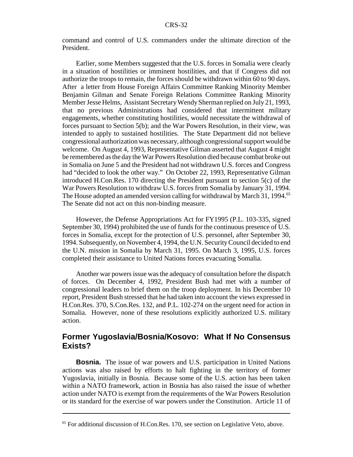command and control of U.S. commanders under the ultimate direction of the President.

Earlier, some Members suggested that the U.S. forces in Somalia were clearly in a situation of hostilities or imminent hostilities, and that if Congress did not authorize the troops to remain, the forces should be withdrawn within 60 to 90 days. After a letter from House Foreign Affairs Committee Ranking Minority Member Benjamin Gilman and Senate Foreign Relations Committee Ranking Minority Member Jesse Helms, Assistant Secretary Wendy Sherman replied on July 21, 1993, that no previous Administrations had considered that intermittent military engagements, whether constituting hostilities, would necessitate the withdrawal of forces pursuant to Section 5(b); and the War Powers Resolution, in their view, was intended to apply to sustained hostilities. The State Department did not believe congressional authorization was necessary, although congressional support would be welcome. On August 4, 1993, Representative Gilman asserted that August 4 might be remembered as the day the War Powers Resolution died because combat broke out in Somalia on June 5 and the President had not withdrawn U.S. forces and Congress had "decided to look the other way." On October 22, 1993, Representative Gilman introduced H.Con.Res. 170 directing the President pursuant to section 5(c) of the War Powers Resolution to withdraw U.S. forces from Somalia by January 31, 1994. The House adopted an amended version calling for withdrawal by March 31, 1994.<sup>65</sup> The Senate did not act on this non-binding measure.

However, the Defense Appropriations Act for FY1995 (P.L. 103-335, signed September 30, 1994) prohibited the use of funds for the continuous presence of U.S. forces in Somalia, except for the protection of U.S. personnel, after September 30, 1994. Subsequently, on November 4, 1994, the U.N. Security Council decided to end the U.N. mission in Somalia by March 31, 1995. On March 3, 1995, U.S. forces completed their assistance to United Nations forces evacuating Somalia.

Another war powers issue was the adequacy of consultation before the dispatch of forces. On December 4, 1992, President Bush had met with a number of congressional leaders to brief them on the troop deployment. In his December 10 report, President Bush stressed that he had taken into account the views expressed in H.Con.Res. 370, S.Con.Res. 132, and P.L. 102-274 on the urgent need for action in Somalia. However, none of these resolutions explicitly authorized U.S. military action.

### **Former Yugoslavia/Bosnia/Kosovo: What If No Consensus Exists?**

**Bosnia.** The issue of war powers and U.S. participation in United Nations actions was also raised by efforts to halt fighting in the territory of former Yugoslavia, initially in Bosnia. Because some of the U.S. action has been taken within a NATO framework, action in Bosnia has also raised the issue of whether action under NATO is exempt from the requirements of the War Powers Resolution or its standard for the exercise of war powers under the Constitution. Article 11 of

<sup>&</sup>lt;sup>65</sup> For additional discussion of H.Con.Res. 170, see section on Legislative Veto, above.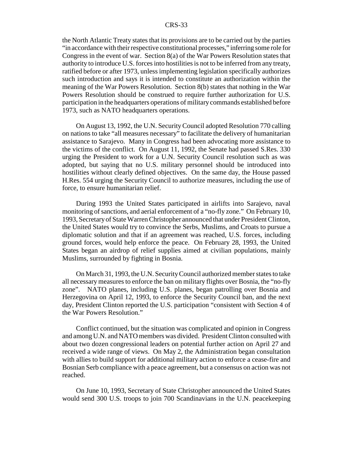the North Atlantic Treaty states that its provisions are to be carried out by the parties "in accordance with their respective constitutional processes," inferring some role for Congress in the event of war. Section 8(a) of the War Powers Resolution states that authority to introduce U.S. forces into hostilities is not to be inferred from any treaty, ratified before or after 1973, unless implementing legislation specifically authorizes such introduction and says it is intended to constitute an authorization within the meaning of the War Powers Resolution. Section 8(b) states that nothing in the War Powers Resolution should be construed to require further authorization for U.S. participation in the headquarters operations of military commands established before 1973, such as NATO headquarters operations.

On August 13, 1992, the U.N. Security Council adopted Resolution 770 calling on nations to take "all measures necessary" to facilitate the delivery of humanitarian assistance to Sarajevo. Many in Congress had been advocating more assistance to the victims of the conflict. On August 11, 1992, the Senate had passed S.Res. 330 urging the President to work for a U.N. Security Council resolution such as was adopted, but saying that no U.S. military personnel should be introduced into hostilities without clearly defined objectives. On the same day, the House passed H.Res. 554 urging the Security Council to authorize measures, including the use of force, to ensure humanitarian relief.

During 1993 the United States participated in airlifts into Sarajevo, naval monitoring of sanctions, and aerial enforcement of a "no-fly zone." On February 10, 1993, Secretary of State Warren Christopher announced that under President Clinton, the United States would try to convince the Serbs, Muslims, and Croats to pursue a diplomatic solution and that if an agreement was reached, U.S. forces, including ground forces, would help enforce the peace. On February 28, 1993, the United States began an airdrop of relief supplies aimed at civilian populations, mainly Muslims, surrounded by fighting in Bosnia.

On March 31, 1993, the U.N. Security Council authorized member states to take all necessary measures to enforce the ban on military flights over Bosnia, the "no-fly zone". NATO planes, including U.S. planes, began patrolling over Bosnia and Herzegovina on April 12, 1993, to enforce the Security Council ban, and the next day, President Clinton reported the U.S. participation "consistent with Section 4 of the War Powers Resolution."

Conflict continued, but the situation was complicated and opinion in Congress and among U.N. and NATO members was divided. President Clinton consulted with about two dozen congressional leaders on potential further action on April 27 and received a wide range of views. On May 2, the Administration began consultation with allies to build support for additional military action to enforce a cease-fire and Bosnian Serb compliance with a peace agreement, but a consensus on action was not reached.

On June 10, 1993, Secretary of State Christopher announced the United States would send 300 U.S. troops to join 700 Scandinavians in the U.N. peacekeeping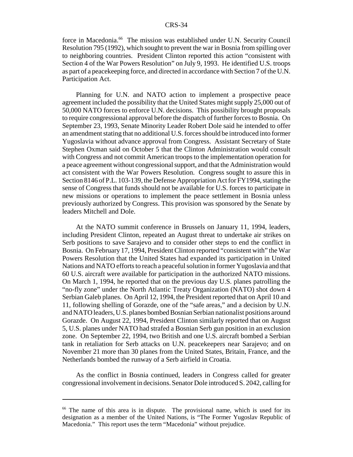force in Macedonia.<sup>66</sup> The mission was established under U.N. Security Council Resolution 795 (1992), which sought to prevent the war in Bosnia from spilling over to neighboring countries. President Clinton reported this action "consistent with Section 4 of the War Powers Resolution" on July 9, 1993. He identified U.S. troops as part of a peacekeeping force, and directed in accordance with Section 7 of the U.N. Participation Act.

Planning for U.N. and NATO action to implement a prospective peace agreement included the possibility that the United States might supply 25,000 out of 50,000 NATO forces to enforce U.N. decisions. This possibility brought proposals to require congressional approval before the dispatch of further forces to Bosnia. On September 23, 1993, Senate Minority Leader Robert Dole said he intended to offer an amendment stating that no additional U.S. forces should be introduced into former Yugoslavia without advance approval from Congress. Assistant Secretary of State Stephen Oxman said on October 5 that the Clinton Administration would consult with Congress and not commit American troops to the implementation operation for a peace agreement without congressional support, and that the Administration would act consistent with the War Powers Resolution. Congress sought to assure this in Section 8146 of P.L. 103-139, the Defense Appropriation Act for FY1994, stating the sense of Congress that funds should not be available for U.S. forces to participate in new missions or operations to implement the peace settlement in Bosnia unless previously authorized by Congress. This provision was sponsored by the Senate by leaders Mitchell and Dole.

At the NATO summit conference in Brussels on January 11, 1994, leaders, including President Clinton, repeated an August threat to undertake air strikes on Serb positions to save Sarajevo and to consider other steps to end the conflict in Bosnia. On February 17, 1994, President Clinton reported "consistent with" the War Powers Resolution that the United States had expanded its participation in United Nations and NATO efforts to reach a peaceful solution in former Yugoslavia and that 60 U.S. aircraft were available for participation in the authorized NATO missions. On March 1, 1994, he reported that on the previous day U.S. planes patrolling the "no-fly zone" under the North Atlantic Treaty Organization (NATO) shot down 4 Serbian Galeb planes. On April 12, 1994, the President reported that on April 10 and 11, following shelling of Gorazde, one of the "safe areas," and a decision by U.N. and NATO leaders, U.S. planes bombed Bosnian Serbian nationalist positions around Gorazde. On August 22, 1994, President Clinton similarly reported that on August 5, U.S. planes under NATO had strafed a Bosnian Serb gun position in an exclusion zone. On September 22, 1994, two British and one U.S. aircraft bombed a Serbian tank in retaliation for Serb attacks on U.N. peacekeepers near Sarajevo; and on November 21 more than 30 planes from the United States, Britain, France, and the Netherlands bombed the runway of a Serb airfield in Croatia.

As the conflict in Bosnia continued, leaders in Congress called for greater congressional involvement in decisions. Senator Dole introduced S. 2042, calling for

<sup>66</sup> The name of this area is in dispute. The provisional name, which is used for its designation as a member of the United Nations, is "The Former Yugoslav Republic of Macedonia." This report uses the term "Macedonia" without prejudice.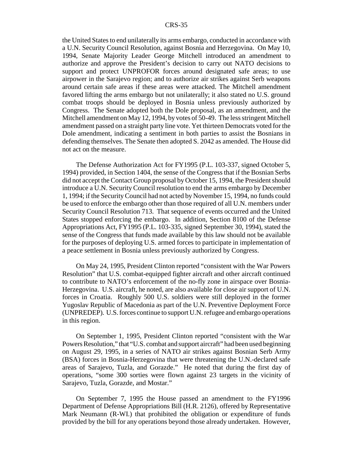the United States to end unilaterally its arms embargo, conducted in accordance with a U.N. Security Council Resolution, against Bosnia and Herzegovina. On May 10, 1994, Senate Majority Leader George Mitchell introduced an amendment to authorize and approve the President's decision to carry out NATO decisions to support and protect UNPROFOR forces around designated safe areas; to use airpower in the Sarajevo region; and to authorize air strikes against Serb weapons around certain safe areas if these areas were attacked. The Mitchell amendment favored lifting the arms embargo but not unilaterally; it also stated no U.S. ground combat troops should be deployed in Bosnia unless previously authorized by Congress. The Senate adopted both the Dole proposal, as an amendment, and the Mitchell amendment on May 12, 1994, by votes of 50-49. The less stringent Mitchell amendment passed on a straight party line vote. Yet thirteen Democrats voted for the Dole amendment, indicating a sentiment in both parties to assist the Bosnians in defending themselves. The Senate then adopted S. 2042 as amended. The House did not act on the measure.

The Defense Authorization Act for FY1995 (P.L. 103-337, signed October 5, 1994) provided, in Section 1404, the sense of the Congress that if the Bosnian Serbs did not accept the Contact Group proposal by October 15, 1994, the President should introduce a U.N. Security Council resolution to end the arms embargo by December 1, 1994; if the Security Council had not acted by November 15, 1994, no funds could be used to enforce the embargo other than those required of all U.N. members under Security Council Resolution 713. That sequence of events occurred and the United States stopped enforcing the embargo. In addition, Section 8100 of the Defense Appropriations Act, FY1995 (P.L. 103-335, signed September 30, 1994), stated the sense of the Congress that funds made available by this law should not be available for the purposes of deploying U.S. armed forces to participate in implementation of a peace settlement in Bosnia unless previously authorized by Congress.

On May 24, 1995, President Clinton reported "consistent with the War Powers Resolution" that U.S. combat-equipped fighter aircraft and other aircraft continued to contribute to NATO's enforcement of the no-fly zone in airspace over Bosnia-Herzegovina. U.S. aircraft, he noted, are also available for close air support of U.N. forces in Croatia. Roughly 500 U.S. soldiers were still deployed in the former Yugoslav Republic of Macedonia as part of the U.N. Preventive Deployment Force (UNPREDEP). U.S. forces continue to support U.N. refugee and embargo operations in this region.

On September 1, 1995, President Clinton reported "consistent with the War Powers Resolution," that "U.S. combat and support aircraft" had been used beginning on August 29, 1995, in a series of NATO air strikes against Bosnian Serb Army (BSA) forces in Bosnia-Herzegovina that were threatening the U.N.-declared safe areas of Sarajevo, Tuzla, and Gorazde." He noted that during the first day of operations, "some 300 sorties were flown against 23 targets in the vicinity of Sarajevo, Tuzla, Gorazde, and Mostar."

On September 7, 1995 the House passed an amendment to the FY1996 Department of Defense Appropriations Bill (H.R. 2126), offered by Representative Mark Neumann (R-WI.) that prohibited the obligation or expenditure of funds provided by the bill for any operations beyond those already undertaken. However,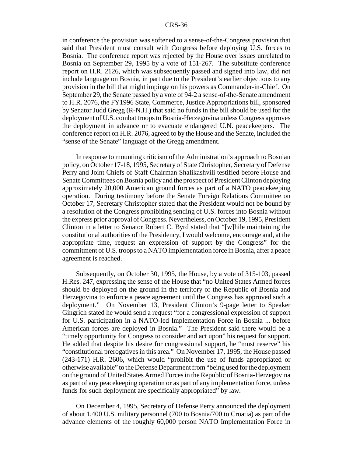in conference the provision was softened to a sense-of-the-Congress provision that said that President must consult with Congress before deploying U.S. forces to Bosnia. The conference report was rejected by the House over issues unrelated to Bosnia on September 29, 1995 by a vote of 151-267. The substitute conference report on H.R. 2126, which was subsequently passed and signed into law, did not include language on Bosnia, in part due to the President's earlier objections to any provision in the bill that might impinge on his powers as Commander-in-Chief. On September 29, the Senate passed by a vote of 94-2 a sense-of-the-Senate amendment to H.R. 2076, the FY1996 State, Commerce, Justice Appropriations bill, sponsored by Senator Judd Gregg (R-N.H.) that said no funds in the bill should be used for the deployment of U.S. combat troops to Bosnia-Herzegovina unless Congress approves the deployment in advance or to evacuate endangered U.N. peacekeepers. The conference report on H.R. 2076, agreed to by the House and the Senate, included the "sense of the Senate" language of the Gregg amendment.

In response to mounting criticism of the Administration's approach to Bosnian policy, on October 17-18, 1995, Secretary of State Christopher, Secretary of Defense Perry and Joint Chiefs of Staff Chairman Shalikashvili testified before House and Senate Committees on Bosnia policy and the prospect of President Clinton deploying approximately 20,000 American ground forces as part of a NATO peacekeeping operation. During testimony before the Senate Foreign Relations Committee on October 17, Secretary Christopher stated that the President would not be bound by a resolution of the Congress prohibiting sending of U.S. forces into Bosnia without the express prior approval of Congress. Nevertheless, on October 19, 1995, President Clinton in a letter to Senator Robert C. Byrd stated that "[w]hile maintaining the constitutional authorities of the Presidency, I would welcome, encourage and, at the appropriate time, request an expression of support by the Congress" for the commitment of U.S. troops to a NATO implementation force in Bosnia, after a peace agreement is reached.

Subsequently, on October 30, 1995, the House, by a vote of 315-103, passed H.Res. 247, expressing the sense of the House that "no United States Armed forces should be deployed on the ground in the territory of the Republic of Bosnia and Herzegovina to enforce a peace agreement until the Congress has approved such a deployment." On November 13, President Clinton's 9-page letter to Speaker Gingrich stated he would send a request "for a congressional expression of support for U.S. participation in a NATO-led Implementation Force in Bosnia ... before American forces are deployed in Bosnia." The President said there would be a "timely opportunity for Congress to consider and act upon" his request for support. He added that despite his desire for congressional support, he "must reserve" his "constitutional prerogatives in this area." On November 17, 1995, the House passed (243-171) H.R. 2606, which would "prohibit the use of funds appropriated or otherwise available" to the Defense Department from "being used for the deployment on the ground of United States Armed Forces in the Republic of Bosnia-Herzegovina as part of any peacekeeping operation or as part of any implementation force, unless funds for such deployment are specifically appropriated" by law.

On December 4, 1995, Secretary of Defense Perry announced the deployment of about 1,400 U.S. military personnel (700 to Bosnia/700 to Croatia) as part of the advance elements of the roughly 60,000 person NATO Implementation Force in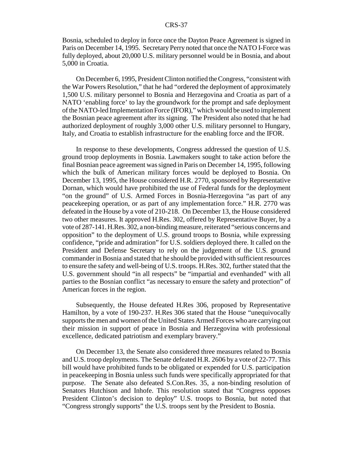Bosnia, scheduled to deploy in force once the Dayton Peace Agreement is signed in Paris on December 14, 1995. Secretary Perry noted that once the NATO I-Force was fully deployed, about 20,000 U.S. military personnel would be in Bosnia, and about 5,000 in Croatia.

On December 6, 1995, President Clinton notified the Congress, "consistent with the War Powers Resolution," that he had "ordered the deployment of approximately 1,500 U.S. military personnel to Bosnia and Herzegovina and Croatia as part of a NATO 'enabling force' to lay the groundwork for the prompt and safe deployment of the NATO-led Implementation Force (IFOR)," which would be used to implement the Bosnian peace agreement after its signing. The President also noted that he had authorized deployment of roughly 3,000 other U.S. military personnel to Hungary, Italy, and Croatia to establish infrastructure for the enabling force and the IFOR.

In response to these developments, Congress addressed the question of U.S. ground troop deployments in Bosnia. Lawmakers sought to take action before the final Bosnian peace agreement was signed in Paris on December 14, 1995, following which the bulk of American military forces would be deployed to Bosnia. On December 13, 1995, the House considered H.R. 2770, sponsored by Representative Dornan, which would have prohibited the use of Federal funds for the deployment "on the ground" of U.S. Armed Forces in Bosnia-Herzegovina "as part of any peacekeeping operation, or as part of any implementation force." H.R. 2770 was defeated in the House by a vote of 210-218. On December 13, the House considered two other measures. It approved H.Res. 302, offered by Representative Buyer, by a vote of 287-141. H.Res. 302, a non-binding measure, reiterated "serious concerns and opposition" to the deployment of U.S. ground troops to Bosnia, while expressing confidence, "pride and admiration" for U.S. soldiers deployed there. It called on the President and Defense Secretary to rely on the judgement of the U.S. ground commander in Bosnia and stated that he should be provided with sufficient resources to ensure the safety and well-being of U.S. troops. H.Res. 302, further stated that the U.S. government should "in all respects" be "impartial and evenhanded" with all parties to the Bosnian conflict "as necessary to ensure the safety and protection" of American forces in the region.

Subsequently, the House defeated H.Res 306, proposed by Representative Hamilton, by a vote of 190-237. H.Res 306 stated that the House "unequivocally supports the men and women of the United States Armed Forces who are carrying out their mission in support of peace in Bosnia and Herzegovina with professional excellence, dedicated patriotism and exemplary bravery."

On December 13, the Senate also considered three measures related to Bosnia and U.S. troop deployments. The Senate defeated H.R. 2606 by a vote of 22-77. This bill would have prohibited funds to be obligated or expended for U.S. participation in peacekeeping in Bosnia unless such funds were specifically appropriated for that purpose. The Senate also defeated S.Con.Res. 35, a non-binding resolution of Senators Hutchison and Inhofe. This resolution stated that "Congress opposes President Clinton's decision to deploy" U.S. troops to Bosnia, but noted that "Congress strongly supports" the U.S. troops sent by the President to Bosnia.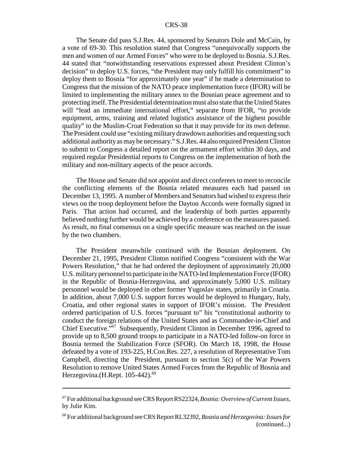The Senate did pass S.J.Res. 44, sponsored by Senators Dole and McCain, by a vote of 69-30. This resolution stated that Congress "unequivocally supports the men and women of our Armed Forces" who were to be deployed to Bosnia. S.J.Res. 44 stated that "notwithstanding reservations expressed about President Clinton's decision" to deploy U.S. forces, "the President may only fulfill his commitment" to deploy them to Bosnia "for approximately one year" if he made a determination to Congress that the mission of the NATO peace implementation force (IFOR) will be limited to implementing the military annex to the Bosnian peace agreement and to protecting itself. The Presidential determination must also state that the United States will "lead an immediate international effort," separate from IFOR, "to provide equipment, arms, training and related logistics assistance of the highest possible quality" to the Muslim-Croat Federation so that it may provide for its own defense. The President could use "existing military drawdown authorities and requesting such additional authority as may be necessary." S.J.Res. 44 also required President Clinton to submit to Congress a detailed report on the armament effort within 30 days, and required regular Presidential reports to Congress on the implementation of both the military and non-military aspects of the peace accords.

The House and Senate did not appoint and direct conferees to meet to reconcile the conflicting elements of the Bosnia related measures each had passed on December 13, 1995. A number of Members and Senators had wished to express their views on the troop deployment before the Dayton Accords were formally signed in Paris. That action had occurred, and the leadership of both parties apparently believed nothing further would be achieved by a conference on the measures passed. As result, no final consensus on a single specific measure was reached on the issue by the two chambers.

The President meanwhile continued with the Bosnian deployment. On December 21, 1995, President Clinton notified Congress "consistent with the War Powers Resolution," that he had ordered the deployment of approximately 20,000 U.S. military personnel to participate in the NATO-led Implementation Force (IFOR) in the Republic of Bosnia-Herzegovina, and approximately 5,000 U.S. military personnel would be deployed in other former Yugoslav states, primarily in Croatia. In addition, about 7,000 U.S. support forces would be deployed to Hungary, Italy, Croatia, and other regional states in support of IFOR's mission. The President ordered participation of U.S. forces "pursuant to" his "constitutional authority to conduct the foreign relations of the United States and as Commander-in-Chief and Chief Executive."67 Subsequently, President Clinton in December 1996, agreed to provide up to 8,500 ground troops to participate in a NATO-led follow-on force in Bosnia termed the Stabilization Force (SFOR). On March 18, 1998, the House defeated by a vote of 193-225, H.Con.Res. 227, a resolution of Representative Tom Campbell, directing the President, pursuant to section 5(c) of the War Powers Resolution to remove United States Armed Forces from the Republic of Bosnia and Herzegovina.(H.Rept. 105-442).<sup>68</sup>

<sup>67</sup> For additional background see CRS Report RS22324, *Bosnia: Overview of Current Issues*, by Julie Kim.

<sup>68</sup> For additional background see CRS Report RL32392, *Bosnia and Herzegovina: Issues for* (continued...)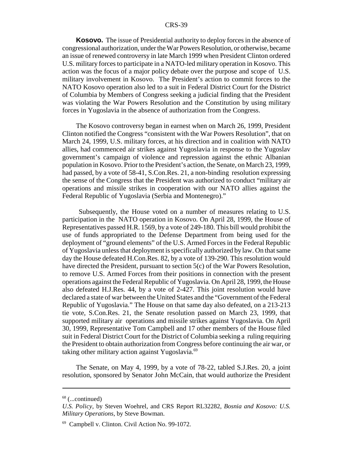**Kosovo.** The issue of Presidential authority to deploy forces in the absence of congressional authorization, under the War Powers Resolution, or otherwise, became an issue of renewed controversy in late March 1999 when President Clinton ordered U.S. military forces to participate in a NATO-led military operation in Kosovo. This action was the focus of a major policy debate over the purpose and scope of U.S. military involvement in Kosovo. The President's action to commit forces to the NATO Kosovo operation also led to a suit in Federal District Court for the District of Columbia by Members of Congress seeking a judicial finding that the President was violating the War Powers Resolution and the Constitution by using military forces in Yugoslavia in the absence of authorization from the Congress.

The Kosovo controversy began in earnest when on March 26, 1999, President Clinton notified the Congress "consistent with the War Powers Resolution", that on March 24, 1999, U.S. military forces, at his direction and in coalition with NATO allies, had commenced air strikes against Yugoslavia in response to the Yugoslav government's campaign of violence and repression against the ethnic Albanian population in Kosovo. Prior to the President's action, the Senate, on March 23, 1999, had passed, by a vote of 58-41, S.Con.Res. 21, a non-binding resolution expressing the sense of the Congress that the President was authorized to conduct "military air operations and missile strikes in cooperation with our NATO allies against the Federal Republic of Yugoslavia (Serbia and Montenegro)."

 Subsequently, the House voted on a number of measures relating to U.S. participation in the NATO operation in Kosovo. On April 28, 1999, the House of Representatives passed H.R. 1569, by a vote of 249-180. This bill would prohibit the use of funds appropriated to the Defense Department from being used for the deployment of "ground elements" of the U.S. Armed Forces in the Federal Republic of Yugoslavia unless that deployment is specifically authorized by law. On that same day the House defeated H.Con.Res. 82, by a vote of 139-290. This resolution would have directed the President, pursuant to section 5(c) of the War Powers Resolution, to remove U.S. Armed Forces from their positions in connection with the present operations against the Federal Republic of Yugoslavia. On April 28, 1999, the House also defeated H.J.Res. 44, by a vote of 2-427. This joint resolution would have declared a state of war between the United States and the "Government of the Federal Republic of Yugoslavia." The House on that same day also defeated, on a 213-213 tie vote, S.Con.Res. 21, the Senate resolution passed on March 23, 1999, that supported military air operations and missile strikes against Yugoslavia. On April 30, 1999, Representative Tom Campbell and 17 other members of the House filed suit in Federal District Court for the District of Columbia seeking a ruling requiring the President to obtain authorization from Congress before continuing the air war, or taking other military action against Yugoslavia. $69$ 

The Senate, on May 4, 1999, by a vote of 78-22, tabled S.J.Res. 20, a joint resolution, sponsored by Senator John McCain, that would authorize the President

 $68$  (...continued)

*U.S. Policy*, by Steven Woehrel, and CRS Report RL32282, *Bosnia and Kosovo: U.S. Military Operations*, by Steve Bowman.

<sup>69</sup> Campbell v. Clinton. Civil Action No. 99-1072.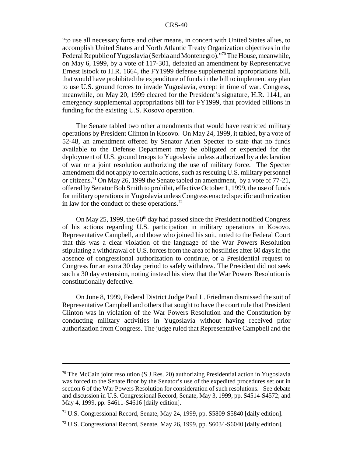"to use all necessary force and other means, in concert with United States allies, to accomplish United States and North Atlantic Treaty Organization objectives in the Federal Republic of Yugoslavia (Serbia and Montenegro)."70 The House, meanwhile, on May 6, 1999, by a vote of 117-301, defeated an amendment by Representative Ernest Istook to H.R. 1664, the FY1999 defense supplemental appropriations bill, that would have prohibited the expenditure of funds in the bill to implement any plan to use U.S. ground forces to invade Yugoslavia, except in time of war. Congress, meanwhile, on May 20, 1999 cleared for the President's signature, H.R. 1141, an emergency supplemental appropriations bill for FY1999, that provided billions in funding for the existing U.S. Kosovo operation.

The Senate tabled two other amendments that would have restricted military operations by President Clinton in Kosovo. On May 24, 1999, it tabled, by a vote of 52-48, an amendment offered by Senator Arlen Specter to state that no funds available to the Defense Department may be obligated or expended for the deployment of U.S. ground troops to Yugoslavia unless authorized by a declaration of war or a joint resolution authorizing the use of military force. The Specter amendment did not apply to certain actions, such as rescuing U.S. military personnel or citizens.<sup>71</sup> On May 26, 1999 the Senate tabled an amendment, by a vote of  $77-21$ , offered by Senator Bob Smith to prohibit, effective October 1, 1999, the use of funds for military operations in Yugoslavia unless Congress enacted specific authorization in law for the conduct of these operations.<sup>72</sup>

On May 25, 1999, the  $60<sup>th</sup>$  day had passed since the President notified Congress of his actions regarding U.S. participation in military operations in Kosovo. Representative Campbell, and those who joined his suit, noted to the Federal Court that this was a clear violation of the language of the War Powers Resolution stipulating a withdrawal of U.S. forces from the area of hostilities after 60 days in the absence of congressional authorization to continue, or a Presidential request to Congress for an extra 30 day period to safely withdraw. The President did not seek such a 30 day extension, noting instead his view that the War Powers Resolution is constitutionally defective.

On June 8, 1999, Federal District Judge Paul L. Friedman dismissed the suit of Representative Campbell and others that sought to have the court rule that President Clinton was in violation of the War Powers Resolution and the Constitution by conducting military activities in Yugoslavia without having received prior authorization from Congress. The judge ruled that Representative Campbell and the

<sup>&</sup>lt;sup>70</sup> The McCain joint resolution (S.J.Res. 20) authorizing Presidential action in Yugoslavia was forced to the Senate floor by the Senator's use of the expedited procedures set out in section 6 of the War Powers Resolution for consideration of such resolutions. See debate and discussion in U.S. Congressional Record, Senate, May 3, 1999, pp. S4514-S4572; and May 4, 1999, pp. S4611-S4616 [daily edition].

 $71$  U.S. Congressional Record, Senate, May 24, 1999, pp. S5809-S5840 [daily edition].

 $^{72}$  U.S. Congressional Record, Senate, May 26, 1999, pp. S6034-S6040 [daily edition].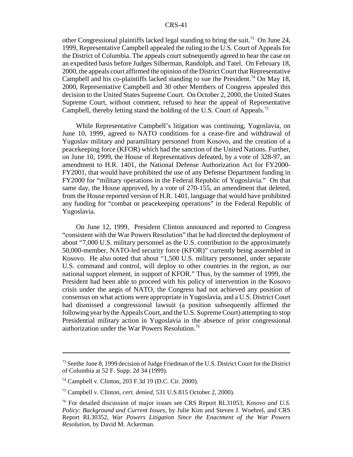other Congressional plaintiffs lacked legal standing to bring the suit.<sup>73</sup> On June 24, 1999, Representative Campbell appealed the ruling to the U.S. Court of Appeals for the District of Columbia. The appeals court subsequently agreed to hear the case on an expedited basis before Judges Silberman, Randolph, and Tatel. On February 18, 2000, the appeals court affirmed the opinion of the District Court that Representative Campbell and his co-plaintiffs lacked standing to sue the President.<sup>74</sup> On May 18, 2000, Representative Campbell and 30 other Members of Congress appealed this decision to the United States Supreme Court. On October 2, 2000, the United States Supreme Court, without comment, refused to hear the appeal of Representative Campbell, thereby letting stand the holding of the U.S. Court of Appeals.<sup>75</sup>

While Representative Campbell's litigation was continuing, Yugoslavia, on June 10, 1999, agreed to NATO conditions for a cease-fire and withdrawal of Yugoslav military and paramilitary personnel from Kosovo, and the creation of a peacekeeping force (KFOR) which had the sanction of the United Nations. Further, on June 10, 1999, the House of Representatives defeated, by a vote of 328-97, an amendment to H.R. 1401, the National Defense Authorization Act for FY2000- FY2001, that would have prohibited the use of any Defense Department funding in FY2000 for "military operations in the Federal Republic of Yugoslavia." On that same day, the House approved, by a vote of 270-155, an amendment that deleted, from the House reported version of H.R. 1401, language that would have prohibited any funding for "combat or peacekeeping operations" in the Federal Republic of Yugoslavia.

On June 12, 1999, President Clinton announced and reported to Congress "consistent with the War Powers Resolution" that he had directed the deployment of about "7,000 U.S. military personnel as the U.S. contribution to the approximately 50,000-member, NATO-led security force (KFOR)" currently being assembled in Kosovo. He also noted that about "1,500 U.S. military personnel, under separate U.S. command and control, will deploy to other countries in the region, as our national support element, in support of KFOR." Thus, by the summer of 1999, the President had been able to proceed with his policy of intervention in the Kosovo crisis under the aegis of NATO, the Congress had not achieved any position of consensus on what actions were appropriate in Yugoslavia, and a U.S. District Court had dismissed a congressional lawsuit (a position subsequently affirmed the following year by the Appeals Court, and the U.S. Supreme Court) attempting to stop Presidential military action in Yugoslavia in the absence of prior congressional authorization under the War Powers Resolution.76

<sup>&</sup>lt;sup>73</sup> Seethe June 8, 1999 decision of Judge Friedman of the U.S. District Court for the District of Columbia at 52 F. Supp. 2d 34 (1999).

<sup>74</sup> Campbell v. Clinton, 203 F.3d 19 (D.C. Cir. 2000).

<sup>75</sup> Campbell v. Clinton, *cert. denied*, 531 U.S.815 October 2, 2000).

<sup>76</sup> For detailed discussion of major issues see CRS Report RL31053, *Kosovo and U.S. Policy: Background and Current Issues*, by Julie Kim and Steven J. Woehrel, and CRS Report RL30352, *War Powers Litigation Since the Enactment of the War Powers Resolution*, by David M. Ackerman.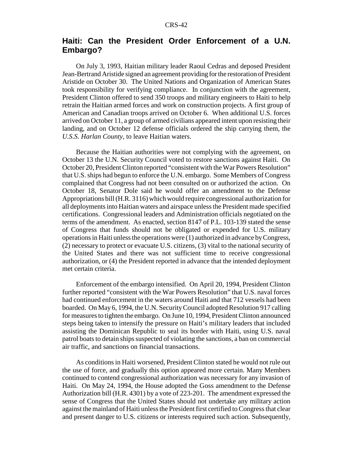## **Haiti: Can the President Order Enforcement of a U.N. Embargo?**

On July 3, 1993, Haitian military leader Raoul Cedras and deposed President Jean-Bertrand Aristide signed an agreement providing for the restoration of President Aristide on October 30. The United Nations and Organization of American States took responsibility for verifying compliance. In conjunction with the agreement, President Clinton offered to send 350 troops and military engineers to Haiti to help retrain the Haitian armed forces and work on construction projects. A first group of American and Canadian troops arrived on October 6. When additional U.S. forces arrived on October 11, a group of armed civilians appeared intent upon resisting their landing, and on October 12 defense officials ordered the ship carrying them, the *U.S.S. Harlan County*, to leave Haitian waters.

Because the Haitian authorities were not complying with the agreement, on October 13 the U.N. Security Council voted to restore sanctions against Haiti. On October 20, President Clinton reported "consistent with the War Powers Resolution" that U.S. ships had begun to enforce the U.N. embargo. Some Members of Congress complained that Congress had not been consulted on or authorized the action. On October 18, Senator Dole said he would offer an amendment to the Defense Appropriations bill (H.R. 3116) which would require congressional authorization for all deployments into Haitian waters and airspace unless the President made specified certifications. Congressional leaders and Administration officials negotiated on the terms of the amendment. As enacted, section 8147 of P.L. 103-139 stated the sense of Congress that funds should not be obligated or expended for U.S. military operations in Haiti unless the operations were (1) authorized in advance by Congress, (2) necessary to protect or evacuate U.S. citizens, (3) vital to the national security of the United States and there was not sufficient time to receive congressional authorization, or (4) the President reported in advance that the intended deployment met certain criteria.

Enforcement of the embargo intensified. On April 20, 1994, President Clinton further reported "consistent with the War Powers Resolution" that U.S. naval forces had continued enforcement in the waters around Haiti and that 712 vessels had been boarded. On May 6, 1994, the U.N. Security Council adopted Resolution 917 calling for measures to tighten the embargo. On June 10, 1994, President Clinton announced steps being taken to intensify the pressure on Haiti's military leaders that included assisting the Dominican Republic to seal its border with Haiti, using U.S. naval patrol boats to detain ships suspected of violating the sanctions, a ban on commercial air traffic, and sanctions on financial transactions.

As conditions in Haiti worsened, President Clinton stated he would not rule out the use of force, and gradually this option appeared more certain. Many Members continued to contend congressional authorization was necessary for any invasion of Haiti. On May 24, 1994, the House adopted the Goss amendment to the Defense Authorization bill (H.R. 4301) by a vote of 223-201. The amendment expressed the sense of Congress that the United States should not undertake any military action against the mainland of Haiti unless the President first certified to Congress that clear and present danger to U.S. citizens or interests required such action. Subsequently,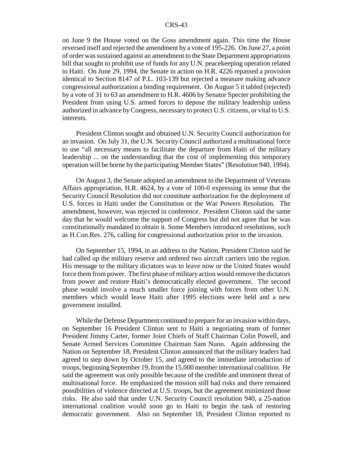on June 9 the House voted on the Goss amendment again. This time the House reversed itself and rejected the amendment by a vote of 195-226. On June 27, a point of order was sustained against an amendment to the State Department appropriations bill that sought to prohibit use of funds for any U.N. peacekeeping operation related to Haiti. On June 29, 1994, the Senate in action on H.R. 4226 repassed a provision identical to Section 8147 of P.L. 103-139 but rejected a measure making advance congressional authorization a binding requirement. On August 5 it tabled (rejected) by a vote of 31 to 63 an amendment to H.R. 4606 by Senator Specter prohibiting the President from using U.S. armed forces to depose the military leadership unless authorized in advance by Congress, necessary to protect U.S. citizens, or vital to U.S. interests.

President Clinton sought and obtained U.N. Security Council authorization for an invasion. On July 31, the U.N. Security Council authorized a multinational force to use "all necessary means to facilitate the departure from Haiti of the military leadership ... on the understanding that the cost of implementing this temporary operation will be borne by the participating Member States" (Resolution 940, 1994).

On August 3, the Senate adopted an amendment to the Department of Veterans Affairs appropriation, H.R. 4624, by a vote of 100-0 expressing its sense that the Security Council Resolution did not constitute authorization for the deployment of U.S. forces in Haiti under the Constitution or the War Powers Resolution. The amendment, however, was rejected in conference. President Clinton said the same day that he would welcome the support of Congress but did not agree that he was constitutionally mandated to obtain it. Some Members introduced resolutions, such as H.Con.Res. 276, calling for congressional authorization prior to the invasion.

On September 15, 1994, in an address to the Nation, President Clinton said he had called up the military reserve and ordered two aircraft carriers into the region. His message to the military dictators was to leave now or the United States would force them from power. The first phase of military action would remove the dictators from power and restore Haiti's democratically elected government. The second phase would involve a much smaller force joining with forces from other U.N. members which would leave Haiti after 1995 elections were held and a new government installed.

While the Defense Department continued to prepare for an invasion within days, on September 16 President Clinton sent to Haiti a negotiating team of former President Jimmy Carter, former Joint Chiefs of Staff Chairman Colin Powell, and Senate Armed Services Committee Chairman Sam Nunn. Again addressing the Nation on September 18, President Clinton announced that the military leaders had agreed to step down by October 15, and agreed to the immediate introduction of troops, beginning September 19, from the 15,000 member international coalition. He said the agreement was only possible because of the credible and imminent threat of multinational force. He emphasized the mission still had risks and there remained possibilities of violence directed at U.S. troops, but the agreement minimized those risks. He also said that under U.N. Security Council resolution 940, a 25-nation international coalition would soon go to Haiti to begin the task of restoring democratic government. Also on September 18, President Clinton reported to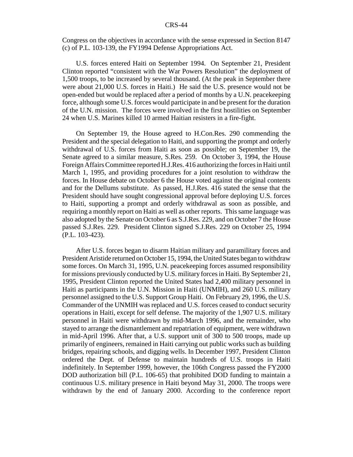Congress on the objectives in accordance with the sense expressed in Section 8147 (c) of P.L. 103-139, the FY1994 Defense Appropriations Act.

U.S. forces entered Haiti on September 1994. On September 21, President Clinton reported "consistent with the War Powers Resolution" the deployment of 1,500 troops, to be increased by several thousand. (At the peak in September there were about 21,000 U.S. forces in Haiti.) He said the U.S. presence would not be open-ended but would be replaced after a period of months by a U.N. peacekeeping force, although some U.S. forces would participate in and be present for the duration of the U.N. mission. The forces were involved in the first hostilities on September 24 when U.S. Marines killed 10 armed Haitian resisters in a fire-fight.

On September 19, the House agreed to H.Con.Res. 290 commending the President and the special delegation to Haiti, and supporting the prompt and orderly withdrawal of U.S. forces from Haiti as soon as possible; on September 19, the Senate agreed to a similar measure, S.Res. 259. On October 3, 1994, the House Foreign Affairs Committee reported H.J.Res. 416 authorizing the forces in Haiti until March 1, 1995, and providing procedures for a joint resolution to withdraw the forces. In House debate on October 6 the House voted against the original contents and for the Dellums substitute. As passed, H.J.Res. 416 stated the sense that the President should have sought congressional approval before deploying U.S. forces to Haiti, supporting a prompt and orderly withdrawal as soon as possible, and requiring a monthly report on Haiti as well as other reports. This same language was also adopted by the Senate on October 6 as S.J.Res. 229, and on October 7 the House passed S.J.Res. 229. President Clinton signed S.J.Res. 229 on October 25, 1994 (P.L. 103-423).

After U.S. forces began to disarm Haitian military and paramilitary forces and President Aristide returned on October 15, 1994, the United States began to withdraw some forces. On March 31, 1995, U.N. peacekeeping forces assumed responsibility for missions previously conducted by U.S. military forces in Haiti. By September 21, 1995, President Clinton reported the United States had 2,400 military personnel in Haiti as participants in the U.N. Mission in Haiti (UNMIH), and 260 U.S. military personnel assigned to the U.S. Support Group Haiti. On February 29, 1996, the U.S. Commander of the UNMIH was replaced and U.S. forces ceased to conduct security operations in Haiti, except for self defense. The majority of the 1,907 U.S. military personnel in Haiti were withdrawn by mid-March 1996, and the remainder, who stayed to arrange the dismantlement and repatriation of equipment, were withdrawn in mid-April 1996. After that, a U.S. support unit of 300 to 500 troops, made up primarily of engineers, remained in Haiti carrying out public works such as building bridges, repairing schools, and digging wells. In December 1997, President Clinton ordered the Dept. of Defense to maintain hundreds of U.S. troops in Haiti indefinitely. In September 1999, however, the 106th Congress passed the FY2000 DOD authorization bill (P.L. 106-65) that prohibited DOD funding to maintain a continuous U.S. military presence in Haiti beyond May 31, 2000. The troops were withdrawn by the end of January 2000. According to the conference report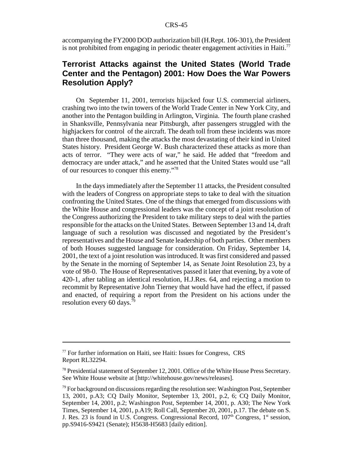accompanying the FY2000 DOD authorization bill (H.Rept. 106-301), the President is not prohibited from engaging in periodic theater engagement activities in Haiti.<sup>77</sup>

## **Terrorist Attacks against the United States (World Trade Center and the Pentagon) 2001: How Does the War Powers Resolution Apply?**

On September 11, 2001, terrorists hijacked four U.S. commercial airliners, crashing two into the twin towers of the World Trade Center in New York City, and another into the Pentagon building in Arlington, Virginia. The fourth plane crashed in Shanksville, Pennsylvania near Pittsburgh, after passengers struggled with the highjackers for control of the aircraft. The death toll from these incidents was more than three thousand, making the attacks the most devastating of their kind in United States history. President George W. Bush characterized these attacks as more than acts of terror. "They were acts of war," he said. He added that "freedom and democracy are under attack," and he asserted that the United States would use "all of our resources to conquer this enemy."78

In the days immediately after the September 11 attacks, the President consulted with the leaders of Congress on appropriate steps to take to deal with the situation confronting the United States. One of the things that emerged from discussions with the White House and congressional leaders was the concept of a joint resolution of the Congress authorizing the President to take military steps to deal with the parties responsible for the attacks on the United States. Between September 13 and 14, draft language of such a resolution was discussed and negotiated by the President's representatives and the House and Senate leadership of both parties. Other members of both Houses suggested language for consideration. On Friday, September 14, 2001, the text of a joint resolution was introduced. It was first considered and passed by the Senate in the morning of September 14, as Senate Joint Resolution 23, by a vote of 98-0. The House of Representatives passed it later that evening, by a vote of 420-1, after tabling an identical resolution, H.J.Res. 64, and rejecting a motion to recommit by Representative John Tierney that would have had the effect, if passed and enacted, of requiring a report from the President on his actions under the resolution every 60 days.79

<sup>77</sup> For further information on Haiti, see Haiti: Issues for Congress, CRS Report RL32294.

 $^{78}$  Presidential statement of September 12, 2001. Office of the White House Press Secretary. See White House website at [http://whitehouse.gov/news/releases].

 $79$  For background on discussions regarding the resolution see: Washington Post, September 13, 2001, p.A3; CQ Daily Monitor, September 13, 2001, p.2, 6; CQ Daily Monitor, September 14, 2001, p.2; Washington Post, September 14, 2001, p. A30; The New York Times, September 14, 2001, p.A19; Roll Call, September 20, 2001, p.17. The debate on S. J. Res. 23 is found in U.S. Congress. Congressional Record,  $107<sup>th</sup>$  Congress,  $1<sup>st</sup>$  session, pp.S9416-S9421 (Senate); H5638-H5683 [daily edition].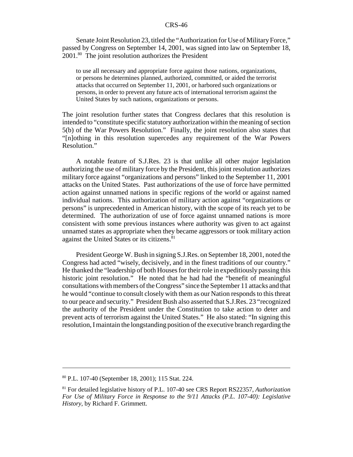Senate Joint Resolution 23, titled the "Authorization for Use of Military Force," passed by Congress on September 14, 2001, was signed into law on September 18, 2001.<sup>80</sup> The joint resolution authorizes the President

to use all necessary and appropriate force against those nations, organizations, or persons he determines planned, authorized, committed, or aided the terrorist attacks that occurred on September 11, 2001, or harbored such organizations or persons, in order to prevent any future acts of international terrorism against the United States by such nations, organizations or persons.

The joint resolution further states that Congress declares that this resolution is intended to "constitute specific statutory authorization within the meaning of section 5(b) of the War Powers Resolution." Finally, the joint resolution also states that "[n]othing in this resolution supercedes any requirement of the War Powers Resolution."

A notable feature of S.J.Res. 23 is that unlike all other major legislation authorizing the use of military force by the President, this joint resolution authorizes military force against "organizations and persons" linked to the September 11, 2001 attacks on the United States. Past authorizations of the use of force have permitted action against unnamed nations in specific regions of the world or against named individual nations. This authorization of military action against "organizations or persons" is unprecedented in American history, with the scope of its reach yet to be determined. The authorization of use of force against unnamed nations is more consistent with some previous instances where authority was given to act against unnamed states as appropriate when they became aggressors or took military action against the United States or its citizens.<sup>81</sup>

President George W. Bush in signing S.J.Res. on September 18, 2001, noted the Congress had acted "wisely, decisively, and in the finest traditions of our country." He thanked the "leadership of both Houses for their role in expeditiously passing this historic joint resolution." He noted that he had had the "benefit of meaningful consultations with members of the Congress" since the September 11 attacks and that he would "continue to consult closely with them as our Nation responds to this threat to our peace and security." President Bush also asserted that S.J.Res. 23 "recognized the authority of the President under the Constitution to take action to deter and prevent acts of terrorism against the United States." He also stated: "In signing this resolution, I maintain the longstanding position of the executive branch regarding the

<sup>80</sup> P.L. 107-40 (September 18, 2001); 115 Stat. 224.

<sup>81</sup> For detailed legislative history of P.L. 107-40 see CRS Report RS22357, *Authorization For Use of Military Force in Response to the 9/11 Attacks (P.L. 107-40): Legislative History*, by Richard F. Grimmett.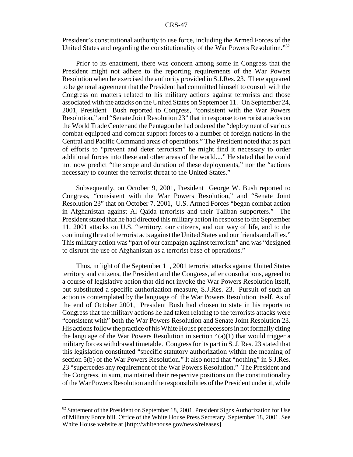President's constitutional authority to use force, including the Armed Forces of the United States and regarding the constitutionality of the War Powers Resolution."82

Prior to its enactment, there was concern among some in Congress that the President might not adhere to the reporting requirements of the War Powers Resolution when he exercised the authority provided in S.J.Res. 23. There appeared to be general agreement that the President had committed himself to consult with the Congress on matters related to his military actions against terrorists and those associated with the attacks on the United States on September 11. On September 24, 2001, President Bush reported to Congress, "consistent with the War Powers Resolution," and "Senate Joint Resolution 23" that in response to terrorist attacks on the World Trade Center and the Pentagon he had ordered the "deployment of various combat-equipped and combat support forces to a number of foreign nations in the Central and Pacific Command areas of operations." The President noted that as part of efforts to "prevent and deter terrorism" he might find it necessary to order additional forces into these and other areas of the world...." He stated that he could not now predict "the scope and duration of these deployments," nor the "actions necessary to counter the terrorist threat to the United States."

Subsequently, on October 9, 2001, President George W. Bush reported to Congress, "consistent with the War Powers Resolution," and "Senate Joint Resolution 23" that on October 7, 2001, U.S. Armed Forces "began combat action in Afghanistan against Al Qaida terrorists and their Taliban supporters." The President stated that he had directed this military action in response to the September 11, 2001 attacks on U.S. "territory, our citizens, and our way of life, and to the continuing threat of terrorist acts against the United States and our friends and allies." This military action was "part of our campaign against terrorism" and was "designed to disrupt the use of Afghanistan as a terrorist base of operations."

Thus, in light of the September 11, 2001 terrorist attacks against United States territory and citizens, the President and the Congress, after consultations, agreed to a course of legislative action that did not invoke the War Powers Resolution itself, but substituted a specific authorization measure, S.J.Res. 23. Pursuit of such an action is contemplated by the language of the War Powers Resolution itself. As of the end of October 2001, President Bush had chosen to state in his reports to Congress that the military actions he had taken relating to the terrorists attacks were "consistent with" both the War Powers Resolution and Senate Joint Resolution 23. His actions follow the practice of his White House predecessors in not formally citing the language of the War Powers Resolution in section  $4(a)(1)$  that would trigger a military forces withdrawal timetable. Congress for its part in S. J. Res. 23 stated that this legislation constituted "specific statutory authorization within the meaning of section 5(b) of the War Powers Resolution." It also noted that "nothing" in S.J.Res. 23 "supercedes any requirement of the War Powers Resolution." The President and the Congress, in sum, maintained their respective positions on the constitutionality of the War Powers Resolution and the responsibilities of the President under it, while

<sup>&</sup>lt;sup>82</sup> Statement of the President on September 18, 2001. President Signs Authorization for Use of Military Force bill. Office of the White House Press Secretary. September 18, 2001. See White House website at [http://whitehouse.gov/news/releases].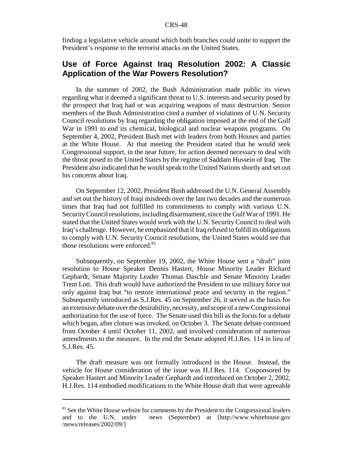finding a legislative vehicle around which both branches could unite to support the President's response to the terrorist attacks on the United States.

## **Use of Force Against Iraq Resolution 2002: A Classic Application of the War Powers Resolution?**

In the summer of 2002, the Bush Administration made public its views regarding what it deemed a significant threat to U.S. interests and security posed by the prospect that Iraq had or was acquiring weapons of mass destruction. Senior members of the Bush Administration cited a number of violations of U.N. Security Council resolutions by Iraq regarding the obligation imposed at the end of the Gulf War in 1991 to end its chemical, biological and nuclear weapons programs. On September 4, 2002, President Bush met with leaders from both Houses and parties at the White House. At that meeting the President stated that he would seek Congressional support, in the near future, for action deemed necessary to deal with the threat posed to the United States by the regime of Saddam Hussein of Iraq. The President also indicated that he would speak to the United Nations shortly and set out his concerns about Iraq.

On September 12, 2002, President Bush addressed the U.N. General Assembly and set out the history of Iraqi misdeeds over the last two decades and the numerous times that Iraq had not fulfilled its commitments to comply with various U.N. Security Council resolutions, including disarmament, since the Gulf War of 1991. He stated that the United States would work with the U.N. Security Council to deal with Iraq's challenge. However, he emphasized that if Iraq refused to fulfill its obligations to comply with U.N. Security Council resolutions, the United States would see that those resolutions were enforced. $83$ 

Subsequently, on September 19, 2002, the White House sent a "draft" joint resolution to House Speaker Dennis Hastert, House Minority Leader Richard Gephardt, Senate Majority Leader Thomas Daschle and Senate Minority Leader Trent Lott. This draft would have authorized the President to use military force not only against Iraq but "to restore international peace and security in the region." Subsequently introduced as S.J.Res. 45 on September 26, it served as the basis for an extensive debate over the desirability, necessity, and scope of a new Congressional authorization for the use of force. The Senate used this bill as the focus for a debate which began, after cloture was invoked, on October 3. The Senate debate continued from October 4 until October 11, 2002, and involved consideration of numerous amendments to the measure. In the end the Senate adopted H.J.Res. 114 in lieu of S.J.Res. 45.

The draft measure was not formally introduced in the House. Instead, the vehicle for House consideration of the issue was H.J.Res. 114. Cosponsored by Speaker Hastert and Minority Leader Gephardt and introduced on October 2, 2002, H.J.Res. 114 embodied modifications to the White House draft that were agreeable

<sup>&</sup>lt;sup>83</sup> See the White House website for comments by the President to the Congressional leaders and to the U.N. under news (September) at [http://www.whitehouse.gov /news/releases/2002/09/]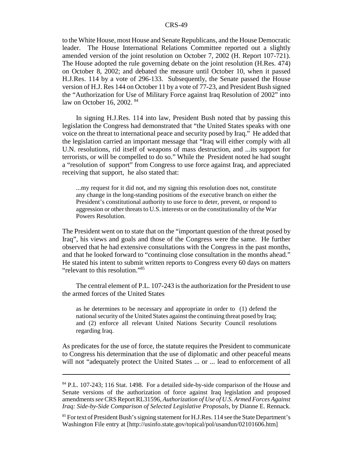to the White House, most House and Senate Republicans, and the House Democratic leader. The House International Relations Committee reported out a slightly amended version of the joint resolution on October 7, 2002 (H. Report 107-721). The House adopted the rule governing debate on the joint resolution (H.Res. 474) on October 8, 2002; and debated the measure until October 10, when it passed H.J.Res. 114 by a vote of 296-133. Subsequently, the Senate passed the House version of H.J. Res 144 on October 11 by a vote of 77-23, and President Bush signed the "Authorization for Use of Military Force against Iraq Resolution of 2002" into law on October 16, 2002. <sup>84</sup>

In signing H.J.Res. 114 into law, President Bush noted that by passing this legislation the Congress had demonstrated that "the United States speaks with one voice on the threat to international peace and security posed by Iraq." He added that the legislation carried an important message that "Iraq will either comply with all U.N. resolutions, rid itself of weapons of mass destruction, and ...its support for terrorists, or will be compelled to do so." While the President noted he had sought a "resolution of support" from Congress to use force against Iraq, and appreciated receiving that support, he also stated that:

...my request for it did not, and my signing this resolution does not, constitute any change in the long-standing positions of the executive branch on either the President's constitutional authority to use force to deter, prevent, or respond to aggression or other threats to U.S. interests or on the constitutionality of the War Powers Resolution.

The President went on to state that on the "important question of the threat posed by Iraq", his views and goals and those of the Congress were the same. He further observed that he had extensive consultations with the Congress in the past months, and that he looked forward to "continuing close consultation in the months ahead." He stated his intent to submit written reports to Congress every 60 days on matters "relevant to this resolution."85

The central element of P.L. 107-243 is the authorization for the President to use the armed forces of the United States

as he determines to be necessary and appropriate in order to (1) defend the national security of the United States against the continuing threat posed by Iraq; and (2) enforce all relevant United Nations Security Council resolutions regarding Iraq.

As predicates for the use of force, the statute requires the President to communicate to Congress his determination that the use of diplomatic and other peaceful means will not "adequately protect the United States ... or ... lead to enforcement of all

<sup>84</sup> P.L. 107-243; 116 Stat. 1498. For a detailed side-by-side comparison of the House and Senate versions of the authorization of force against Iraq legislation and proposed amendments *see* CRS Report RL31596, *Authorization of Use of U.S. Armed Forces Against Iraq: Side-by-Side Comparison of Selected Legislative Proposals*, by Dianne E. Rennack.

<sup>&</sup>lt;sup>85</sup> For text of President Bush's signing statement for H.J.Res. 114 see the State Department's Washington File entry at [http://usinfo.state.gov/topical/pol/usandun/02101606.htm]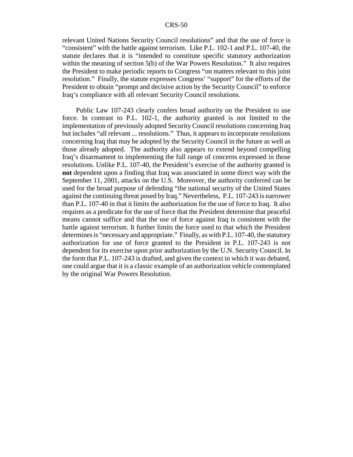relevant United Nations Security Council resolutions" and that the use of force is "consistent" with the battle against terrorism. Like P.L. 102-1 and P.L. 107-40, the statute declares that it is "intended to constitute specific statutory authorization within the meaning of section 5(b) of the War Powers Resolution." It also requires the President to make periodic reports to Congress "on matters relevant to this joint resolution." Finally, the statute expresses Congress' "support" for the efforts of the President to obtain "prompt and decisive action by the Security Council" to enforce Iraq's compliance with all relevant Security Council resolutions.

Public Law 107-243 clearly confers broad authority on the President to use force. In contrast to P.L. 102-1, the authority granted is not limited to the implementation of previously adopted Security Council resolutions concerning Iraq but includes "all relevant ... resolutions." Thus, it appears to incorporate resolutions concerning Iraq that may be adopted by the Security Council in the future as well as those already adopted. The authority also appears to extend beyond compelling Iraq's disarmament to implementing the full range of concerns expressed in those resolutions. Unlike P.L. 107-40, the President's exercise of the authority granted is **not** dependent upon a finding that Iraq was associated in some direct way with the September 11, 2001, attacks on the U.S. Moreover, the authority conferred can be used for the broad purpose of defending "the national security of the United States against the continuing threat posed by Iraq." Nevertheless, P.L. 107-243 is narrower than P.L. 107-40 in that it limits the authorization for the use of force to Iraq. It also requires as a predicate for the use of force that the President determine that peaceful means cannot suffice and that the use of force against Iraq is consistent with the battle against terrorism. It further limits the force used to that which the President determines is "necessary and appropriate." Finally, as with P.L. 107-40, the statutory authorization for use of force granted to the President in P.L. 107-243 is not dependent for its exercise upon prior authorization by the U.N. Security Council. In the form that P.L. 107-243 is drafted, and given the context in which it was debated, one could argue that it is a classic example of an authorization vehicle contemplated by the original War Powers Resolution.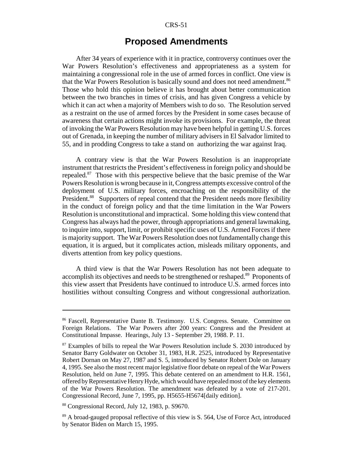# **Proposed Amendments**

After 34 years of experience with it in practice, controversy continues over the War Powers Resolution's effectiveness and appropriateness as a system for maintaining a congressional role in the use of armed forces in conflict. One view is that the War Powers Resolution is basically sound and does not need amendment.<sup>86</sup> Those who hold this opinion believe it has brought about better communication between the two branches in times of crisis, and has given Congress a vehicle by which it can act when a majority of Members wish to do so. The Resolution served as a restraint on the use of armed forces by the President in some cases because of awareness that certain actions might invoke its provisions. For example, the threat of invoking the War Powers Resolution may have been helpful in getting U.S. forces out of Grenada, in keeping the number of military advisers in El Salvador limited to 55, and in prodding Congress to take a stand on authorizing the war against Iraq.

A contrary view is that the War Powers Resolution is an inappropriate instrument that restricts the President's effectiveness in foreign policy and should be repealed.<sup>87</sup> Those with this perspective believe that the basic premise of the War Powers Resolution is wrong because in it, Congress attempts excessive control of the deployment of U.S. military forces, encroaching on the responsibility of the President.<sup>88</sup> Supporters of repeal contend that the President needs more flexibility in the conduct of foreign policy and that the time limitation in the War Powers Resolution is unconstitutional and impractical. Some holding this view contend that Congress has always had the power, through appropriations and general lawmaking, to inquire into, support, limit, or prohibit specific uses of U.S. Armed Forces if there is majority support. The War Powers Resolution does not fundamentally change this equation, it is argued, but it complicates action, misleads military opponents, and diverts attention from key policy questions.

A third view is that the War Powers Resolution has not been adequate to accomplish its objectives and needs to be strengthened or reshaped.<sup>89</sup> Proponents of this view assert that Presidents have continued to introduce U.S. armed forces into hostilities without consulting Congress and without congressional authorization.

<sup>86</sup> Fascell, Representative Dante B. Testimony. U.S. Congress. Senate. Committee on Foreign Relations. The War Powers after 200 years: Congress and the President at Constitutional Impasse. Hearings, July 13 - September 29, 1988. P. 11.

<sup>&</sup>lt;sup>87</sup> Examples of bills to repeal the War Powers Resolution include S. 2030 introduced by Senator Barry Goldwater on October 31, 1983, H.R. 2525, introduced by Representative Robert Dornan on May 27, 1987 and S. 5, introduced by Senator Robert Dole on January 4, 1995. See also the most recent major legislative floor debate on repeal of the War Powers Resolution, held on June 7, 1995. This debate centered on an amendment to H.R. 1561, offered by Representative Henry Hyde, which would have repealed most of the key elements of the War Powers Resolution. The amendment was defeated by a vote of 217-201. Congressional Record, June 7, 1995, pp. H5655-H5674[daily edition].

<sup>88</sup> Congressional Record, July 12, 1983, p. S9670.

<sup>&</sup>lt;sup>89</sup> A broad-gauged proposal reflective of this view is S. 564, Use of Force Act, introduced by Senator Biden on March 15, 1995.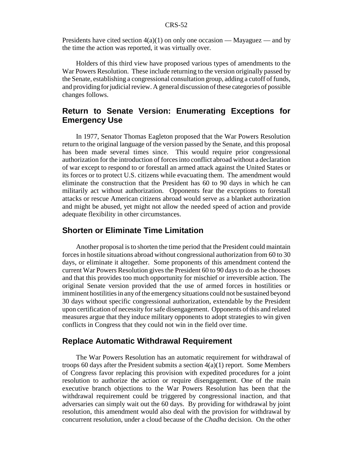Presidents have cited section  $4(a)(1)$  on only one occasion — Mayaguez — and by the time the action was reported, it was virtually over.

Holders of this third view have proposed various types of amendments to the War Powers Resolution. These include returning to the version originally passed by the Senate, establishing a congressional consultation group, adding a cutoff of funds, and providing for judicial review. A general discussion of these categories of possible changes follows.

## **Return to Senate Version: Enumerating Exceptions for Emergency Use**

In 1977, Senator Thomas Eagleton proposed that the War Powers Resolution return to the original language of the version passed by the Senate, and this proposal has been made several times since. This would require prior congressional authorization for the introduction of forces into conflict abroad without a declaration of war except to respond to or forestall an armed attack against the United States or its forces or to protect U.S. citizens while evacuating them. The amendment would eliminate the construction that the President has 60 to 90 days in which he can militarily act without authorization. Opponents fear the exceptions to forestall attacks or rescue American citizens abroad would serve as a blanket authorization and might be abused, yet might not allow the needed speed of action and provide adequate flexibility in other circumstances.

### **Shorten or Eliminate Time Limitation**

Another proposal is to shorten the time period that the President could maintain forces in hostile situations abroad without congressional authorization from 60 to 30 days, or eliminate it altogether. Some proponents of this amendment contend the current War Powers Resolution gives the President 60 to 90 days to do as he chooses and that this provides too much opportunity for mischief or irreversible action. The original Senate version provided that the use of armed forces in hostilities or imminent hostilities in any of the emergency situations could not be sustained beyond 30 days without specific congressional authorization, extendable by the President upon certification of necessity for safe disengagement. Opponents of this and related measures argue that they induce military opponents to adopt strategies to win given conflicts in Congress that they could not win in the field over time.

### **Replace Automatic Withdrawal Requirement**

The War Powers Resolution has an automatic requirement for withdrawal of troops 60 days after the President submits a section  $4(a)(1)$  report. Some Members of Congress favor replacing this provision with expedited procedures for a joint resolution to authorize the action or require disengagement. One of the main executive branch objections to the War Powers Resolution has been that the withdrawal requirement could be triggered by congressional inaction, and that adversaries can simply wait out the 60 days. By providing for withdrawal by joint resolution, this amendment would also deal with the provision for withdrawal by concurrent resolution, under a cloud because of the *Chadha* decision. On the other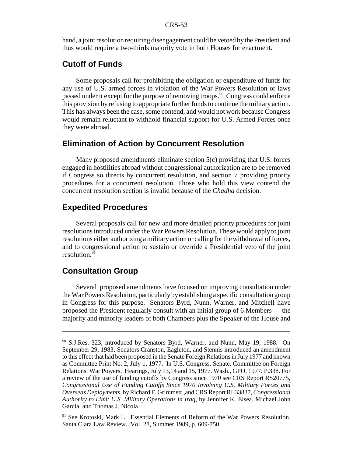hand, a joint resolution requiring disengagement could be vetoed by the President and thus would require a two-thirds majority vote in both Houses for enactment.

## **Cutoff of Funds**

Some proposals call for prohibiting the obligation or expenditure of funds for any use of U.S. armed forces in violation of the War Powers Resolution or laws passed under it except for the purpose of removing troops.90 Congress could enforce this provision by refusing to appropriate further funds to continue the military action. This has always been the case, some contend, and would not work because Congress would remain reluctant to withhold financial support for U.S. Armed Forces once they were abroad.

### **Elimination of Action by Concurrent Resolution**

Many proposed amendments eliminate section 5(c) providing that U.S. forces engaged in hostilities abroad without congressional authorization are to be removed if Congress so directs by concurrent resolution, and section 7 providing priority procedures for a concurrent resolution. Those who hold this view contend the concurrent resolution section is invalid because of the *Chadha* decision.

### **Expedited Procedures**

Several proposals call for new and more detailed priority procedures for joint resolutions introduced under the War Powers Resolution. These would apply to joint resolutions either authorizing a military action or calling for the withdrawal of forces, and to congressional action to sustain or override a Presidential veto of the joint resolution $^{91}$ 

## **Consultation Group**

Several proposed amendments have focused on improving consultation under the War Powers Resolution, particularly by establishing a specific consultation group in Congress for this purpose. Senators Byrd, Nunn, Warner, and Mitchell have proposed the President regularly consult with an initial group of 6 Members — the majority and minority leaders of both Chambers plus the Speaker of the House and

<sup>90</sup> S.J.Res. 323, introduced by Senators Byrd, Warner, and Nunn, May 19, 1988. On September 29, 1983, Senators Cranston, Eagleton, and Stennis introduced an amendment to this effect that had been proposed in the Senate Foreign Relations in July 1977 and known as Committee Print No. 2, July 1, 1977. In U.S. Congress. Senate. Committee on Foreign Relations. War Powers. Hearings, July 13,14 and 15, 1977. Wash., GPO, 1977. P.338. For a review of the use of funding cutoffs by Congress since 1970 see CRS Report RS20775, *Congressional Use of Funding Cutoffs Since 1970 Involving U.S. Military Forces and Overseas Deployments*, by Richard F. Grimmett.,and CRS Report RL33837, *Congressional Authority to Limit U.S. Military Operations in Iraq*, by Jennifer K. Elsea, Michael John Garcia, and Thomas J. Nicola.

<sup>&</sup>lt;sup>91</sup> See Krotoski, Mark L. Essential Elements of Reform of the War Powers Resolution. Santa Clara Law Review. Vol. 28, Summer 1989, p. 609-750.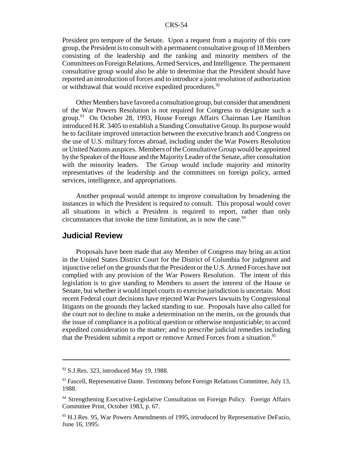President pro tempore of the Senate. Upon a request from a majority of this core group, the President is to consult with a permanent consultative group of 18 Members consisting of the leadership and the ranking and minority members of the Committees on Foreign Relations, Armed Services, and Intelligence. The permanent consultative group would also be able to determine that the President should have reported an introduction of forces and to introduce a joint resolution of authorization or withdrawal that would receive expedited procedures.<sup>92</sup>

Other Members have favored a consultation group, but consider that amendment of the War Powers Resolution is not required for Congress to designate such a group.<sup>93</sup> On October 28, 1993, House Foreign Affairs Chairman Lee Hamilton introduced H.R. 3405 to establish a Standing Consultative Group. Its purpose would be to facilitate improved interaction between the executive branch and Congress on the use of U.S. military forces abroad, including under the War Powers Resolution or United Nations auspices. Members of the Consultative Group would be appointed by the Speaker of the House and the Majority Leader of the Senate, after consultation with the minority leaders. The Group would include majority and minority representatives of the leadership and the committees on foreign policy, armed services, intelligence, and appropriations.

Another proposal would attempt to improve consultation by broadening the instances in which the President is required to consult. This proposal would cover all situations in which a President is required to report, rather than only circumstances that invoke the time limitation, as is now the case.<sup>94</sup>

### **Judicial Review**

Proposals have been made that any Member of Congress may bring an action in the United States District Court for the District of Columbia for judgment and injunctive relief on the grounds that the President or the U.S. Armed Forces have not complied with any provision of the War Powers Resolution. The intent of this legislation is to give standing to Members to assert the interest of the House or Senate, but whether it would impel courts to exercise jurisdiction is uncertain. Most recent Federal court decisions have rejected War Powers lawsuits by Congressional litigants on the grounds they lacked standing to sue. Proposals have also called for the court not to decline to make a determination on the merits, on the grounds that the issue of compliance is a political question or otherwise nonjusticiable; to accord expedited consideration to the matter; and to prescribe judicial remedies including that the President submit a report or remove Armed Forces from a situation.<sup>95</sup>

<sup>92</sup> S.J.Res. 323, introduced May 19, 1988.

<sup>&</sup>lt;sup>93</sup> Fascell, Representative Dante. Testimony before Foreign Relations Committee, July 13, 1988.

<sup>&</sup>lt;sup>94</sup> Strengthening Executive-Legislative Consultation on Foreign Policy. Foreign Affairs Committee Print, October 1983, p. 67.

<sup>&</sup>lt;sup>95</sup> H.J.Res. 95, War Powers Amendments of 1995, introduced by Representative DeFazio, June 16, 1995.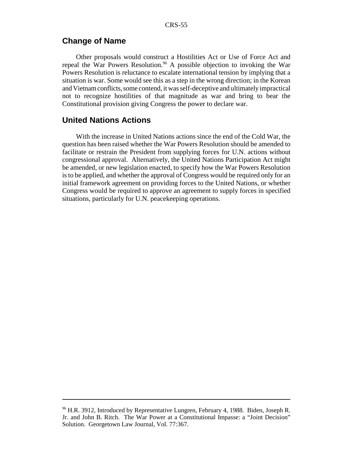## **Change of Name**

Other proposals would construct a Hostilities Act or Use of Force Act and repeal the War Powers Resolution.<sup>96</sup> A possible objection to invoking the War Powers Resolution is reluctance to escalate international tension by implying that a situation is war. Some would see this as a step in the wrong direction; in the Korean and Vietnam conflicts, some contend, it was self-deceptive and ultimately impractical not to recognize hostilities of that magnitude as war and bring to bear the Constitutional provision giving Congress the power to declare war.

### **United Nations Actions**

With the increase in United Nations actions since the end of the Cold War, the question has been raised whether the War Powers Resolution should be amended to facilitate or restrain the President from supplying forces for U.N. actions without congressional approval. Alternatively, the United Nations Participation Act might be amended, or new legislation enacted, to specify how the War Powers Resolution is to be applied, and whether the approval of Congress would be required only for an initial framework agreement on providing forces to the United Nations, or whether Congress would be required to approve an agreement to supply forces in specified situations, particularly for U.N. peacekeeping operations.

<sup>&</sup>lt;sup>96</sup> H.R. 3912, Introduced by Representative Lungren, February 4, 1988. Biden, Joseph R. Jr. and John B. Ritch. The War Power at a Constitutional Impasse: a "Joint Decision" Solution. Georgetown Law Journal, Vol. 77:367.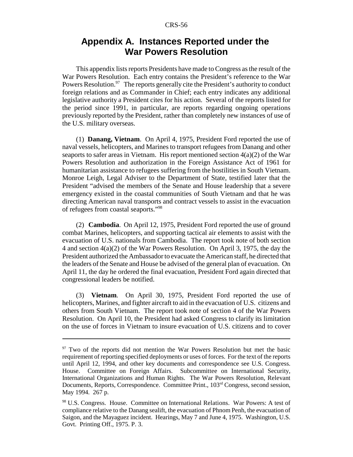# **Appendix A. Instances Reported under the War Powers Resolution**

This appendix lists reports Presidents have made to Congress as the result of the War Powers Resolution. Each entry contains the President's reference to the War Powers Resolution.<sup>97</sup> The reports generally cite the President's authority to conduct foreign relations and as Commander in Chief; each entry indicates any additional legislative authority a President cites for his action. Several of the reports listed for the period since 1991, in particular, are reports regarding ongoing operations previously reported by the President, rather than completely new instances of use of the U.S. military overseas.

(1) **Danang, Vietnam**. On April 4, 1975, President Ford reported the use of naval vessels, helicopters, and Marines to transport refugees from Danang and other seaports to safer areas in Vietnam. His report mentioned section  $4(a)(2)$  of the War Powers Resolution and authorization in the Foreign Assistance Act of 1961 for humanitarian assistance to refugees suffering from the hostilities in South Vietnam. Monroe Leigh, Legal Adviser to the Department of State, testified later that the President "advised the members of the Senate and House leadership that a severe emergency existed in the coastal communities of South Vietnam and that he was directing American naval transports and contract vessels to assist in the evacuation of refugees from coastal seaports."98

(2) **Cambodia**. On April 12, 1975, President Ford reported the use of ground combat Marines, helicopters, and supporting tactical air elements to assist with the evacuation of U.S. nationals from Cambodia. The report took note of both section 4 and section 4(a)(2) of the War Powers Resolution. On April 3, 1975, the day the President authorized the Ambassador to evacuate the American staff, he directed that the leaders of the Senate and House be advised of the general plan of evacuation. On April 11, the day he ordered the final evacuation, President Ford again directed that congressional leaders be notified.

(3) **Vietnam**. On April 30, 1975, President Ford reported the use of helicopters, Marines, and fighter aircraft to aid in the evacuation of U.S. citizens and others from South Vietnam. The report took note of section 4 of the War Powers Resolution. On April 10, the President had asked Congress to clarify its limitation on the use of forces in Vietnam to insure evacuation of U.S. citizens and to cover

 $97$  Two of the reports did not mention the War Powers Resolution but met the basic requirement of reporting specified deployments or uses of forces. For the text of the reports until April 12, 1994, and other key documents and correspondence see U.S. Congress. House. Committee on Foreign Affairs. Subcommittee on International Security, International Organizations and Human Rights. The War Powers Resolution, Relevant Documents, Reports, Correspondence. Committee Print., 103<sup>rd</sup> Congress, second session, May 1994. 267 p.

<sup>&</sup>lt;sup>98</sup> U.S. Congress. House. Committee on International Relations. War Powers: A test of compliance relative to the Danang sealift, the evacuation of Phnom Penh, the evacuation of Saigon, and the Mayaguez incident. Hearings, May 7 and June 4, 1975. Washington, U.S. Govt. Printing Off., 1975. P. 3.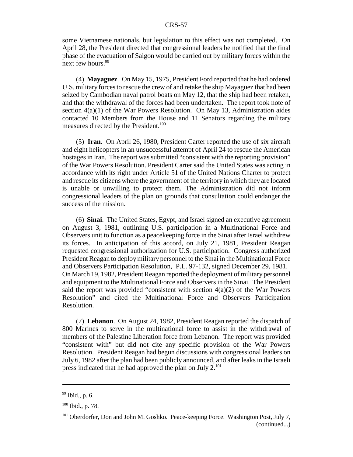some Vietnamese nationals, but legislation to this effect was not completed. On April 28, the President directed that congressional leaders be notified that the final phase of the evacuation of Saigon would be carried out by military forces within the next few hours.<sup>99</sup>

(4) **Mayaguez**. On May 15, 1975, President Ford reported that he had ordered U.S. military forces to rescue the crew of and retake the ship Mayaguez that had been seized by Cambodian naval patrol boats on May 12, that the ship had been retaken, and that the withdrawal of the forces had been undertaken. The report took note of section 4(a)(1) of the War Powers Resolution. On May 13, Administration aides contacted 10 Members from the House and 11 Senators regarding the military measures directed by the President.<sup>100</sup>

(5) **Iran**. On April 26, 1980, President Carter reported the use of six aircraft and eight helicopters in an unsuccessful attempt of April 24 to rescue the American hostages in Iran. The report was submitted "consistent with the reporting provision" of the War Powers Resolution. President Carter said the United States was acting in accordance with its right under Article 51 of the United Nations Charter to protect and rescue its citizens where the government of the territory in which they are located is unable or unwilling to protect them. The Administration did not inform congressional leaders of the plan on grounds that consultation could endanger the success of the mission.

(6) **Sinai**. The United States, Egypt, and Israel signed an executive agreement on August 3, 1981, outlining U.S. participation in a Multinational Force and Observers unit to function as a peacekeeping force in the Sinai after Israel withdrew its forces. In anticipation of this accord, on July 21, 1981, President Reagan requested congressional authorization for U.S. participation. Congress authorized President Reagan to deploy military personnel to the Sinai in the Multinational Force and Observers Participation Resolution, P.L. 97-132, signed December 29, 1981. On March 19, 1982, President Reagan reported the deployment of military personnel and equipment to the Multinational Force and Observers in the Sinai. The President said the report was provided "consistent with section  $4(a)(2)$  of the War Powers Resolution" and cited the Multinational Force and Observers Participation Resolution.

(7) **Lebanon**. On August 24, 1982, President Reagan reported the dispatch of 800 Marines to serve in the multinational force to assist in the withdrawal of members of the Palestine Liberation force from Lebanon. The report was provided "consistent with" but did not cite any specific provision of the War Powers Resolution. President Reagan had begun discussions with congressional leaders on July 6, 1982 after the plan had been publicly announced, and after leaks in the Israeli press indicated that he had approved the plan on July  $2^{101}$ 

 $99$  Ibid., p. 6.

<sup>100</sup> Ibid., p. 78.

<sup>&</sup>lt;sup>101</sup> Oberdorfer, Don and John M. Goshko. Peace-keeping Force. Washington Post, July 7, (continued...)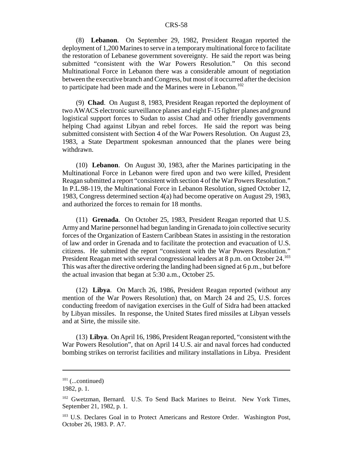(8) **Lebanon**. On September 29, 1982, President Reagan reported the deployment of 1,200 Marines to serve in a temporary multinational force to facilitate the restoration of Lebanese government sovereignty. He said the report was being submitted "consistent with the War Powers Resolution." On this second Multinational Force in Lebanon there was a considerable amount of negotiation between the executive branch and Congress, but most of it occurred after the decision to participate had been made and the Marines were in Lebanon.<sup>102</sup>

(9) **Chad**. On August 8, 1983, President Reagan reported the deployment of two AWACS electronic surveillance planes and eight F-15 fighter planes and ground logistical support forces to Sudan to assist Chad and other friendly governments helping Chad against Libyan and rebel forces. He said the report was being submitted consistent with Section 4 of the War Powers Resolution. On August 23, 1983, a State Department spokesman announced that the planes were being withdrawn.

(10) **Lebanon**. On August 30, 1983, after the Marines participating in the Multinational Force in Lebanon were fired upon and two were killed, President Reagan submitted a report "consistent with section 4 of the War Powers Resolution." In P.L.98-119, the Multinational Force in Lebanon Resolution, signed October 12, 1983, Congress determined section 4(a) had become operative on August 29, 1983, and authorized the forces to remain for 18 months.

(11) **Grenada**. On October 25, 1983, President Reagan reported that U.S. Army and Marine personnel had begun landing in Grenada to join collective security forces of the Organization of Eastern Caribbean States in assisting in the restoration of law and order in Grenada and to facilitate the protection and evacuation of U.S. citizens. He submitted the report "consistent with the War Powers Resolution." President Reagan met with several congressional leaders at 8 p.m. on October 24.<sup>103</sup> This was after the directive ordering the landing had been signed at 6 p.m., but before the actual invasion that began at 5:30 a.m., October 25.

(12) **Libya**. On March 26, 1986, President Reagan reported (without any mention of the War Powers Resolution) that, on March 24 and 25, U.S. forces conducting freedom of navigation exercises in the Gulf of Sidra had been attacked by Libyan missiles. In response, the United States fired missiles at Libyan vessels and at Sirte, the missile site.

(13) **Libya**. On April 16, 1986, President Reagan reported, "consistent with the War Powers Resolution", that on April 14 U.S. air and naval forces had conducted bombing strikes on terrorist facilities and military installations in Libya. President

 $101$  (...continued)

<sup>1982,</sup> p. 1.

<sup>&</sup>lt;sup>102</sup> Gwetzman, Bernard. U.S. To Send Back Marines to Beirut. New York Times, September 21, 1982, p. 1.

<sup>&</sup>lt;sup>103</sup> U.S. Declares Goal in to Protect Americans and Restore Order. Washington Post, October 26, 1983. P. A7.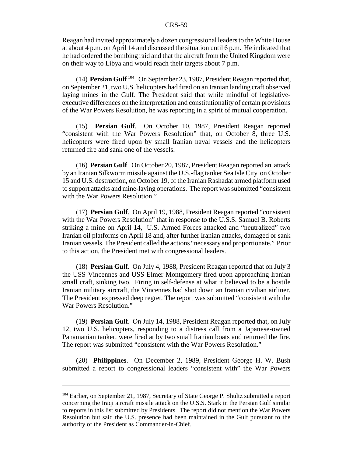Reagan had invited approximately a dozen congressional leaders to the White House at about 4 p.m. on April 14 and discussed the situation until 6 p.m. He indicated that he had ordered the bombing raid and that the aircraft from the United Kingdom were on their way to Libya and would reach their targets about 7 p.m.

 (14) **Persian Gulf** 104. On September 23, 1987, President Reagan reported that, on September 21, two U.S. helicopters had fired on an Iranian landing craft observed laying mines in the Gulf. The President said that while mindful of legislativeexecutive differences on the interpretation and constitutionality of certain provisions of the War Powers Resolution, he was reporting in a spirit of mutual cooperation.

(15) **Persian Gulf**. On October 10, 1987, President Reagan reported "consistent with the War Powers Resolution" that, on October 8, three U.S. helicopters were fired upon by small Iranian naval vessels and the helicopters returned fire and sank one of the vessels.

(16) **Persian Gulf**. On October 20, 1987, President Reagan reported an attack by an Iranian Silkworm missile against the U.S.-flag tanker Sea Isle City on October 15 and U.S. destruction, on October 19, of the Iranian Rashadat armed platform used to support attacks and mine-laying operations. The report was submitted "consistent with the War Powers Resolution."

(17) **Persian Gulf**. On April 19, 1988, President Reagan reported "consistent with the War Powers Resolution" that in response to the U.S.S. Samuel B. Roberts striking a mine on April 14, U.S. Armed Forces attacked and "neutralized" two Iranian oil platforms on April 18 and, after further Iranian attacks, damaged or sank Iranian vessels. The President called the actions "necessary and proportionate." Prior to this action, the President met with congressional leaders.

(18) **Persian Gulf**. On July 4, 1988, President Reagan reported that on July 3 the USS Vincennes and USS Elmer Montgomery fired upon approaching Iranian small craft, sinking two. Firing in self-defense at what it believed to be a hostile Iranian military aircraft, the Vincennes had shot down an Iranian civilian airliner. The President expressed deep regret. The report was submitted "consistent with the War Powers Resolution."

(19) **Persian Gulf**. On July 14, 1988, President Reagan reported that, on July 12, two U.S. helicopters, responding to a distress call from a Japanese-owned Panamanian tanker, were fired at by two small Iranian boats and returned the fire. The report was submitted "consistent with the War Powers Resolution."

(20) **Philippines**. On December 2, 1989, President George H. W. Bush submitted a report to congressional leaders "consistent with" the War Powers

<sup>&</sup>lt;sup>104</sup> Earlier, on September 21, 1987, Secretary of State George P. Shultz submitted a report concerning the Iraqi aircraft missile attack on the U.S.S. Stark in the Persian Gulf similar to reports in this list submitted by Presidents. The report did not mention the War Powers Resolution but said the U.S. presence had been maintained in the Gulf pursuant to the authority of the President as Commander-in-Chief.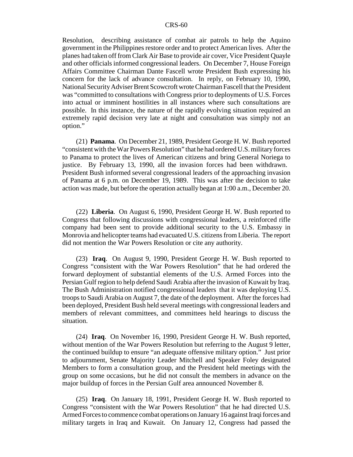Resolution, describing assistance of combat air patrols to help the Aquino government in the Philippines restore order and to protect American lives. After the planes had taken off from Clark Air Base to provide air cover, Vice President Quayle and other officials informed congressional leaders. On December 7, House Foreign Affairs Committee Chairman Dante Fascell wrote President Bush expressing his concern for the lack of advance consultation. In reply, on February 10, 1990, National Security Adviser Brent Scowcroft wrote Chairman Fascell that the President was "committed to consultations with Congress prior to deployments of U.S. Forces into actual or imminent hostilities in all instances where such consultations are possible. In this instance, the nature of the rapidly evolving situation required an extremely rapid decision very late at night and consultation was simply not an option."

(21) **Panama**. On December 21, 1989, President George H. W. Bush reported "consistent with the War Powers Resolution" that he had ordered U.S. military forces to Panama to protect the lives of American citizens and bring General Noriega to justice. By February 13, 1990, all the invasion forces had been withdrawn. President Bush informed several congressional leaders of the approaching invasion of Panama at 6 p.m. on December 19, 1989. This was after the decision to take action was made, but before the operation actually began at 1:00 a.m., December 20.

(22) **Liberia**. On August 6, 1990, President George H. W. Bush reported to Congress that following discussions with congressional leaders, a reinforced rifle company had been sent to provide additional security to the U.S. Embassy in Monrovia and helicopter teams had evacuated U.S. citizens from Liberia. The report did not mention the War Powers Resolution or cite any authority.

(23) **Iraq**. On August 9, 1990, President George H. W. Bush reported to Congress "consistent with the War Powers Resolution" that he had ordered the forward deployment of substantial elements of the U.S. Armed Forces into the Persian Gulf region to help defend Saudi Arabia after the invasion of Kuwait by Iraq. The Bush Administration notified congressional leaders that it was deploying U.S. troops to Saudi Arabia on August 7, the date of the deployment. After the forces had been deployed, President Bush held several meetings with congressional leaders and members of relevant committees, and committees held hearings to discuss the situation.

(24) **Iraq**. On November 16, 1990, President George H. W. Bush reported, without mention of the War Powers Resolution but referring to the August 9 letter, the continued buildup to ensure "an adequate offensive military option." Just prior to adjournment, Senate Majority Leader Mitchell and Speaker Foley designated Members to form a consultation group, and the President held meetings with the group on some occasions, but he did not consult the members in advance on the major buildup of forces in the Persian Gulf area announced November 8.

(25) **Iraq**. On January 18, 1991, President George H. W. Bush reported to Congress "consistent with the War Powers Resolution" that he had directed U.S. Armed Forces to commence combat operations on January 16 against Iraqi forces and military targets in Iraq and Kuwait. On January 12, Congress had passed the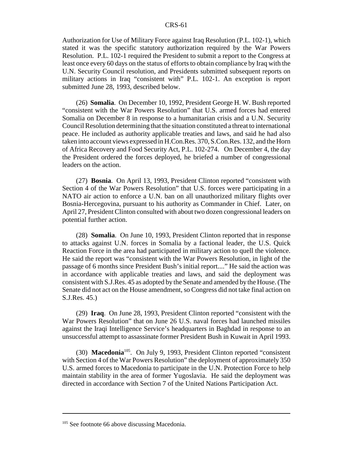Authorization for Use of Military Force against Iraq Resolution (P.L. 102-1), which stated it was the specific statutory authorization required by the War Powers Resolution. P.L. 102-1 required the President to submit a report to the Congress at least once every 60 days on the status of efforts to obtain compliance by Iraq with the U.N. Security Council resolution, and Presidents submitted subsequent reports on military actions in Iraq "consistent with" P.L. 102-1. An exception is report submitted June 28, 1993, described below.

(26) **Somalia**. On December 10, 1992, President George H. W. Bush reported "consistent with the War Powers Resolution" that U.S. armed forces had entered Somalia on December 8 in response to a humanitarian crisis and a U.N. Security Council Resolution determining that the situation constituted a threat to international peace. He included as authority applicable treaties and laws, and said he had also taken into account views expressed in H.Con.Res. 370, S.Con.Res. 132, and the Horn of Africa Recovery and Food Security Act, P.L. 102-274. On December 4, the day the President ordered the forces deployed, he briefed a number of congressional leaders on the action.

(27) **Bosnia**. On April 13, 1993, President Clinton reported "consistent with Section 4 of the War Powers Resolution" that U.S. forces were participating in a NATO air action to enforce a U.N. ban on all unauthorized military flights over Bosnia-Hercegovina, pursuant to his authority as Commander in Chief. Later, on April 27, President Clinton consulted with about two dozen congressional leaders on potential further action.

(28) **Somalia**. On June 10, 1993, President Clinton reported that in response to attacks against U.N. forces in Somalia by a factional leader, the U.S. Quick Reaction Force in the area had participated in military action to quell the violence. He said the report was "consistent with the War Powers Resolution, in light of the passage of 6 months since President Bush's initial report...." He said the action was in accordance with applicable treaties and laws, and said the deployment was consistent with S.J.Res. 45 as adopted by the Senate and amended by the House. (The Senate did not act on the House amendment, so Congress did not take final action on S.J.Res. 45.)

(29) **Iraq**. On June 28, 1993, President Clinton reported "consistent with the War Powers Resolution" that on June 26 U.S. naval forces had launched missiles against the Iraqi Intelligence Service's headquarters in Baghdad in response to an unsuccessful attempt to assassinate former President Bush in Kuwait in April 1993.

(30) **Macedonia**105. On July 9, 1993, President Clinton reported "consistent with Section 4 of the War Powers Resolution" the deployment of approximately 350 U.S. armed forces to Macedonia to participate in the U.N. Protection Force to help maintain stability in the area of former Yugoslavia. He said the deployment was directed in accordance with Section 7 of the United Nations Participation Act.

<sup>&</sup>lt;sup>105</sup> See footnote 66 above discussing Macedonia.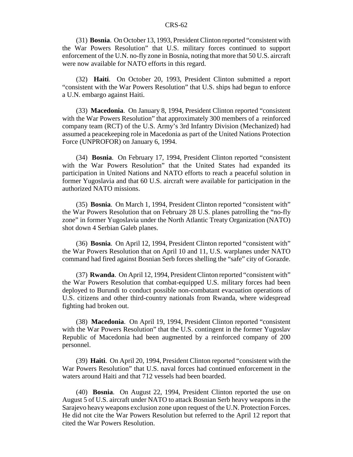(31) **Bosnia**. On October 13, 1993, President Clinton reported "consistent with the War Powers Resolution" that U.S. military forces continued to support enforcement of the U.N. no-fly zone in Bosnia, noting that more that 50 U.S. aircraft were now available for NATO efforts in this regard.

(32) **Haiti**. On October 20, 1993, President Clinton submitted a report "consistent with the War Powers Resolution" that U.S. ships had begun to enforce a U.N. embargo against Haiti.

(33) **Macedonia**. On January 8, 1994, President Clinton reported "consistent with the War Powers Resolution" that approximately 300 members of a reinforced company team (RCT) of the U.S. Army's 3rd Infantry Division (Mechanized) had assumed a peacekeeping role in Macedonia as part of the United Nations Protection Force (UNPROFOR) on January 6, 1994.

(34) **Bosnia**. On February 17, 1994, President Clinton reported "consistent with the War Powers Resolution" that the United States had expanded its participation in United Nations and NATO efforts to reach a peaceful solution in former Yugoslavia and that 60 U.S. aircraft were available for participation in the authorized NATO missions.

(35) **Bosnia**. On March 1, 1994, President Clinton reported "consistent with" the War Powers Resolution that on February 28 U.S. planes patrolling the "no-fly zone" in former Yugoslavia under the North Atlantic Treaty Organization (NATO) shot down 4 Serbian Galeb planes.

(36) **Bosnia**. On April 12, 1994, President Clinton reported "consistent with" the War Powers Resolution that on April 10 and 11, U.S. warplanes under NATO command had fired against Bosnian Serb forces shelling the "safe" city of Gorazde.

(37) **Rwanda**. On April 12, 1994, President Clinton reported "consistent with" the War Powers Resolution that combat-equipped U.S. military forces had been deployed to Burundi to conduct possible non-combatant evacuation operations of U.S. citizens and other third-country nationals from Rwanda, where widespread fighting had broken out.

(38) **Macedonia**. On April 19, 1994, President Clinton reported "consistent with the War Powers Resolution" that the U.S. contingent in the former Yugoslav Republic of Macedonia had been augmented by a reinforced company of 200 personnel.

(39) **Haiti**. On April 20, 1994, President Clinton reported "consistent with the War Powers Resolution" that U.S. naval forces had continued enforcement in the waters around Haiti and that 712 vessels had been boarded.

(40) **Bosnia**. On August 22, 1994, President Clinton reported the use on August 5 of U.S. aircraft under NATO to attack Bosnian Serb heavy weapons in the Sarajevo heavy weapons exclusion zone upon request of the U.N. Protection Forces. He did not cite the War Powers Resolution but referred to the April 12 report that cited the War Powers Resolution.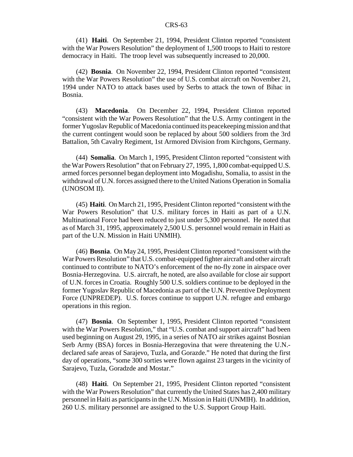(41) **Haiti**. On September 21, 1994, President Clinton reported "consistent with the War Powers Resolution" the deployment of 1,500 troops to Haiti to restore democracy in Haiti. The troop level was subsequently increased to 20,000.

(42) **Bosnia**. On November 22, 1994, President Clinton reported "consistent with the War Powers Resolution" the use of U.S. combat aircraft on November 21, 1994 under NATO to attack bases used by Serbs to attack the town of Bihac in Bosnia.

(43) **Macedonia**. On December 22, 1994, President Clinton reported "consistent with the War Powers Resolution" that the U.S. Army contingent in the former Yugoslav Republic of Macedonia continued its peacekeeping mission and that the current contingent would soon be replaced by about 500 soldiers from the 3rd Battalion, 5th Cavalry Regiment, 1st Armored Division from Kirchgons, Germany.

(44) **Somalia**. On March 1, 1995, President Clinton reported "consistent with the War Powers Resolution" that on February 27, 1995, 1,800 combat-equipped U.S. armed forces personnel began deployment into Mogadishu, Somalia, to assist in the withdrawal of U.N. forces assigned there to the United Nations Operation in Somalia (UNOSOM II).

(45) **Haiti**. On March 21, 1995, President Clinton reported "consistent with the War Powers Resolution" that U.S. military forces in Haiti as part of a U.N. Multinational Force had been reduced to just under 5,300 personnel. He noted that as of March 31, 1995, approximately 2,500 U.S. personnel would remain in Haiti as part of the U.N. Mission in Haiti UNMIH).

(46) **Bosnia**. On May 24, 1995, President Clinton reported "consistent with the War Powers Resolution" that U.S. combat-equipped fighter aircraft and other aircraft continued to contribute to NATO's enforcement of the no-fly zone in airspace over Bosnia-Herzegovina. U.S. aircraft, he noted, are also available for close air support of U.N. forces in Croatia. Roughly 500 U.S. soldiers continue to be deployed in the former Yugoslav Republic of Macedonia as part of the U.N. Preventive Deployment Force (UNPREDEP). U.S. forces continue to support U.N. refugee and embargo operations in this region.

(47) **Bosnia**. On September 1, 1995, President Clinton reported "consistent with the War Powers Resolution," that "U.S. combat and support aircraft" had been used beginning on August 29, 1995, in a series of NATO air strikes against Bosnian Serb Army (BSA) forces in Bosnia-Herzegovina that were threatening the U.N. declared safe areas of Sarajevo, Tuzla, and Gorazde." He noted that during the first day of operations, "some 300 sorties were flown against 23 targets in the vicinity of Sarajevo, Tuzla, Goradzde and Mostar."

(48) **Haiti**. On September 21, 1995, President Clinton reported "consistent with the War Powers Resolution" that currently the United States has 2,400 military personnel in Haiti as participants in the U.N. Mission in Haiti (UNMIH). In addition, 260 U.S. military personnel are assigned to the U.S. Support Group Haiti.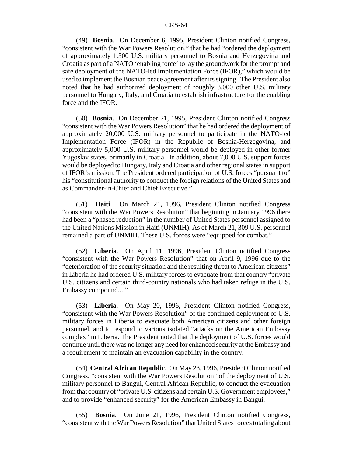(49) **Bosnia**. On December 6, 1995, President Clinton notified Congress, "consistent with the War Powers Resolution," that he had "ordered the deployment of approximately 1,500 U.S. military personnel to Bosnia and Herzegovina and Croatia as part of a NATO 'enabling force' to lay the groundwork for the prompt and safe deployment of the NATO-led Implementation Force (IFOR)," which would be used to implement the Bosnian peace agreement after its signing. The President also noted that he had authorized deployment of roughly 3,000 other U.S. military personnel to Hungary, Italy, and Croatia to establish infrastructure for the enabling force and the IFOR.

(50) **Bosnia**. On December 21, 1995, President Clinton notified Congress "consistent with the War Powers Resolution" that he had ordered the deployment of approximately 20,000 U.S. military personnel to participate in the NATO-led Implementation Force (IFOR) in the Republic of Bosnia-Herzegovina, and approximately 5,000 U.S. military personnel would be deployed in other former Yugoslav states, primarily in Croatia. In addition, about 7,000 U.S. support forces would be deployed to Hungary, Italy and Croatia and other regional states in support of IFOR's mission. The President ordered participation of U.S. forces "pursuant to" his "constitutional authority to conduct the foreign relations of the United States and as Commander-in-Chief and Chief Executive."

(51) **Haiti**. On March 21, 1996, President Clinton notified Congress "consistent with the War Powers Resolution" that beginning in January 1996 there had been a "phased reduction" in the number of United States personnel assigned to the United Nations Mission in Haiti (UNMIH). As of March 21, 309 U.S. personnel remained a part of UNMIH. These U.S. forces were "equipped for combat."

(52) **Liberia**. On April 11, 1996, President Clinton notified Congress "consistent with the War Powers Resolution" that on April 9, 1996 due to the "deterioration of the security situation and the resulting threat to American citizens" in Liberia he had ordered U.S. military forces to evacuate from that country "private U.S. citizens and certain third-country nationals who had taken refuge in the U.S. Embassy compound...."

(53) **Liberia**. On May 20, 1996, President Clinton notified Congress, "consistent with the War Powers Resolution" of the continued deployment of U.S. military forces in Liberia to evacuate both American citizens and other foreign personnel, and to respond to various isolated "attacks on the American Embassy complex" in Liberia. The President noted that the deployment of U.S. forces would continue until there was no longer any need for enhanced security at the Embassy and a requirement to maintain an evacuation capability in the country.

(54) **Central African Republic**. On May 23, 1996, President Clinton notified Congress, "consistent with the War Powers Resolution" of the deployment of U.S. military personnel to Bangui, Central African Republic, to conduct the evacuation from that country of "private U.S. citizens and certain U.S. Government employees," and to provide "enhanced security" for the American Embassy in Bangui.

(55) **Bosnia**. On June 21, 1996, President Clinton notified Congress, "consistent with the War Powers Resolution" that United States forces totaling about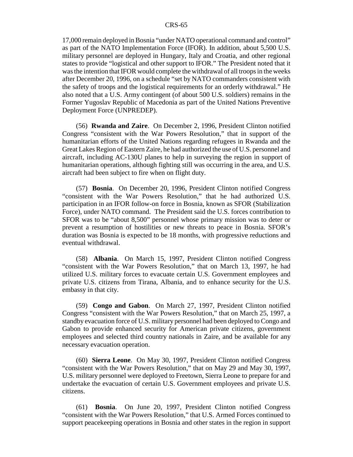17,000 remain deployed in Bosnia "under NATO operational command and control" as part of the NATO Implementation Force (IFOR). In addition, about 5,500 U.S. military personnel are deployed in Hungary, Italy and Croatia, and other regional states to provide "logistical and other support to IFOR." The President noted that it was the intention that IFOR would complete the withdrawal of all troops in the weeks after December 20, 1996, on a schedule "set by NATO commanders consistent with the safety of troops and the logistical requirements for an orderly withdrawal." He also noted that a U.S. Army contingent (of about 500 U.S. soldiers) remains in the Former Yugoslav Republic of Macedonia as part of the United Nations Preventive Deployment Force (UNPREDEP).

(56) **Rwanda and Zaire**. On December 2, 1996, President Clinton notified Congress "consistent with the War Powers Resolution," that in support of the humanitarian efforts of the United Nations regarding refugees in Rwanda and the Great Lakes Region of Eastern Zaire, he had authorized the use of U.S. personnel and aircraft, including AC-130U planes to help in surveying the region in support of humanitarian operations, although fighting still was occurring in the area, and U.S. aircraft had been subject to fire when on flight duty.

(57) **Bosnia**. On December 20, 1996, President Clinton notified Congress "consistent with the War Powers Resolution," that he had authorized U.S. participation in an IFOR follow-on force in Bosnia, known as SFOR (Stabilization Force), under NATO command. The President said the U.S. forces contribution to SFOR was to be "about 8,500" personnel whose primary mission was to deter or prevent a resumption of hostilities or new threats to peace in Bosnia. SFOR's duration was Bosnia is expected to be 18 months, with progressive reductions and eventual withdrawal.

(58) **Albania**. On March 15, 1997, President Clinton notified Congress "consistent with the War Powers Resolution," that on March 13, 1997, he had utilized U.S. military forces to evacuate certain U.S. Government employees and private U.S. citizens from Tirana, Albania, and to enhance security for the U.S. embassy in that city.

(59) **Congo and Gabon**. On March 27, 1997, President Clinton notified Congress "consistent with the War Powers Resolution," that on March 25, 1997, a standby evacuation force of U.S. military personnel had been deployed to Congo and Gabon to provide enhanced security for American private citizens, government employees and selected third country nationals in Zaire, and be available for any necessary evacuation operation.

(60) **Sierra Leone**. On May 30, 1997, President Clinton notified Congress "consistent with the War Powers Resolution," that on May 29 and May 30, 1997, U.S. military personnel were deployed to Freetown, Sierra Leone to prepare for and undertake the evacuation of certain U.S. Government employees and private U.S. citizens.

(61) **Bosnia**. On June 20, 1997, President Clinton notified Congress "consistent with the War Powers Resolution," that U.S. Armed Forces continued to support peacekeeping operations in Bosnia and other states in the region in support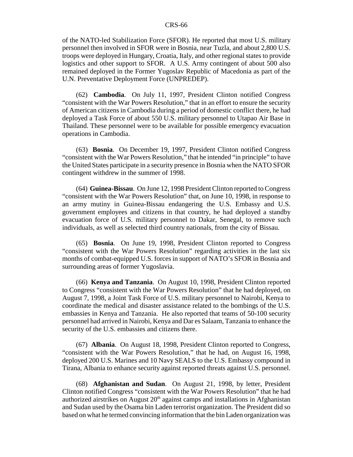of the NATO-led Stabilization Force (SFOR). He reported that most U.S. military personnel then involved in SFOR were in Bosnia, near Tuzla, and about 2,800 U.S. troops were deployed in Hungary, Croatia, Italy, and other regional states to provide logistics and other support to SFOR. A U.S. Army contingent of about 500 also remained deployed in the Former Yugoslav Republic of Macedonia as part of the U.N. Preventative Deployment Force (UNPREDEP).

(62) **Cambodia**. On July 11, 1997, President Clinton notified Congress "consistent with the War Powers Resolution," that in an effort to ensure the security of American citizens in Cambodia during a period of domestic conflict there, he had deployed a Task Force of about 550 U.S. military personnel to Utapao Air Base in Thailand. These personnel were to be available for possible emergency evacuation operations in Cambodia.

(63) **Bosnia**. On December 19, 1997, President Clinton notified Congress "consistent with the War Powers Resolution," that he intended "in principle" to have the United States participate in a security presence in Bosnia when the NATO SFOR contingent withdrew in the summer of 1998.

(64) **Guinea-Bissau**. On June 12, 1998 President Clinton reported to Congress "consistent with the War Powers Resolution" that, on June 10, 1998, in response to an army mutiny in Guinea-Bissau endangering the U.S. Embassy and U.S. government employees and citizens in that country, he had deployed a standby evacuation force of U.S. military personnel to Dakar, Senegal, to remove such individuals, as well as selected third country nationals, from the city of Bissau.

(65) **Bosnia**. On June 19, 1998, President Clinton reported to Congress "consistent with the War Powers Resolution" regarding activities in the last six months of combat-equipped U.S. forces in support of NATO's SFOR in Bosnia and surrounding areas of former Yugoslavia.

(66) **Kenya and Tanzania**. On August 10, 1998, President Clinton reported to Congress "consistent with the War Powers Resolution" that he had deployed, on August 7, 1998, a Joint Task Force of U.S. military personnel to Nairobi, Kenya to coordinate the medical and disaster assistance related to the bombings of the U.S. embassies in Kenya and Tanzania. He also reported that teams of 50-100 security personnel had arrived in Nairobi, Kenya and Dar es Salaam, Tanzania to enhance the security of the U.S. embassies and citizens there.

(67) **Albania**. On August 18, 1998, President Clinton reported to Congress, "consistent with the War Powers Resolution," that he had, on August 16, 1998, deployed 200 U.S. Marines and 10 Navy SEALS to the U.S. Embassy compound in Tirana, Albania to enhance security against reported threats against U.S. personnel.

(68) **Afghanistan and Sudan**. On August 21, 1998, by letter, President Clinton notified Congress "consistent with the War Powers Resolution" that he had authorized airstrikes on August  $20<sup>th</sup>$  against camps and installations in Afghanistan and Sudan used by the Osama bin Laden terrorist organization. The President did so based on what he termed convincing information that the bin Laden organization was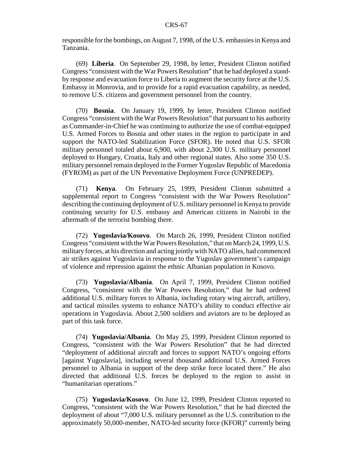responsible for the bombings, on August 7, 1998, of the U.S. embassies in Kenya and Tanzania.

(69) **Liberia**. On September 29, 1998, by letter, President Clinton notified Congress "consistent with the War Powers Resolution" that he had deployed a standby response and evacuation force to Liberia to augment the security force at the U.S. Embassy in Monrovia, and to provide for a rapid evacuation capability, as needed, to remove U.S. citizens and government personnel from the country.

(70) **Bosnia**. On January 19, 1999, by letter, President Clinton notified Congress "consistent with the War Powers Resolution" that pursuant to his authority as Commander-in-Chief he was continuing to authorize the use of combat-equipped U.S. Armed Forces to Bosnia and other states in the region to participate in and support the NATO-led Stabilization Force (SFOR). He noted that U.S. SFOR military personnel totaled about 6,900, with about 2,300 U.S. military personnel deployed to Hungary, Croatia, Italy and other regional states. Also some 350 U.S. military personnel remain deployed in the Former Yugoslav Republic of Macedonia (FYROM) as part of the UN Preventative Deployment Force (UNPREDEP).

(71) **Kenya**. On February 25, 1999, President Clinton submitted a supplemental report to Congress "consistent with the War Powers Resolution" describing the continuing deployment of U.S. military personnel in Kenya to provide continuing security for U.S. embassy and American citizens in Nairobi in the aftermath of the terrorist bombing there.

(72) **Yugoslavia/Kosovo**. On March 26, 1999, President Clinton notified Congress "consistent with the War Powers Resolution," that on March 24, 1999, U.S. military forces, at his direction and acting jointly with NATO allies, had commenced air strikes against Yugoslavia in response to the Yugoslav government's campaign of violence and repression against the ethnic Albanian population in Kosovo.

(73) **Yugoslavia/Albania**. On April 7, 1999, President Clinton notified Congress, "consistent with the War Powers Resolution," that he had ordered additional U.S. military forces to Albania, including rotary wing aircraft, artillery, and tactical missiles systems to enhance NATO's ability to conduct effective air operations in Yugoslavia. About 2,500 soldiers and aviators are to be deployed as part of this task force.

(74) **Yugoslavia/Albania**. On May 25, 1999, President Clinton reported to Congress, "consistent with the War Powers Resolution" that he had directed "deployment of additional aircraft and forces to support NATO's ongoing efforts [against Yugoslavia], including several thousand additional U.S. Armed Forces personnel to Albania in support of the deep strike force located there." He also directed that additional U.S. forces be deployed to the region to assist in "humanitarian operations."

(75) **Yugoslavia/Kosovo**. On June 12, 1999, President Clinton reported to Congress, "consistent with the War Powers Resolution," that he had directed the deployment of about "7,000 U.S. military personnel as the U.S. contribution to the approximately 50,000-member, NATO-led security force (KFOR)" currently being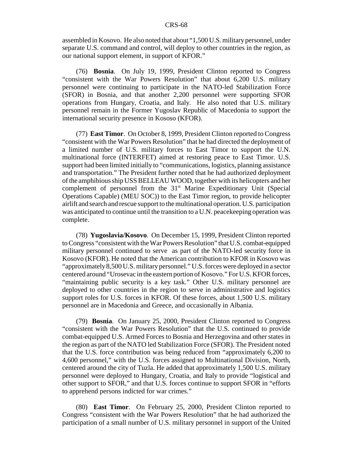assembled in Kosovo. He also noted that about "1,500 U.S. military personnel, under separate U.S. command and control, will deploy to other countries in the region, as our national support element, in support of KFOR."

(76) **Bosnia**. On July 19, 1999, President Clinton reported to Congress "consistent with the War Powers Resolution" that about 6,200 U.S. military personnel were continuing to participate in the NATO-led Stabilization Force (SFOR) in Bosnia, and that another 2,200 personnel were supporting SFOR operations from Hungary, Croatia, and Italy. He also noted that U.S. military personnel remain in the Former Yugoslav Republic of Macedonia to support the international security presence in Kososo (KFOR).

(77) **East Timor**. On October 8, 1999, President Clinton reported to Congress "consistent with the War Powers Resolution" that he had directed the deployment of a limited number of U.S. military forces to East Timor to support the U.N. multinational force (INTERFET) aimed at restoring peace to East Timor. U.S. support had been limited initially to "communications, logistics, planning assistance and transportation." The President further noted that he had authorized deployment of the amphibious ship USS BELLEAU WOOD, together with its helicopters and her complement of personnel from the 31<sup>st</sup> Marine Expeditionary Unit (Special Operations Capable) (MEU SOC)) to the East Timor region, to provide helicopter airlift and search and rescue support to the multinational operation. U.S. participation was anticipated to continue until the transition to a U.N. peacekeeping operation was complete.

(78) **Yugoslavia/Kosovo**. On December 15, 1999, President Clinton reported to Congress "consistent with the War Powers Resolution" that U.S. combat-equipped military personnel continued to serve as part of the NATO-led security force in Kosovo (KFOR). He noted that the American contribution to KFOR in Kosovo was "approximately 8,500 U.S. military personnel." U.S. forces were deployed in a sector centered around "Urosevac in the eastern portion of Kosovo." For U.S. KFOR forces, "maintaining public security is a key task." Other U.S. military personnel are deployed to other countries in the region to serve in administrative and logistics support roles for U.S. forces in KFOR. Of these forces, about 1,500 U.S. military personnel are in Macedonia and Greece, and occasionally in Albania.

(79) **Bosnia**. On January 25, 2000, President Clinton reported to Congress "consistent with the War Powers Resolution" that the U.S. continued to provide combat-equipped U.S. Armed Forces to Bosnia and Herzegovina and other states in the region as part of the NATO led Stabilization Force (SFOR). The President noted that the U.S. force contribution was being reduced from "approximately 6,200 to 4,600 personnel," with the U.S. forces assigned to Multinational Division, North, centered around the city of Tuzla. He added that approximately 1,500 U.S. military personnel were deployed to Hungary, Croatia, and Italy to provide "logistical and other support to SFOR," and that U.S. forces continue to support SFOR in "efforts to apprehend persons indicted for war crimes."

(80) **East Timor**. On February 25, 2000, President Clinton reported to Congress "consistent with the War Powers Resolution" that he had authorized the participation of a small number of U.S. military personnel in support of the United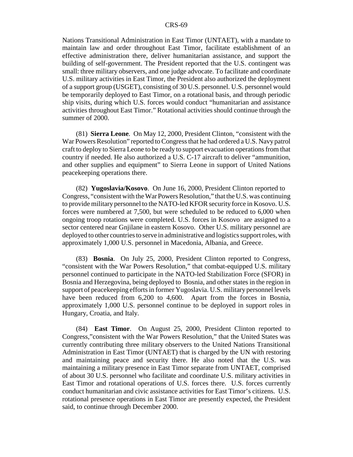Nations Transitional Administration in East Timor (UNTAET), with a mandate to maintain law and order throughout East Timor, facilitate establishment of an effective administration there, deliver humanitarian assistance, and support the building of self-government. The President reported that the U.S. contingent was small: three military observers, and one judge advocate. To facilitate and coordinate U.S. military activities in East Timor, the President also authorized the deployment of a support group (USGET), consisting of 30 U.S. personnel. U.S. personnel would be temporarily deployed to East Timor, on a rotational basis, and through periodic ship visits, during which U.S. forces would conduct "humanitarian and assistance activities throughout East Timor." Rotational activities should continue through the summer of 2000.

(81) **Sierra Leone**. On May 12, 2000, President Clinton, "consistent with the War Powers Resolution" reported to Congress that he had ordered a U.S. Navy patrol craft to deploy to Sierra Leone to be ready to support evacuation operations from that country if needed. He also authorized a U.S. C-17 aircraft to deliver "ammunition, and other supplies and equipment" to Sierra Leone in support of United Nations peacekeeping operations there.

(82) **Yugoslavia/Kosovo**. On June 16, 2000, President Clinton reported to Congress, "consistent with the War Powers Resolution," that the U.S. was continuing to provide military personnel to the NATO-led KFOR security force in Kosovo. U.S. forces were numbered at 7,500, but were scheduled to be reduced to 6,000 when ongoing troop rotations were completed. U.S. forces in Kosovo are assigned to a sector centered near Gnjilane in eastern Kosovo. Other U.S. military personnel are deployed to other countries to serve in administrative and logistics support roles, with approximately 1,000 U.S. personnel in Macedonia, Albania, and Greece.

(83) **Bosnia**. On July 25, 2000, President Clinton reported to Congress, "consistent with the War Powers Resolution," that combat-equipped U.S. military personnel continued to participate in the NATO-led Stabilization Force (SFOR) in Bosnia and Herzegovina, being deployed to Bosnia, and other states in the region in support of peacekeeping efforts in former Yugoslavia. U.S. military personnel levels have been reduced from 6,200 to 4,600. Apart from the forces in Bosnia, approximately 1,000 U.S. personnel continue to be deployed in support roles in Hungary, Croatia, and Italy.

(84) **East Timor**. On August 25, 2000, President Clinton reported to Congress,"consistent with the War Powers Resolution," that the United States was currently contributing three military observers to the United Nations Transitional Administration in East Timor (UNTAET) that is charged by the UN with restoring and maintaining peace and security there. He also noted that the U.S. was maintaining a military presence in East Timor separate from UNTAET, comprised of about 30 U.S. personnel who facilitate and coordinate U.S. military activities in East Timor and rotational operations of U.S. forces there. U.S. forces currently conduct humanitarian and civic assistance activities for East Timor's citizens. U.S. rotational presence operations in East Timor are presently expected, the President said, to continue through December 2000.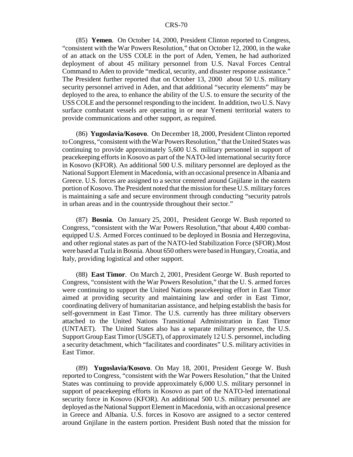(85) **Yemen**. On October 14, 2000, President Clinton reported to Congress, "consistent with the War Powers Resolution," that on October 12, 2000, in the wake of an attack on the USS COLE in the port of Aden, Yemen, he had authorized deployment of about 45 military personnel from U.S. Naval Forces Central Command to Aden to provide "medical, security, and disaster response assistance." The President further reported that on October 13, 2000 about 50 U.S. military security personnel arrived in Aden, and that additional "security elements" may be deployed to the area, to enhance the ability of the U.S. to ensure the security of the USS COLE and the personnel responding to the incident. In addition, two U.S. Navy surface combatant vessels are operating in or near Yemeni territorial waters to provide communications and other support, as required.

(86) **Yugoslavia/Kosovo**. On December 18, 2000, President Clinton reported to Congress, "consistent with the War Powers Resolution," that the United States was continuing to provide approximately 5,600 U.S. military personnel in support of peacekeeping efforts in Kosovo as part of the NATO-led international security force in Kosovo (KFOR). An additional 500 U.S. military personnel are deployed as the National Support Element in Macedonia, with an occasional presence in Albania and Greece. U.S. forces are assigned to a sector centered around Gnjilane in the eastern portion of Kosovo. The President noted that the mission for these U.S. military forces is maintaining a safe and secure environment through conducting "security patrols in urban areas and in the countryside throughout their sector."

(87) **Bosnia**. On January 25, 2001, President George W. Bush reported to Congress, "consistent with the War Powers Resolution,"that about 4,400 combatequipped U.S. Armed Forces continued to be deployed in Bosnia and Herzegovina, and other regional states as part of the NATO-led Stabilization Force (SFOR).Most were based at Tuzla in Bosnia. About 650 others were based in Hungary, Croatia, and Italy, providing logistical and other support.

(88) **East Timor**. On March 2, 2001, President George W. Bush reported to Congress, "consistent with the War Powers Resolution," that the U. S. armed forces were continuing to support the United Nations peacekeeping effort in East Timor aimed at providing security and maintaining law and order in East Timor, coordinating delivery of humanitarian assistance, and helping establish the basis for self-government in East Timor. The U.S. currently has three military observers attached to the United Nations Transitional Administration in East Timor (UNTAET). The United States also has a separate military presence, the U.S. Support Group East Timor (USGET), of approximately 12 U.S. personnel, including a security detachment, which "facilitates and coordinates" U.S. military activities in East Timor.

(89) **Yugoslavia/Kosovo**. On May 18, 2001, President George W. Bush reported to Congress, "consistent with the War Powers Resolution," that the United States was continuing to provide approximately 6,000 U.S. military personnel in support of peacekeeping efforts in Kosovo as part of the NATO-led international security force in Kosovo (KFOR). An additional 500 U.S. military personnel are deployed as the National Support Element in Macedonia, with an occasional presence in Greece and Albania. U.S. forces in Kosovo are assigned to a sector centered around Gnjilane in the eastern portion. President Bush noted that the mission for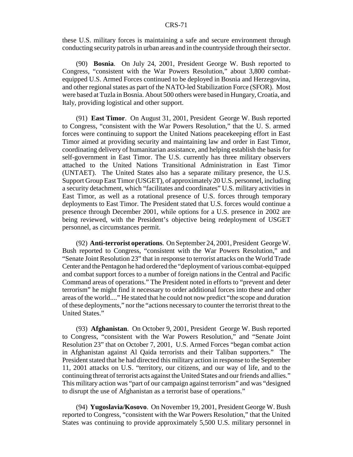these U.S. military forces is maintaining a safe and secure environment through conducting security patrols in urban areas and in the countryside through their sector.

(90) **Bosnia**. On July 24, 2001, President George W. Bush reported to Congress, "consistent with the War Powers Resolution," about 3,800 combatequipped U.S. Armed Forces continued to be deployed in Bosnia and Herzegovina, and other regional states as part of the NATO-led Stabilization Force (SFOR). Most were based at Tuzla in Bosnia. About 500 others were based in Hungary, Croatia, and Italy, providing logistical and other support.

(91) **East Timor**. On August 31, 2001, President George W. Bush reported to Congress, "consistent with the War Powers Resolution," that the U. S. armed forces were continuing to support the United Nations peacekeeping effort in East Timor aimed at providing security and maintaining law and order in East Timor, coordinating delivery of humanitarian assistance, and helping establish the basis for self-government in East Timor. The U.S. currently has three military observers attached to the United Nations Transitional Administration in East Timor (UNTAET). The United States also has a separate military presence, the U.S. Support Group East Timor (USGET), of approximately 20 U.S. personnel, including a security detachment, which "facilitates and coordinates" U.S. military activities in East Timor, as well as a rotational presence of U.S. forces through temporary deployments to East Timor. The President stated that U.S. forces would continue a presence through December 2001, while options for a U.S. presence in 2002 are being reviewed, with the President's objective being redeployment of USGET personnel, as circumstances permit.

(92) **Anti-terrorist operations**. On September 24, 2001, President George W. Bush reported to Congress, "consistent with the War Powers Resolution," and "Senate Joint Resolution 23" that in response to terrorist attacks on the World Trade Center and the Pentagon he had ordered the "deployment of various combat-equipped and combat support forces to a number of foreign nations in the Central and Pacific Command areas of operations." The President noted in efforts to "prevent and deter terrorism" he might find it necessary to order additional forces into these and other areas of the world...." He stated that he could not now predict "the scope and duration of these deployments," nor the "actions necessary to counter the terrorist threat to the United States."

(93) **Afghanistan**. On October 9, 2001, President George W. Bush reported to Congress, "consistent with the War Powers Resolution," and "Senate Joint Resolution 23" that on October 7, 2001, U.S. Armed Forces "began combat action in Afghanistan against Al Qaida terrorists and their Taliban supporters." The President stated that he had directed this military action in response to the September 11, 2001 attacks on U.S. "territory, our citizens, and our way of life, and to the continuing threat of terrorist acts against the United States and our friends and allies." This military action was "part of our campaign against terrorism" and was "designed to disrupt the use of Afghanistan as a terrorist base of operations."

(94) **Yugoslavia/Kosovo**. On November 19, 2001, President George W. Bush reported to Congress, "consistent with the War Powers Resolution," that the United States was continuing to provide approximately 5,500 U.S. military personnel in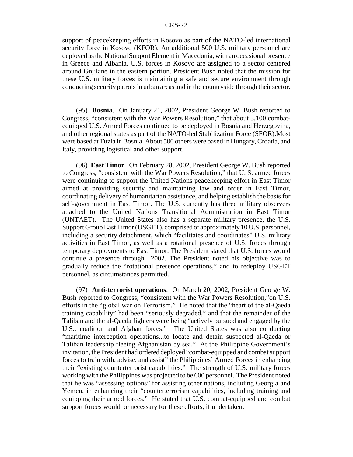support of peacekeeping efforts in Kosovo as part of the NATO-led international security force in Kosovo (KFOR). An additional 500 U.S. military personnel are deployed as the National Support Element in Macedonia, with an occasional presence in Greece and Albania. U.S. forces in Kosovo are assigned to a sector centered around Gnjilane in the eastern portion. President Bush noted that the mission for these U.S. military forces is maintaining a safe and secure environment through conducting security patrols in urban areas and in the countryside through their sector.

(95) **Bosnia**. On January 21, 2002, President George W. Bush reported to Congress, "consistent with the War Powers Resolution," that about 3,100 combatequipped U.S. Armed Forces continued to be deployed in Bosnia and Herzegovina, and other regional states as part of the NATO-led Stabilization Force (SFOR).Most were based at Tuzla in Bosnia. About 500 others were based in Hungary, Croatia, and Italy, providing logistical and other support.

(96) **East Timor**. On February 28, 2002, President George W. Bush reported to Congress, "consistent with the War Powers Resolution," that U. S. armed forces were continuing to support the United Nations peacekeeping effort in East Timor aimed at providing security and maintaining law and order in East Timor, coordinating delivery of humanitarian assistance, and helping establish the basis for self-government in East Timor. The U.S. currently has three military observers attached to the United Nations Transitional Administration in East Timor (UNTAET). The United States also has a separate military presence, the U.S. Support Group East Timor (USGET), comprised of approximately 10 U.S. personnel, including a security detachment, which "facilitates and coordinates" U.S. military activities in East Timor, as well as a rotational presence of U.S. forces through temporary deployments to East Timor. The President stated that U.S. forces would continue a presence through 2002. The President noted his objective was to gradually reduce the "rotational presence operations," and to redeploy USGET personnel, as circumstances permitted.

(97) **Anti-terrorist operations**. On March 20, 2002, President George W. Bush reported to Congress, "consistent with the War Powers Resolution,"on U.S. efforts in the "global war on Terrorism." He noted that the "heart of the al-Qaeda training capability" had been "seriously degraded," and that the remainder of the Taliban and the al-Qaeda fighters were being "actively pursued and engaged by the U.S., coalition and Afghan forces." The United States was also conducting "maritime interception operations...to locate and detain suspected al-Qaeda or Taliban leadership fleeing Afghanistan by sea." At the Philippine Government's invitation, the President had ordered deployed "combat-equipped and combat support forces to train with, advise, and assist" the Philippines' Armed Forces in enhancing their "existing counterterrorist capabilities." The strength of U.S. military forces working with the Philippines was projected to be 600 personnel. The President noted that he was "assessing options" for assisting other nations, including Georgia and Yemen, in enhancing their "counterterrorism capabilities, including training and equipping their armed forces." He stated that U.S. combat-equipped and combat support forces would be necessary for these efforts, if undertaken.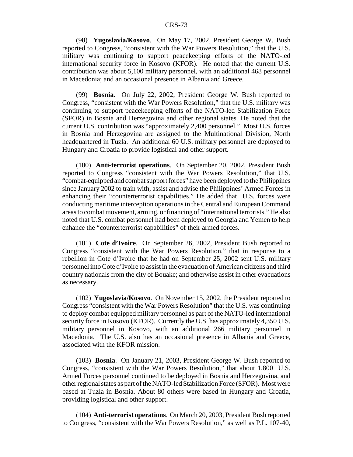(98) **Yugoslavia/Kosovo**. On May 17, 2002, President George W. Bush reported to Congress, "consistent with the War Powers Resolution," that the U.S. military was continuing to support peacekeeping efforts of the NATO-led international security force in Kosovo (KFOR). He noted that the current U.S. contribution was about 5,100 military personnel, with an additional 468 personnel in Macedonia; and an occasional presence in Albania and Greece.

(99) **Bosnia**. On July 22, 2002, President George W. Bush reported to Congress, "consistent with the War Powers Resolution," that the U.S. military was continuing to support peacekeeping efforts of the NATO-led Stabilization Force (SFOR) in Bosnia and Herzegovina and other regional states. He noted that the current U.S. contribution was "approximately 2,400 personnel." Most U.S. forces in Bosnia and Herzegovina are assigned to the Multinational Division, North headquartered in Tuzla. An additional 60 U.S. military personnel are deployed to Hungary and Croatia to provide logistical and other support.

(100) **Anti-terrorist operations**. On September 20, 2002, President Bush reported to Congress "consistent with the War Powers Resolution," that U.S. "combat-equipped and combat support forces" have been deployed to the Philippines since January 2002 to train with, assist and advise the Philippines' Armed Forces in enhancing their "counterterrorist capabilities." He added that U.S. forces were conducting maritime interception operations in the Central and European Command areas to combat movement, arming, or financing of "international terrorists." He also noted that U.S. combat personnel had been deployed to Georgia and Yemen to help enhance the "counterterrorist capabilities" of their armed forces.

(101) **Cote d'Ivoire**. On September 26, 2002, President Bush reported to Congress "consistent with the War Powers Resolution," that in response to a rebellion in Cote d'Ivoire that he had on September 25, 2002 sent U.S. military personnel into Cote d'Ivoire to assist in the evacuation of American citizens and third country nationals from the city of Bouake; and otherwise assist in other evacuations as necessary.

(102) **Yugoslavia/Kosovo**. On November 15, 2002, the President reported to Congress "consistent with the War Powers Resolution" that the U.S. was continuing to deploy combat equipped military personnel as part of the NATO-led international security force in Kosovo (KFOR). Currently the U.S. has approximately 4,350 U.S. military personnel in Kosovo, with an additional 266 military personnel in Macedonia. The U.S. also has an occasional presence in Albania and Greece, associated with the KFOR mission.

(103) **Bosnia**. On January 21, 2003, President George W. Bush reported to Congress, "consistent with the War Powers Resolution," that about 1,800 U.S. Armed Forces personnel continued to be deployed in Bosnia and Herzegovina, and other regional states as part of the NATO-led Stabilization Force (SFOR). Most were based at Tuzla in Bosnia. About 80 others were based in Hungary and Croatia, providing logistical and other support.

(104) **Anti-terrorist operations**. On March 20, 2003, President Bush reported to Congress, "consistent with the War Powers Resolution," as well as P.L. 107-40,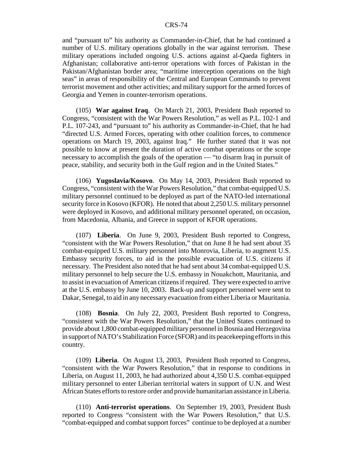and "pursuant to" his authority as Commander-in-Chief, that he had continued a number of U.S. military operations globally in the war against terrorism. These military operations included ongoing U.S. actions against al-Qaeda fighters in Afghanistan; collaborative anti-terror operations with forces of Pakistan in the Pakistan/Afghanistan border area; "maritime interception operations on the high seas" in areas of responsibility of the Central and European Commands to prevent terrorist movement and other activities; and military support for the armed forces of Georgia and Yemen in counter-terrorism operations.

(105) **War against Iraq**. On March 21, 2003, President Bush reported to Congress, "consistent with the War Powers Resolution," as well as P.L. 102-1 and P.L. 107-243, and "pursuant to" his authority as Commander-in-Chief, that he had "directed U.S. Armed Forces, operating with other coalition forces, to commence operations on March 19, 2003, against Iraq." He further stated that it was not possible to know at present the duration of active combat operations or the scope necessary to accomplish the goals of the operation — "to disarm Iraq in pursuit of peace, stability, and security both in the Gulf region and in the United States."

(106) **Yugoslavia/Kosovo**. On May 14, 2003, President Bush reported to Congress, "consistent with the War Powers Resolution," that combat-equipped U.S. military personnel continued to be deployed as part of the NATO-led international security force in Kosovo (KFOR). He noted that about 2,250 U.S. military personnel were deployed in Kosovo, and additional military personnel operated, on occasion, from Macedonia, Albania, and Greece in support of KFOR operations.

(107) **Liberia**. On June 9, 2003, President Bush reported to Congress, "consistent with the War Powers Resolution," that on June 8 he had sent about 35 combat-equipped U.S. military personnel into Monrovia, Liberia, to augment U.S. Embassy security forces, to aid in the possible evacuation of U.S. citizens if necessary. The President also noted that he had sent about 34 combat-equipped U.S. military personnel to help secure the U.S. embassy in Nouakchott, Mauritania, and to assist in evacuation of American citizens if required. They were expected to arrive at the U.S. embassy by June 10, 2003. Back-up and support personnel were sent to Dakar, Senegal, to aid in any necessary evacuation from either Liberia or Mauritania.

(108) **Bosnia**. On July 22, 2003, President Bush reported to Congress, "consistent with the War Powers Resolution," that the United States continued to provide about 1,800 combat-equipped military personnel in Bosnia and Herzegovina in support of NATO's Stabilization Force (SFOR) and its peacekeeping efforts in this country.

(109) **Liberia**. On August 13, 2003, President Bush reported to Congress, "consistent with the War Powers Resolution," that in response to conditions in Liberia, on August 11, 2003, he had authorized about 4,350 U.S. combat-equipped military personnel to enter Liberian territorial waters in support of U.N. and West African States efforts to restore order and provide humanitarian assistance in Liberia.

(110) **Anti-terrorist operations**. On September 19, 2003, President Bush reported to Congress "consistent with the War Powers Resolution," that U.S. "combat-equipped and combat support forces" continue to be deployed at a number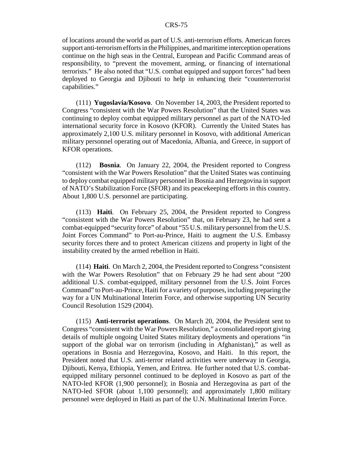of locations around the world as part of U.S. anti-terrorism efforts. American forces support anti-terrorism efforts in the Philippines, and maritime interception operations continue on the high seas in the Central, European and Pacific Command areas of responsibility, to "prevent the movement, arming, or financing of international terrorists." He also noted that "U.S. combat equipped and support forces" had been deployed to Georgia and Djibouti to help in enhancing their "counterterrorist capabilities."

(111) **Yugoslavia/Kosovo**. On November 14, 2003, the President reported to Congress "consistent with the War Powers Resolution" that the United States was continuing to deploy combat equipped military personnel as part of the NATO-led international security force in Kosovo (KFOR). Currently the United States has approximately 2,100 U.S. military personnel in Kosovo, with additional American military personnel operating out of Macedonia, Albania, and Greece, in support of KFOR operations.

(112) **Bosnia**. On January 22, 2004, the President reported to Congress "consistent with the War Powers Resolution" that the United States was continuing to deploy combat equipped military personnel in Bosnia and Herzegovina in support of NATO's Stabilization Force (SFOR) and its peacekeeping efforts in this country. About 1,800 U.S. personnel are participating.

(113) **Haiti**. On February 25, 2004, the President reported to Congress "consistent with the War Powers Resolution" that, on February 23, he had sent a combat-equipped "security force" of about "55 U.S. military personnel from the U.S. Joint Forces Command" to Port-au-Prince, Haiti to augment the U.S. Embassy security forces there and to protect American citizens and property in light of the instability created by the armed rebellion in Haiti.

(114) **Haiti**. On March 2, 2004, the President reported to Congress "consistent with the War Powers Resolution" that on February 29 he had sent about "200 additional U.S. combat-equipped, military personnel from the U.S. Joint Forces Command" to Port-au-Prince, Haiti for a variety of purposes, including preparing the way for a UN Multinational Interim Force, and otherwise supporting UN Security Council Resolution 1529 (2004).

(115) **Anti-terrorist operations**. On March 20, 2004, the President sent to Congress "consistent with the War Powers Resolution," a consolidated report giving details of multiple ongoing United States military deployments and operations "in support of the global war on terrorism (including in Afghanistan)," as well as operations in Bosnia and Herzegovina, Kosovo, and Haiti. In this report, the President noted that U.S. anti-terror related activities were underway in Georgia, Djibouti, Kenya, Ethiopia, Yemen, and Eritrea. He further noted that U.S. combatequipped military personnel continued to be deployed in Kosovo as part of the NATO-led KFOR (1,900 personnel); in Bosnia and Herzegovina as part of the NATO-led SFOR (about 1,100 personnel); and approximately 1,800 military personnel were deployed in Haiti as part of the U.N. Multinational Interim Force.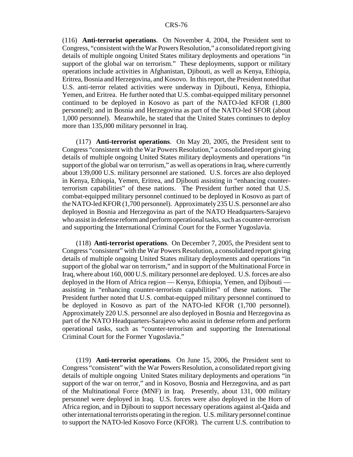(116) **Anti-terrorist operations**. On November 4, 2004, the President sent to Congress, "consistent with the War Powers Resolution," a consolidated report giving details of multiple ongoing United States military deployments and operations "in support of the global war on terrorism." These deployments, support or military operations include activities in Afghanistan, Djibouti, as well as Kenya, Ethiopia, Eritrea, Bosnia and Herzegovina, and Kosovo. In this report, the President noted that U.S. anti-terror related activities were underway in Djibouti, Kenya, Ethiopia, Yemen, and Eritrea. He further noted that U.S. combat-equipped military personnel continued to be deployed in Kosovo as part of the NATO-led KFOR (1,800 personnel); and in Bosnia and Herzegovina as part of the NATO-led SFOR (about 1,000 personnel). Meanwhile, he stated that the United States continues to deploy more than 135,000 military personnel in Iraq.

(117) **Anti-terrorist operations**. On May 20, 2005, the President sent to Congress "consistent with the War Powers Resolution," a consolidated report giving details of multiple ongoing United States military deployments and operations "in support of the global war on terrorism," as well as operations in Iraq, where currently about 139,000 U.S. military personnel are stationed. U.S. forces are also deployed in Kenya, Ethiopia, Yemen, Eritrea, and Djibouti assisting in "enhancing counterterrorism capabilities" of these nations. The President further noted that U.S. combat-equipped military personnel continued to be deployed in Kosovo as part of the NATO-led KFOR (1,700 personnel). Approximately 235 U.S. personnel are also deployed in Bosnia and Herzegovina as part of the NATO Headquarters-Sarajevo who assist in defense reform and perform operational tasks, such as counter-terrorism and supporting the International Criminal Court for the Former Yugoslavia.

(118) **Anti-terrorist operations**. On December 7, 2005, the President sent to Congress "consistent" with the War Powers Resolution, a consolidated report giving details of multiple ongoing United States military deployments and operations "in support of the global war on terrorism," and in support of the Multinational Force in Iraq, where about 160, 000 U.S. military personnel are deployed. U.S. forces are also deployed in the Horn of Africa region — Kenya, Ethiopia, Yemen, and Djibouti assisting in "enhancing counter-terrorism capabilities" of these nations. The President further noted that U.S. combat-equipped military personnel continued to be deployed in Kosovo as part of the NATO-led KFOR (1,700 personnel). Approximately 220 U.S. personnel are also deployed in Bosnia and Herzegovina as part of the NATO Headquarters-Sarajevo who assist in defense reform and perform operational tasks, such as "counter-terrorism and supporting the International Criminal Court for the Former Yugoslavia."

(119) **Anti-terrorist operations**. On June 15, 2006, the President sent to Congress "consistent" with the War Powers Resolution, a consolidated report giving details of multiple ongoing United States military deployments and operations "in support of the war on terror," and in Kosovo, Bosnia and Herzegovina, and as part of the Multinational Force (MNF) in Iraq. Presently, about 131, 000 military personnel were deployed in Iraq. U.S. forces were also deployed in the Horn of Africa region, and in Djibouti to support necessary operations against al-Qaida and other international terrorists operating in the region. U.S. military personnel continue to support the NATO-led Kosovo Force (KFOR). The current U.S. contribution to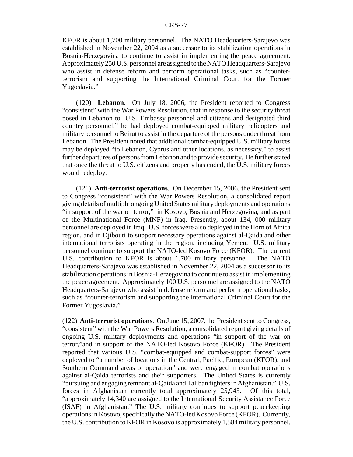KFOR is about 1,700 military personnel. The NATO Headquarters-Sarajevo was established in November 22, 2004 as a successor to its stabilization operations in Bosnia-Herzegovina to continue to assist in implementing the peace agreement. Approximately 250 U.S. personnel are assigned to the NATO Headquarters-Sarajevo who assist in defense reform and perform operational tasks, such as "counterterrorism and supporting the International Criminal Court for the Former Yugoslavia."

(120) **Lebanon**. On July 18, 2006, the President reported to Congress "consistent" with the War Powers Resolution, that in response to the security threat posed in Lebanon to U.S. Embassy personnel and citizens and designated third country personnel," he had deployed combat-equipped military helicopters and military personnel to Beirut to assist in the departure of the persons under threat from Lebanon. The President noted that additional combat-equipped U.S. military forces may be deployed "to Lebanon, Cyprus and other locations, as necessary." to assist further departures of persons from Lebanon and to provide security. He further stated that once the threat to U.S. citizens and property has ended, the U.S. military forces would redeploy.

(121) **Anti-terrorist operations**. On December 15, 2006, the President sent to Congress "consistent" with the War Powers Resolution, a consolidated report giving details of multiple ongoing United States military deployments and operations "in support of the war on terror," in Kosovo, Bosnia and Herzegovina, and as part of the Multinational Force (MNF) in Iraq. Presently, about 134, 000 military personnel are deployed in Iraq. U.S. forces were also deployed in the Horn of Africa region, and in Djibouti to support necessary operations against al-Qaida and other international terrorists operating in the region, including Yemen. U.S. military personnel continue to support the NATO-led Kosovo Force (KFOR). The current U.S. contribution to KFOR is about 1,700 military personnel. The NATO Headquarters-Sarajevo was established in November 22, 2004 as a successor to its stabilization operations in Bosnia-Herzegovina to continue to assist in implementing the peace agreement. Approximately 100 U.S. personnel are assigned to the NATO Headquarters-Sarajevo who assist in defense reform and perform operational tasks, such as "counter-terrorism and supporting the International Criminal Court for the Former Yugoslavia."

(122) **Anti-terrorist operations**. On June 15, 2007, the President sent to Congress, "consistent" with the War Powers Resolution, a consolidated report giving details of ongoing U.S. military deployments and operations "in support of the war on terror,"and in support of the NATO-led Kosovo Force (KFOR). The President reported that various U.S. "combat-equipped and combat-support forces" were deployed to "a number of locations in the Central, Pacific, European (KFOR), and Southern Command areas of operation" and were engaged in combat operations against al-Qaida terrorists and their supporters. The United States is currently "pursuing and engaging remnant al-Qaida and Taliban fighters in Afghanistan." U.S. forces in Afghanistan currently total approximately 25,945. Of this total, "approximately 14,340 are assigned to the International Security Assistance Force (ISAF) in Afghanistan." The U.S. military continues to support peacekeeping operations in Kosovo, specifically the NATO-led Kosovo Force (KFOR). Currently, the U.S. contribution to KFOR in Kosovo is approximately 1,584 military personnel.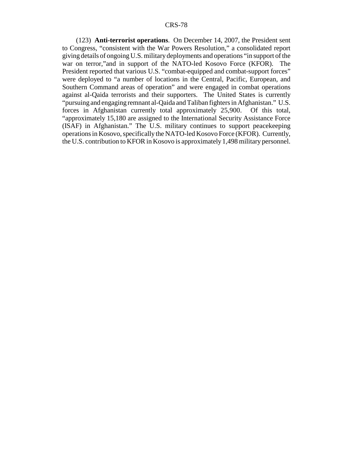(123) **Anti-terrorist operations**. On December 14, 2007, the President sent to Congress, "consistent with the War Powers Resolution," a consolidated report giving details of ongoing U.S. military deployments and operations "in support of the war on terror,"and in support of the NATO-led Kosovo Force (KFOR). The President reported that various U.S. "combat-equipped and combat-support forces" were deployed to "a number of locations in the Central, Pacific, European, and Southern Command areas of operation" and were engaged in combat operations against al-Qaida terrorists and their supporters. The United States is currently "pursuing and engaging remnant al-Qaida and Taliban fighters in Afghanistan." U.S. forces in Afghanistan currently total approximately 25,900. Of this total, "approximately 15,180 are assigned to the International Security Assistance Force (ISAF) in Afghanistan." The U.S. military continues to support peacekeeping operations in Kosovo, specifically the NATO-led Kosovo Force (KFOR). Currently, the U.S. contribution to KFOR in Kosovo is approximately 1,498 military personnel.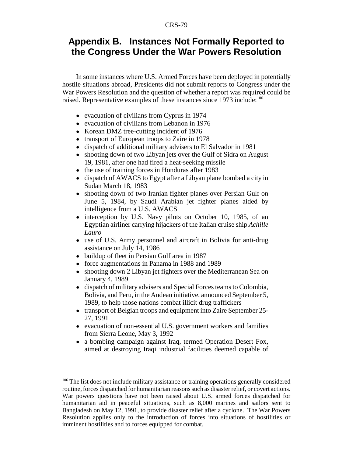# **Appendix B. Instances Not Formally Reported to the Congress Under the War Powers Resolution**

In some instances where U.S. Armed Forces have been deployed in potentially hostile situations abroad, Presidents did not submit reports to Congress under the War Powers Resolution and the question of whether a report was required could be raised. Representative examples of these instances since 1973 include:<sup>106</sup>

- evacuation of civilians from Cyprus in 1974
- evacuation of civilians from Lebanon in 1976
- Korean DMZ tree-cutting incident of 1976
- transport of European troops to Zaire in 1978
- ! dispatch of additional military advisers to El Salvador in 1981
- shooting down of two Libyan jets over the Gulf of Sidra on August 19, 1981, after one had fired a heat-seeking missile
- the use of training forces in Honduras after 1983
- dispatch of AWACS to Egypt after a Libyan plane bombed a city in Sudan March 18, 1983
- shooting down of two Iranian fighter planes over Persian Gulf on June 5, 1984, by Saudi Arabian jet fighter planes aided by intelligence from a U.S. AWACS
- interception by U.S. Navy pilots on October 10, 1985, of an Egyptian airliner carrying hijackers of the Italian cruise ship *Achille Lauro*
- use of U.S. Army personnel and aircraft in Bolivia for anti-drug assistance on July 14, 1986
- buildup of fleet in Persian Gulf area in 1987
- force augmentations in Panama in 1988 and 1989
- shooting down 2 Libyan jet fighters over the Mediterranean Sea on January 4, 1989
- dispatch of military advisers and Special Forces teams to Colombia, Bolivia, and Peru, in the Andean initiative, announced September 5, 1989, to help those nations combat illicit drug traffickers
- transport of Belgian troops and equipment into Zaire September 25-27, 1991
- evacuation of non-essential U.S. government workers and families from Sierra Leone, May 3, 1992
- a bombing campaign against Iraq, termed Operation Desert Fox, aimed at destroying Iraqi industrial facilities deemed capable of

<sup>&</sup>lt;sup>106</sup> The list does not include military assistance or training operations generally considered routine, forces dispatched for humanitarian reasons such as disaster relief, or covert actions. War powers questions have not been raised about U.S. armed forces dispatched for humanitarian aid in peaceful situations, such as 8,000 marines and sailors sent to Bangladesh on May 12, 1991, to provide disaster relief after a cyclone. The War Powers Resolution applies only to the introduction of forces into situations of hostilities or imminent hostilities and to forces equipped for combat.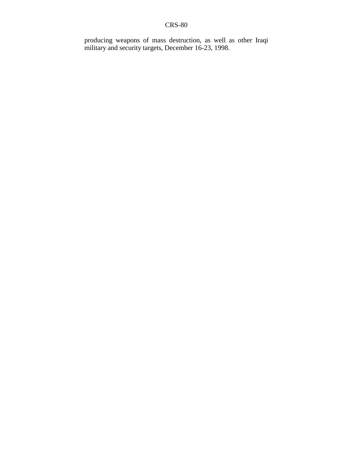producing weapons of mass destruction, as well as other Iraqi military and security targets, December 16-23, 1998.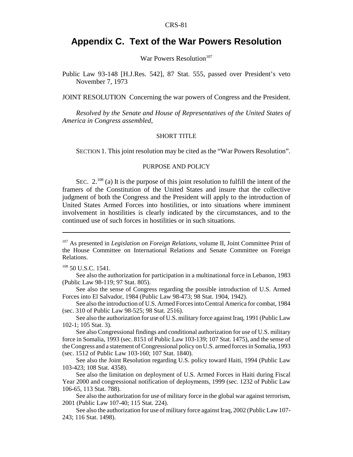## **Appendix C. Text of the War Powers Resolution**

War Powers Resolution $107$ 

Public Law 93-148 [H.J.Res. 542], 87 Stat. 555, passed over President's veto November 7, 1973

JOINT RESOLUTION Concerning the war powers of Congress and the President.

*Resolved by the Senate and House of Representatives of the United States of America in Congress assembled,*

#### SHORT TITLE

SECTION 1. This joint resolution may be cited as the "War Powers Resolution".

#### PURPOSE AND POLICY

SEC.  $2^{108}$  (a) It is the purpose of this joint resolution to fulfill the intent of the framers of the Constitution of the United States and insure that the collective judgment of both the Congress and the President will apply to the introduction of United States Armed Forces into hostilities, or into situations where imminent involvement in hostilities is clearly indicated by the circumstances, and to the continued use of such forces in hostilities or in such situations.

See also the sense of Congress regarding the possible introduction of U.S. Armed Forces into El Salvador, 1984 (Public Law 98-473; 98 Stat. 1904, 1942).

See also the introduction of U.S. Armed Forces into Central America for combat, 1984 (sec. 310 of Public Law 98-525; 98 Stat. 2516).

See also the authorization for use of U.S. military force against Iraq, 1991 (Public Law 102-1; 105 Stat. 3).

See also Congressional findings and conditional authorization for use of U.S. military force in Somalia, 1993 (sec. 8151 of Public Law 103-139; 107 Stat. 1475), and the sense of the Congress and a statement of Congressional policy on U.S. armed forces in Somalia, 1993 (sec. 1512 of Public Law 103-160; 107 Stat. 1840).

See also the Joint Resolution regarding U.S. policy toward Haiti, 1994 (Public Law 103-423; 108 Stat. 4358).

See also the limitation on deployment of U.S. Armed Forces in Haiti during Fiscal Year 2000 and congressional notification of deployments, 1999 (sec. 1232 of Public Law 106-65, 113 Stat. 788).

See also the authorization for use of military force in the global war against terrorism, 2001 (Public Law 107-40; 115 Stat. 224).

<sup>107</sup> As presented in *Legislation on Foreign Relations*, volume II, Joint Committee Print of the House Committee on International Relations and Senate Committee on Foreign Relations.

<sup>108 50</sup> U.S.C. 1541.

See also the authorization for participation in a multinational force in Lebanon, 1983 (Public Law 98-119; 97 Stat. 805).

See also the authorization for use of military force against Iraq, 2002 (Public Law 107- 243; 116 Stat. 1498).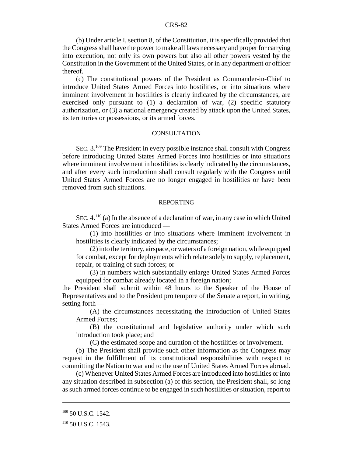(b) Under article I, section 8, of the Constitution, it is specifically provided that the Congress shall have the power to make all laws necessary and proper for carrying into execution, not only its own powers but also all other powers vested by the Constitution in the Government of the United States, or in any department or officer thereof.

(c) The constitutional powers of the President as Commander-in-Chief to introduce United States Armed Forces into hostilities, or into situations where imminent involvement in hostilities is clearly indicated by the circumstances, are exercised only pursuant to  $(1)$  a declaration of war,  $(2)$  specific statutory authorization, or (3) a national emergency created by attack upon the United States, its territories or possessions, or its armed forces.

#### **CONSULTATION**

SEC. 3.<sup>109</sup> The President in every possible instance shall consult with Congress before introducing United States Armed Forces into hostilities or into situations where imminent involvement in hostilities is clearly indicated by the circumstances, and after every such introduction shall consult regularly with the Congress until United States Armed Forces are no longer engaged in hostilities or have been removed from such situations.

#### REPORTING

SEC. 4.110 (a) In the absence of a declaration of war, in any case in which United States Armed Forces are introduced —

(1) into hostilities or into situations where imminent involvement in hostilities is clearly indicated by the circumstances;

(2) into the territory, airspace, or waters of a foreign nation, while equipped for combat, except for deployments which relate solely to supply, replacement, repair, or training of such forces; or

(3) in numbers which substantially enlarge United States Armed Forces equipped for combat already located in a foreign nation;

the President shall submit within 48 hours to the Speaker of the House of Representatives and to the President pro tempore of the Senate a report, in writing, setting forth —

(A) the circumstances necessitating the introduction of United States Armed Forces;

(B) the constitutional and legislative authority under which such introduction took place; and

(C) the estimated scope and duration of the hostilities or involvement.

(b) The President shall provide such other information as the Congress may request in the fulfillment of its constitutional responsibilities with respect to committing the Nation to war and to the use of United States Armed Forces abroad.

(c) Whenever United States Armed Forces are introduced into hostilities or into any situation described in subsection (a) of this section, the President shall, so long as such armed forces continue to be engaged in such hostilities or situation, report to

 $109$  50 U.S.C. 1542.

 $110$  50 U.S.C. 1543.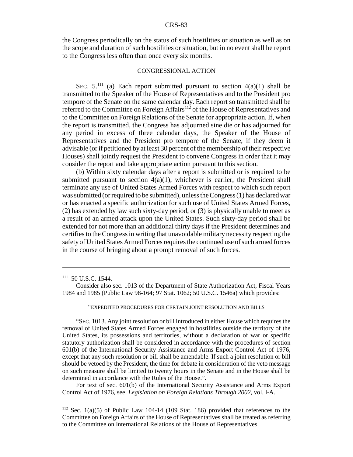the Congress periodically on the status of such hostilities or situation as well as on the scope and duration of such hostilities or situation, but in no event shall he report to the Congress less often than once every six months.

#### CONGRESSIONAL ACTION

SEC.  $5^{111}$  (a) Each report submitted pursuant to section  $4(a)(1)$  shall be transmitted to the Speaker of the House of Representatives and to the President pro tempore of the Senate on the same calendar day. Each report so transmitted shall be referred to the Committee on Foreign Affairs<sup>112</sup> of the House of Representatives and to the Committee on Foreign Relations of the Senate for appropriate action. If, when the report is transmitted, the Congress has adjourned sine die or has adjourned for any period in excess of three calendar days, the Speaker of the House of Representatives and the President pro tempore of the Senate, if they deem it advisable (or if petitioned by at least 30 percent of the membership of their respective Houses) shall jointly request the President to convene Congress in order that it may consider the report and take appropriate action pursuant to this section.

(b) Within sixty calendar days after a report is submitted or is required to be submitted pursuant to section  $4(a)(1)$ , whichever is earlier, the President shall terminate any use of United States Armed Forces with respect to which such report was submitted (or required to be submitted), unless the Congress (1) has declared war or has enacted a specific authorization for such use of United States Armed Forces, (2) has extended by law such sixty-day period, or (3) is physically unable to meet as a result of an armed attack upon the United States. Such sixty-day period shall be extended for not more than an additional thirty days if the President determines and certifies to the Congress in writing that unavoidable military necessity respecting the safety of United States Armed Forces requires the continued use of such armed forces in the course of bringing about a prompt removal of such forces.

"EXPEDITED PROCEDURES FOR CERTAIN JOINT RESOLUTION AND BILLS

"SEC. 1013. Any joint resolution or bill introduced in either House which requires the removal of United States Armed Forces engaged in hostilities outside the territory of the United States, its possessions and territories, without a declaration of war or specific statutory authorization shall be considered in accordance with the procedures of section 601(b) of the International Security Assistance and Arms Export Control Act of 1976, except that any such resolution or bill shall be amendable. If such a joint resolution or bill should be vetoed by the President, the time for debate in consideration of the veto message on such measure shall be limited to twenty hours in the Senate and in the House shall be determined in accordance with the Rules of the House.".

For text of sec. 601(b) of the International Security Assistance and Arms Export Control Act of 1976, see *Legislation on Foreign Relations Through 2002*, vol. I-A.

 $112$  Sec. 1(a)(5) of Public Law 104-14 (109 Stat. 186) provided that references to the Committee on Foreign Affairs of the House of Representatives shall be treated as referring to the Committee on International Relations of the House of Representatives.

<sup>111 50</sup> U.S.C. 1544.

Consider also sec. 1013 of the Department of State Authorization Act, Fiscal Years 1984 and 1985 (Public Law 98-164; 97 Stat. 1062; 50 U.S.C. 1546a) which provides: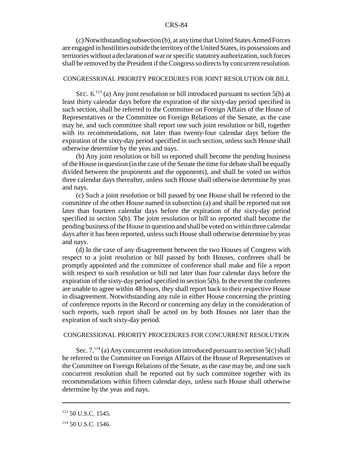(c) Notwithstanding subsection (b), at any time that United States Armed Forces are engaged in hostilities outside the territory of the United States, its possessions and territories without a declaration of war or specific statutory authorization, such forces shall be removed by the President if the Congress so directs by concurrent resolution.

#### CONGRESSIONAL PRIORITY PROCEDURES FOR JOINT RESOLUTION OR BILL

SEC.  $6^{113}$  (a) Any joint resolution or bill introduced pursuant to section 5(b) at least thirty calendar days before the expiration of the sixty-day period specified in such section, shall be referred to the Committee on Foreign Affairs of the House of Representatives or the Committee on Foreign Relations of the Senate, as the case may be, and such committee shall report one such joint resolution or bill, together with its recommendations, not later than twenty-four calendar days before the expiration of the sixty-day period specified in such section, unless such House shall otherwise determine by the yeas and nays.

(b) Any joint resolution or bill so reported shall become the pending business of the House in question (in the case of the Senate the time for debate shall be equally divided between the proponents and the opponents), and shall be voted on within three calendar days thereafter, unless such House shall otherwise determine by yeas and nays.

(c) Such a joint resolution or bill passed by one House shall be referred to the committee of the other House named in subsection (a) and shall be reported out not later than fourteen calendar days before the expiration of the sixty-day period specified in section 5(b). The joint resolution or bill so reported shall become the pending business of the House in question and shall be voted on within three calendar days after it has been reported, unless such House shall otherwise determine by yeas and nays.

(d) In the case of any disagreement between the two Houses of Congress with respect to a joint resolution or bill passed by both Houses, conferees shall be promptly appointed and the committee of conference shall make and file a report with respect to such resolution or bill not later than four calendar days before the expiration of the sixty-day period specified in section 5(b). In the event the conferees are unable to agree within 48 hours, they shall report back to their respective House in disagreement. Notwithstanding any rule in either House concerning the printing of conference reports in the Record or concerning any delay in the consideration of such reports, such report shall be acted on by both Houses not later than the expiration of such sixty-day period.

#### CONGRESSIONAL PRIORITY PROCEDURES FOR CONCURRENT RESOLUTION

Sec. 7.<sup>114</sup> (a) Any concurrent resolution introduced pursuant to section 5(c) shall be referred to the Committee on Foreign Affairs of the House of Representatives or the Committee on Foreign Relations of the Senate, as the case may be, and one such concurrent resolution shall be reported out by such committee together with its recommendations within fifteen calendar days, unless such House shall otherwise determine by the yeas and nays.

 $113$  50 U.S.C. 1545.

<sup>&</sup>lt;sup>114</sup> 50 U.S.C. 1546.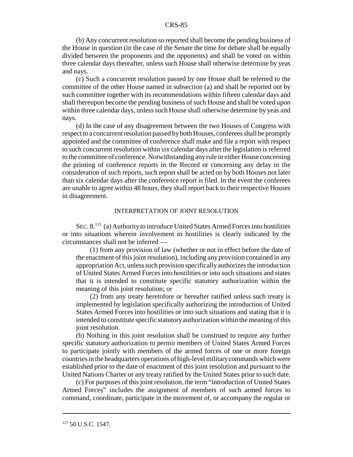(b) Any concurrent resolution so reported shall become the pending business of the House in question (in the case of the Senate the time for debate shall be equally divided between the proponents and the opponents) and shall be voted on within three calendar days thereafter, unless such House shall otherwise determine by yeas and nays.

(c) Such a concurrent resolution passed by one House shall be referred to the committee of the other House named in subsection (a) and shall be reported out by such committee together with its recommendations within fifteen calendar days and shall thereupon become the pending business of such House and shall be voted upon within three calendar days, unless such House shall otherwise determine by yeas and nays.

(d) In the case of any disagreement between the two Houses of Congress with respect to a concurrent resolution passed by both Houses, conferees shall be promptly appointed and the committee of conference shall make and file a report with respect to such concurrent resolution within six calendar days after the legislation is referred to the committee of conference. Notwithstanding any rule in either House concerning the printing of conference reports in the Record or concerning any delay in the consideration of such reports, such report shall be acted on by both Houses not later than six calendar days after the conference report is filed. In the event the conferees are unable to agree within 48 hours, they shall report back to their respective Houses in disagreement.

#### INTERPRETATION OF JOINT RESOLUTION

SEC. 8.<sup>115</sup> (a) Authority to introduce United States Armed Forces into hostilities or into situations wherein involvement in hostilities is clearly indicated by the circumstances shall not be inferred —

(1) from any provision of law (whether or not in effect before the date of the enactment of this joint resolution), including any provision contained in any appropriation Act, unless such provision specifically authorizes the introduction of United States Armed Forces into hostilities or into such situations and states that it is intended to constitute specific statutory authorization within the meaning of this joint resolution; or

(2) from any treaty heretofore or hereafter ratified unless such treaty is implemented by legislation specifically authorizing the introduction of United States Armed Forces into hostilities or into such situations and stating that it is intended to constitute specific statutory authorization within the meaning of this joint resolution.

(b) Nothing in this joint resolution shall be construed to require any further specific statutory authorization to permit members of United States Armed Forces to participate jointly with members of the armed forces of one or more foreign countries in the headquarters operations of high-level military commands which were established prior to the date of enactment of this joint resolution and pursuant to the United Nations Charter or any treaty ratified by the United States prior to such date.

(c) For purposes of this joint resolution, the term "introduction of United States Armed Forces" includes the assignment of members of such armed forces to command, coordinate, participate in the movement of, or accompany the regular or

 $115$  50 U.S.C. 1547.